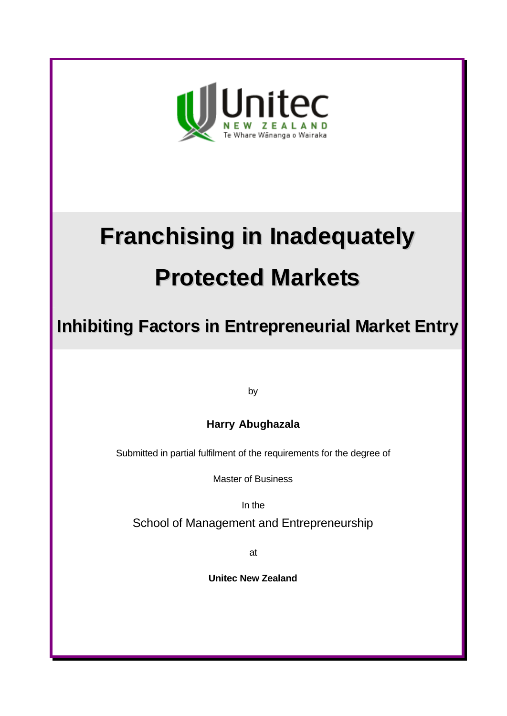

# **Franchising in Inadequately Protected Markets**

**Inhibiting Factors in Entrepreneurial Market Entry**

by

**Harry Abughazala**

Submitted in partial fulfilment of the requirements for the degree of

Master of Business

In the

School of Management and Entrepreneurship

at

**Unitec New Zealand**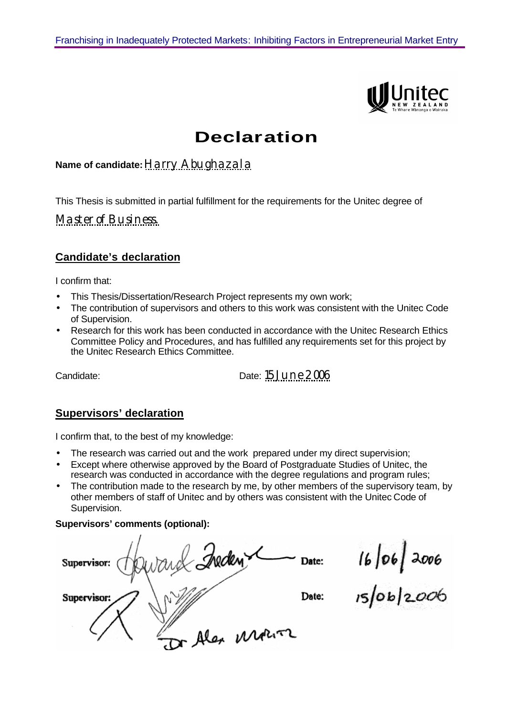

### **Declaration**

#### **Name of candidate:**Harry Abughazala

This Thesis is submitted in partial fulfillment for the requirements for the Unitec degree of

Master of Business.

#### **Candidate's declaration**

I confirm that:

- This Thesis/Dissertation/Research Project represents my own work;
- The contribution of supervisors and others to this work was consistent with the Unitec Code of Supervision.
- Research for this work has been conducted in accordance with the Unitec Research Ethics Committee Policy and Procedures, and has fulfilled any requirements set for this project by the Unitec Research Ethics Committee.

Candidate: Date: 15 June 2006

#### **Supervisors' declaration**

I confirm that, to the best of my knowledge:

- The research was carried out and the work prepared under my direct supervision;
- Except where otherwise approved by the Board of Postgraduate Studies of Unitec, the research was conducted in accordance with the degree regulations and program rules;
- The contribution made to the research by me, by other members of the supervisory team, by other members of staff of Unitec and by others was consistent with the Unitec Code of Supervision.

#### **Supervisors' comments (optional):**

and Inden Date: Supervisor: Date: Supervisor: Or Alex Motor

16/06/2006<br>15/06/2*00*6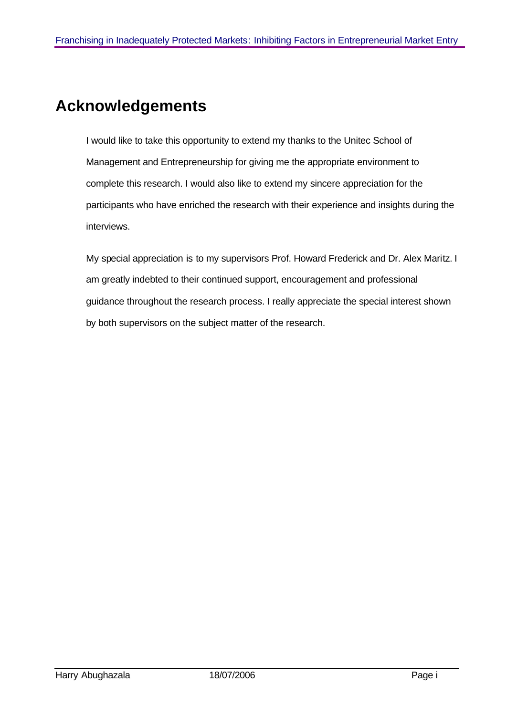## **Acknowledgements**

I would like to take this opportunity to extend my thanks to the Unitec School of Management and Entrepreneurship for giving me the appropriate environment to complete this research. I would also like to extend my sincere appreciation for the participants who have enriched the research with their experience and insights during the interviews.

My special appreciation is to my supervisors Prof. Howard Frederick and Dr. Alex Maritz. I am greatly indebted to their continued support, encouragement and professional guidance throughout the research process. I really appreciate the special interest shown by both supervisors on the subject matter of the research.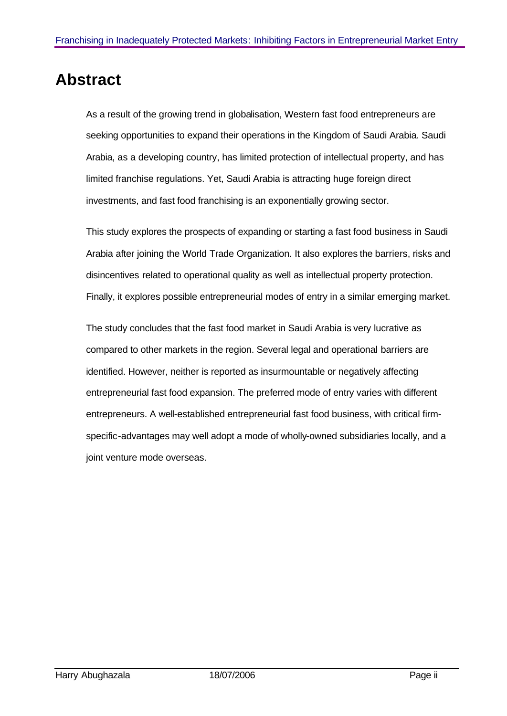### **Abstract**

As a result of the growing trend in globalisation, Western fast food entrepreneurs are seeking opportunities to expand their operations in the Kingdom of Saudi Arabia. Saudi Arabia, as a developing country, has limited protection of intellectual property, and has limited franchise regulations. Yet, Saudi Arabia is attracting huge foreign direct investments, and fast food franchising is an exponentially growing sector.

This study explores the prospects of expanding or starting a fast food business in Saudi Arabia after joining the World Trade Organization. It also explores the barriers, risks and disincentives related to operational quality as well as intellectual property protection. Finally, it explores possible entrepreneurial modes of entry in a similar emerging market.

The study concludes that the fast food market in Saudi Arabia is very lucrative as compared to other markets in the region. Several legal and operational barriers are identified. However, neither is reported as insurmountable or negatively affecting entrepreneurial fast food expansion. The preferred mode of entry varies with different entrepreneurs. A well-established entrepreneurial fast food business, with critical firmspecific-advantages may well adopt a mode of wholly-owned subsidiaries locally, and a joint venture mode overseas.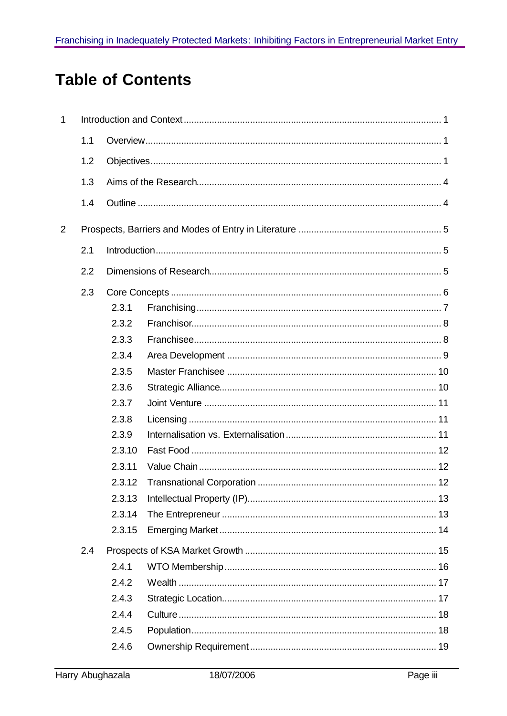# **Table of Contents**

| $\mathbf{1}$   |     |        |  |  |
|----------------|-----|--------|--|--|
|                | 1.1 |        |  |  |
|                | 1.2 |        |  |  |
|                | 1.3 |        |  |  |
|                | 1.4 |        |  |  |
| $\overline{2}$ |     |        |  |  |
|                | 2.1 |        |  |  |
|                | 2.2 |        |  |  |
|                | 2.3 |        |  |  |
|                |     | 2.3.1  |  |  |
|                |     | 2.3.2  |  |  |
|                |     | 2.3.3  |  |  |
|                |     | 2.3.4  |  |  |
|                |     | 2.3.5  |  |  |
|                |     | 2.3.6  |  |  |
|                |     | 2.3.7  |  |  |
|                |     | 2.3.8  |  |  |
|                |     | 2.3.9  |  |  |
|                |     | 2.3.10 |  |  |
|                |     | 2.3.11 |  |  |
|                |     | 2.3.12 |  |  |
|                |     | 2.3.13 |  |  |
|                |     | 2.3.14 |  |  |
|                |     | 2.3.15 |  |  |
|                | 2.4 |        |  |  |
|                |     | 2.4.1  |  |  |
|                |     | 2.4.2  |  |  |
|                |     | 2.4.3  |  |  |
|                |     | 2.4.4  |  |  |
|                |     | 2.4.5  |  |  |
|                |     | 2.4.6  |  |  |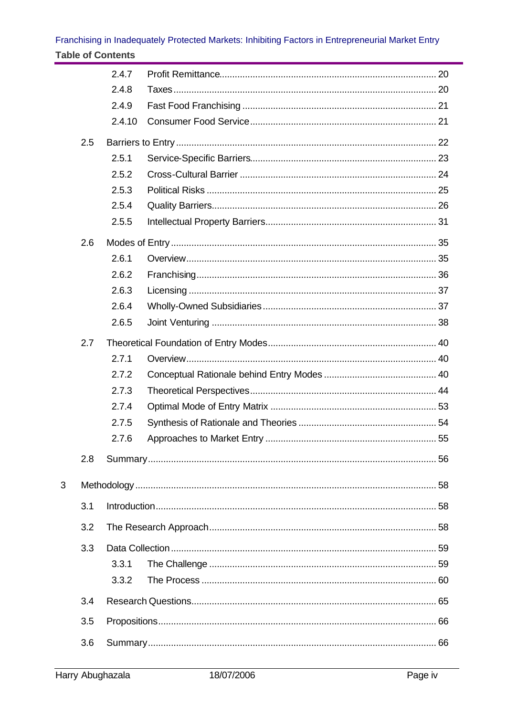#### Franchising in Inadequately Protected Markets: Inhibiting Factors in Entrepreneurial Market Entry **Table of Contents**

|   |     | 2.4.7  |  |
|---|-----|--------|--|
|   |     | 2.4.8  |  |
|   |     | 2.4.9  |  |
|   |     | 2.4.10 |  |
|   | 2.5 |        |  |
|   |     | 2.5.1  |  |
|   |     | 2.5.2  |  |
|   |     | 2.5.3  |  |
|   |     | 2.5.4  |  |
|   |     | 2.5.5  |  |
|   | 2.6 |        |  |
|   |     | 2.6.1  |  |
|   |     | 2.6.2  |  |
|   |     | 2.6.3  |  |
|   |     | 2.6.4  |  |
|   |     | 2.6.5  |  |
|   | 2.7 |        |  |
|   |     | 2.7.1  |  |
|   |     | 2.7.2  |  |
|   |     | 2.7.3  |  |
|   |     | 2.7.4  |  |
|   |     | 2.7.5  |  |
|   |     | 2.7.6  |  |
|   | 2.8 |        |  |
| 3 |     |        |  |
|   | 3.1 |        |  |
|   | 3.2 |        |  |
|   | 3.3 |        |  |
|   |     | 3.3.1  |  |
|   |     | 3.3.2  |  |
|   | 3.4 |        |  |
|   | 3.5 |        |  |
|   | 3.6 |        |  |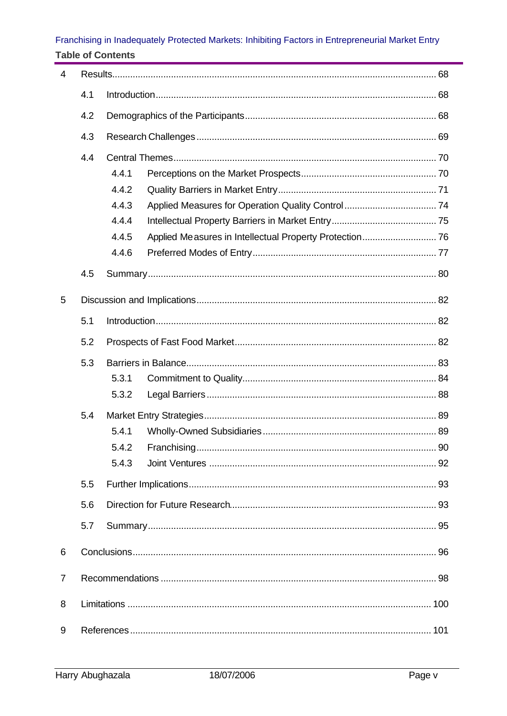#### Franchising in Inadequately Protected Markets: Inhibiting Factors in Entrepreneurial Market Entry **Table of Contents**

| 4   |     |       |  |  |
|-----|-----|-------|--|--|
| 4.1 |     |       |  |  |
|     | 4.2 |       |  |  |
|     | 4.3 |       |  |  |
|     | 4.4 |       |  |  |
|     |     | 4.4.1 |  |  |
|     |     | 4.4.2 |  |  |
|     |     | 4.4.3 |  |  |
|     |     | 4.4.4 |  |  |
|     |     | 4.4.5 |  |  |
|     |     | 4.4.6 |  |  |
|     | 4.5 |       |  |  |
|     |     |       |  |  |
| 5   |     |       |  |  |
|     | 5.1 |       |  |  |
|     | 5.2 |       |  |  |
|     | 5.3 |       |  |  |
|     |     | 5.3.1 |  |  |
|     |     | 5.3.2 |  |  |
|     | 5.4 |       |  |  |
|     |     | 5.4.1 |  |  |
|     |     |       |  |  |
|     |     | 5.4.3 |  |  |
|     | 5.5 |       |  |  |
|     | 5.6 |       |  |  |
|     | 5.7 |       |  |  |
| 6   |     |       |  |  |
|     |     |       |  |  |
| 7   |     |       |  |  |
| 8   |     |       |  |  |
| 9   |     |       |  |  |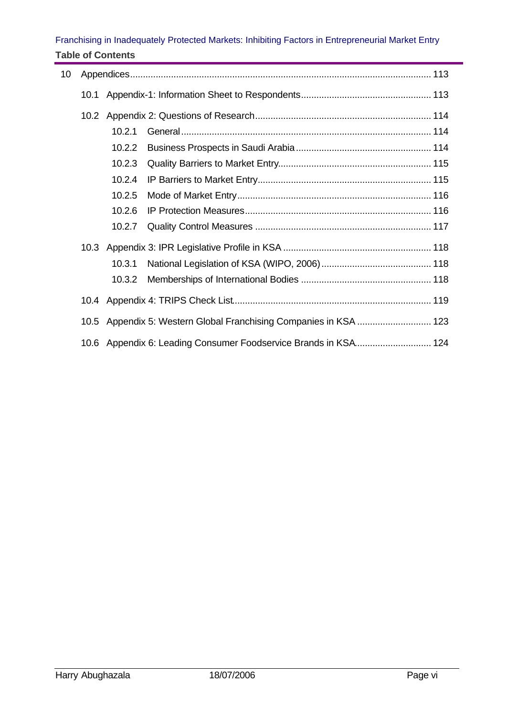#### Franchising in Inadequately Protected Markets: Inhibiting Factors in Entrepreneurial Market Entry **Table of Contents**

| 10 |      |        |                                                                 |
|----|------|--------|-----------------------------------------------------------------|
|    | 10.1 |        |                                                                 |
|    |      |        |                                                                 |
|    |      | 10.2.1 |                                                                 |
|    |      | 10.2.2 |                                                                 |
|    |      | 10.2.3 |                                                                 |
|    |      | 10.2.4 |                                                                 |
|    |      | 10.2.5 |                                                                 |
|    |      | 10.2.6 |                                                                 |
|    |      | 10.2.7 |                                                                 |
|    |      |        |                                                                 |
|    |      | 10.3.1 |                                                                 |
|    |      | 10.3.2 |                                                                 |
|    |      |        |                                                                 |
|    | 10.5 |        | Appendix 5: Western Global Franchising Companies in KSA  123    |
|    |      |        | 10.6 Appendix 6: Leading Consumer Foodservice Brands in KSA 124 |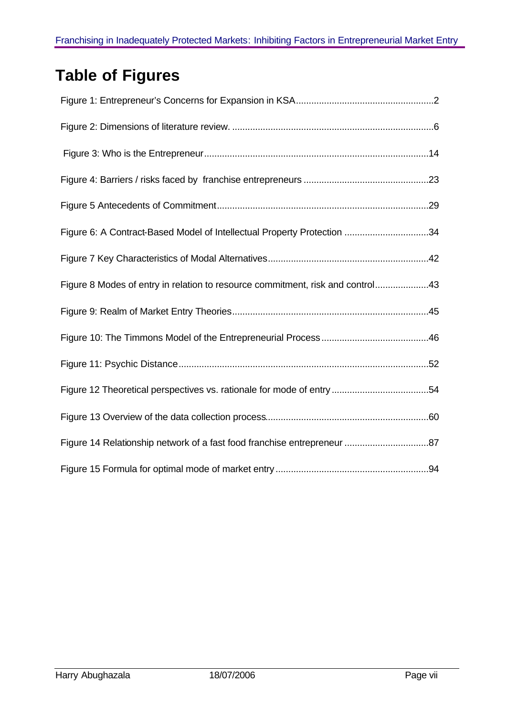# **Table of Figures**

| Figure 6: A Contract-Based Model of Intellectual Property Protection 34        |
|--------------------------------------------------------------------------------|
|                                                                                |
| Figure 8 Modes of entry in relation to resource commitment, risk and control43 |
|                                                                                |
|                                                                                |
|                                                                                |
|                                                                                |
|                                                                                |
| Figure 14 Relationship network of a fast food franchise entrepreneur 87        |
|                                                                                |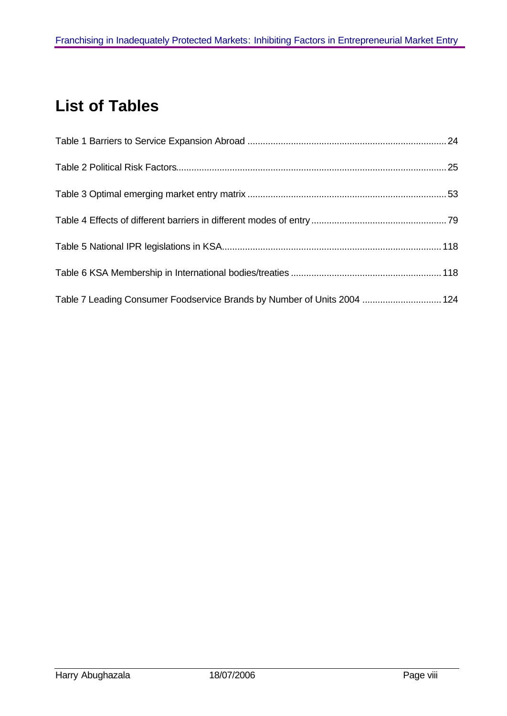# **List of Tables**

| Table 7 Leading Consumer Foodservice Brands by Number of Units 2004  124 |  |
|--------------------------------------------------------------------------|--|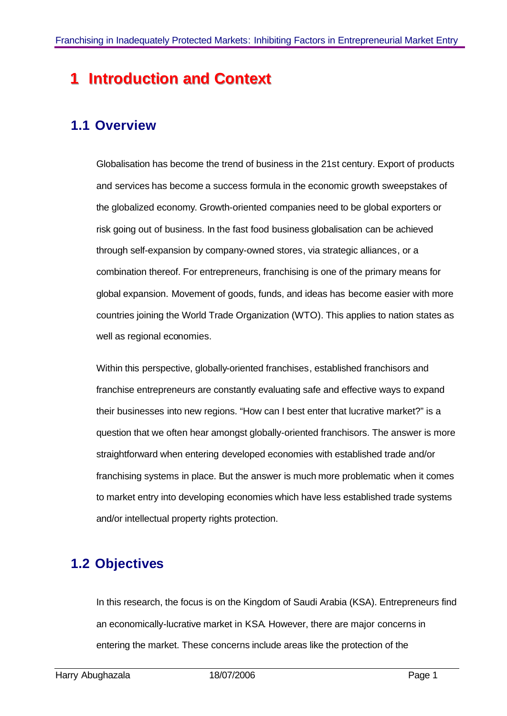## **1 Introduction** and **Context**

### **1.1 Overview**

Globalisation has become the trend of business in the 21st century. Export of products and services has become a success formula in the economic growth sweepstakes of the globalized economy. Growth-oriented companies need to be global exporters or risk going out of business. In the fast food business globalisation can be achieved through self-expansion by company-owned stores, via strategic alliances, or a combination thereof. For entrepreneurs, franchising is one of the primary means for global expansion. Movement of goods, funds, and ideas has become easier with more countries joining the World Trade Organization (WTO). This applies to nation states as well as regional economies.

Within this perspective, globally-oriented franchises, established franchisors and franchise entrepreneurs are constantly evaluating safe and effective ways to expand their businesses into new regions. "How can I best enter that lucrative market?" is a question that we often hear amongst globally-oriented franchisors. The answer is more straightforward when entering developed economies with established trade and/or franchising systems in place. But the answer is much more problematic when it comes to market entry into developing economies which have less established trade systems and/or intellectual property rights protection.

### **1.2 Objectives**

In this research, the focus is on the Kingdom of Saudi Arabia (KSA). Entrepreneurs find an economically-lucrative market in KSA. However, there are major concerns in entering the market. These concerns include areas like the protection of the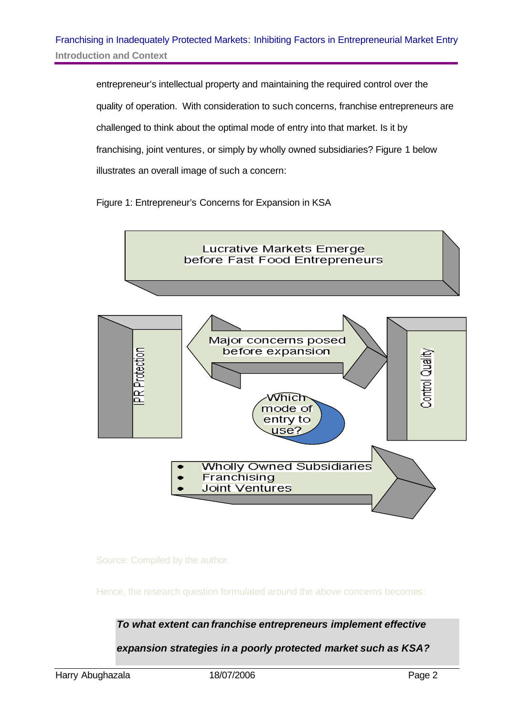entrepreneur's intellectual property and maintaining the required control over the quality of operation. With consideration to such concerns, franchise entrepreneurs are challenged to think about the optimal mode of entry into that market. Is it by franchising, joint ventures, or simply by wholly owned subsidiaries? Figure 1 below illustrates an overall image of such a concern:

Figure 1: Entrepreneur's Concerns for Expansion in KSA



Source: Compiled by the author.

Hence, the research question formulated around the above concerns becomes:

*To what extent can franchise entrepreneurs implement effective* 

*expansion strategies in a poorly protected market such as KSA?*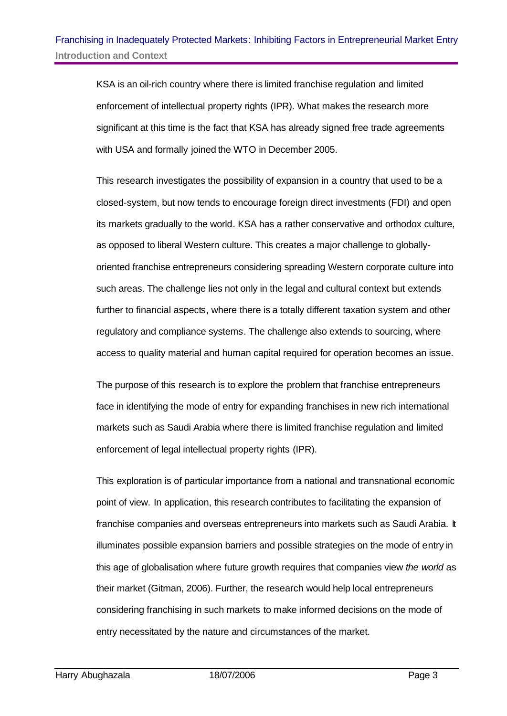KSA is an oil-rich country where there is limited franchise regulation and limited enforcement of intellectual property rights (IPR). What makes the research more significant at this time is the fact that KSA has already signed free trade agreements with USA and formally joined the WTO in December 2005.

This research investigates the possibility of expansion in a country that used to be a closed-system, but now tends to encourage foreign direct investments (FDI) and open its markets gradually to the world. KSA has a rather conservative and orthodox culture, as opposed to liberal Western culture. This creates a major challenge to globallyoriented franchise entrepreneurs considering spreading Western corporate culture into such areas. The challenge lies not only in the legal and cultural context but extends further to financial aspects, where there is a totally different taxation system and other regulatory and compliance systems. The challenge also extends to sourcing, where access to quality material and human capital required for operation becomes an issue.

The purpose of this research is to explore the problem that franchise entrepreneurs face in identifying the mode of entry for expanding franchises in new rich international markets such as Saudi Arabia where there is limited franchise regulation and limited enforcement of legal intellectual property rights (IPR).

This exploration is of particular importance from a national and transnational economic point of view. In application, this research contributes to facilitating the expansion of franchise companies and overseas entrepreneurs into markets such as Saudi Arabia. It illuminates possible expansion barriers and possible strategies on the mode of entry in this age of globalisation where future growth requires that companies view *the world* as their market (Gitman, 2006). Further, the research would help local entrepreneurs considering franchising in such markets to make informed decisions on the mode of entry necessitated by the nature and circumstances of the market.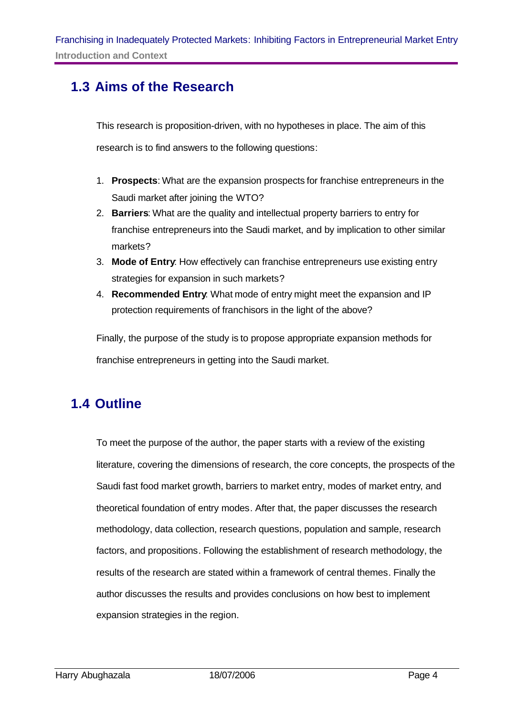### **1.3 Aims of the Research**

This research is proposition-driven, with no hypotheses in place. The aim of this research is to find answers to the following questions:

- 1. **Prospects**: What are the expansion prospects for franchise entrepreneurs in the Saudi market after joining the WTO?
- 2. **Barriers**: What are the quality and intellectual property barriers to entry for franchise entrepreneurs into the Saudi market, and by implication to other similar markets?
- 3. **Mode of Entry**: How effectively can franchise entrepreneurs use existing entry strategies for expansion in such markets?
- 4. **Recommended Entry**: What mode of entry might meet the expansion and IP protection requirements of franchisors in the light of the above?

Finally, the purpose of the study is to propose appropriate expansion methods for franchise entrepreneurs in getting into the Saudi market.

#### **1.4 Outline**

To meet the purpose of the author, the paper starts with a review of the existing literature, covering the dimensions of research, the core concepts, the prospects of the Saudi fast food market growth, barriers to market entry, modes of market entry, and theoretical foundation of entry modes. After that, the paper discusses the research methodology, data collection, research questions, population and sample, research factors, and propositions. Following the establishment of research methodology, the results of the research are stated within a framework of central themes. Finally the author discusses the results and provides conclusions on how best to implement expansion strategies in the region.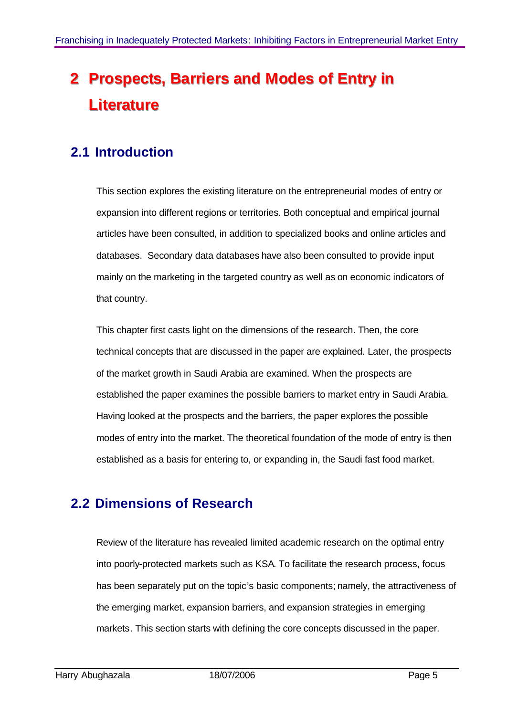# **2 Prospects, Barriers and Modes of Entry in Liiterature**

### **2.1 Introduction**

This section explores the existing literature on the entrepreneurial modes of entry or expansion into different regions or territories. Both conceptual and empirical journal articles have been consulted, in addition to specialized books and online articles and databases. Secondary data databases have also been consulted to provide input mainly on the marketing in the targeted country as well as on economic indicators of that country.

This chapter first casts light on the dimensions of the research. Then, the core technical concepts that are discussed in the paper are explained. Later, the prospects of the market growth in Saudi Arabia are examined. When the prospects are established the paper examines the possible barriers to market entry in Saudi Arabia. Having looked at the prospects and the barriers, the paper explores the possible modes of entry into the market. The theoretical foundation of the mode of entry is then established as a basis for entering to, or expanding in, the Saudi fast food market.

#### **2.2 Dimensions of Research**

Review of the literature has revealed limited academic research on the optimal entry into poorly-protected markets such as KSA. To facilitate the research process, focus has been separately put on the topic's basic components; namely, the attractiveness of the emerging market, expansion barriers, and expansion strategies in emerging markets. This section starts with defining the core concepts discussed in the paper.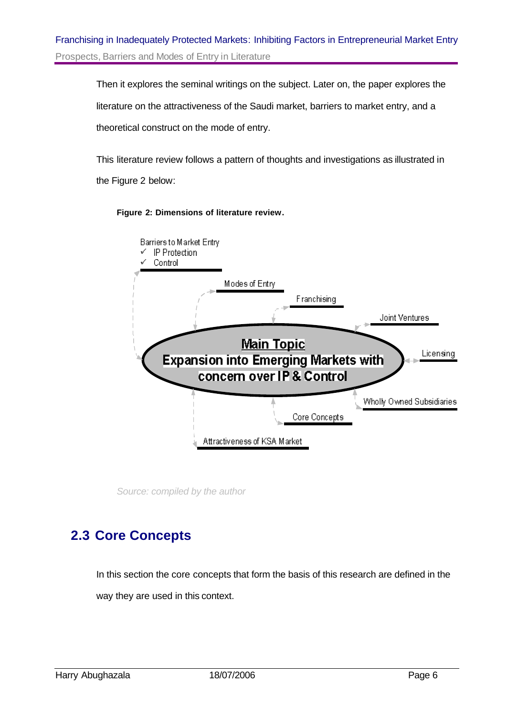Then it explores the seminal writings on the subject. Later on, the paper explores the literature on the attractiveness of the Saudi market, barriers to market entry, and a theoretical construct on the mode of entry.

This literature review follows a pattern of thoughts and investigations as illustrated in the Figure 2 below:



#### **Figure 2: Dimensions of literature review.**

*Source: compiled by the author*

#### **2.3 Core Concepts**

In this section the core concepts that form the basis of this research are defined in the way they are used in this context.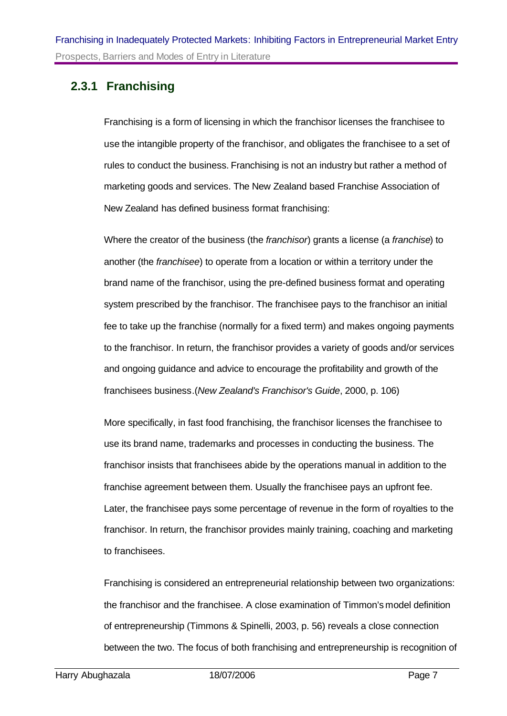#### **2.3.1 Franchising**

Franchising is a form of licensing in which the franchisor licenses the franchisee to use the intangible property of the franchisor, and obligates the franchisee to a set of rules to conduct the business. Franchising is not an industry but rather a method of marketing goods and services. The New Zealand based Franchise Association of New Zealand has defined business format franchising:

Where the creator of the business (the *franchisor*) grants a license (a *franchise*) to another (the *franchisee*) to operate from a location or within a territory under the brand name of the franchisor, using the pre-defined business format and operating system prescribed by the franchisor. The franchisee pays to the franchisor an initial fee to take up the franchise (normally for a fixed term) and makes ongoing payments to the franchisor. In return, the franchisor provides a variety of goods and/or services and ongoing guidance and advice to encourage the profitability and growth of the franchisees business.(*New Zealand's Franchisor's Guide*, 2000, p. 106)

More specifically, in fast food franchising, the franchisor licenses the franchisee to use its brand name, trademarks and processes in conducting the business. The franchisor insists that franchisees abide by the operations manual in addition to the franchise agreement between them. Usually the franchisee pays an upfront fee. Later, the franchisee pays some percentage of revenue in the form of royalties to the franchisor. In return, the franchisor provides mainly training, coaching and marketing to franchisees.

Franchising is considered an entrepreneurial relationship between two organizations: the franchisor and the franchisee. A close examination of Timmon's model definition of entrepreneurship (Timmons & Spinelli, 2003, p. 56) reveals a close connection between the two. The focus of both franchising and entrepreneurship is recognition of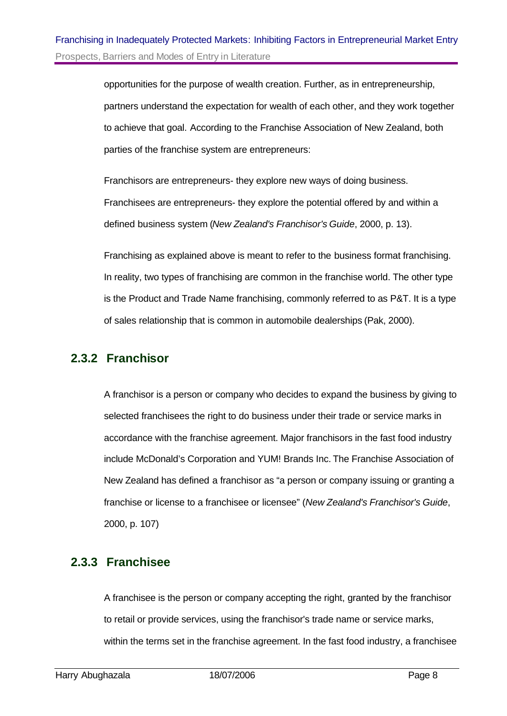opportunities for the purpose of wealth creation. Further, as in entrepreneurship, partners understand the expectation for wealth of each other, and they work together to achieve that goal. According to the Franchise Association of New Zealand, both parties of the franchise system are entrepreneurs:

Franchisors are entrepreneurs- they explore new ways of doing business. Franchisees are entrepreneurs- they explore the potential offered by and within a defined business system (*New Zealand's Franchisor's Guide*, 2000, p. 13).

Franchising as explained above is meant to refer to the business format franchising. In reality, two types of franchising are common in the franchise world. The other type is the Product and Trade Name franchising, commonly referred to as P&T. It is a type of sales relationship that is common in automobile dealerships (Pak, 2000).

#### **2.3.2 Franchisor**

A franchisor is a person or company who decides to expand the business by giving to selected franchisees the right to do business under their trade or service marks in accordance with the franchise agreement. Major franchisors in the fast food industry include McDonald's Corporation and YUM! Brands Inc. The Franchise Association of New Zealand has defined a franchisor as "a person or company issuing or granting a franchise or license to a franchisee or licensee" (*New Zealand's Franchisor's Guide*, 2000, p. 107)

#### **2.3.3 Franchisee**

A franchisee is the person or company accepting the right, granted by the franchisor to retail or provide services, using the franchisor's trade name or service marks, within the terms set in the franchise agreement. In the fast food industry, a franchisee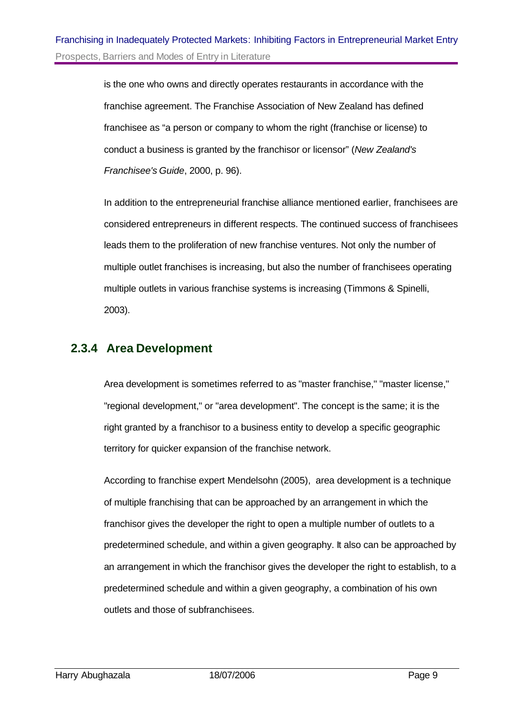is the one who owns and directly operates restaurants in accordance with the franchise agreement. The Franchise Association of New Zealand has defined franchisee as "a person or company to whom the right (franchise or license) to conduct a business is granted by the franchisor or licensor" (*New Zealand's Franchisee's Guide*, 2000, p. 96).

In addition to the entrepreneurial franchise alliance mentioned earlier, franchisees are considered entrepreneurs in different respects. The continued success of franchisees leads them to the proliferation of new franchise ventures. Not only the number of multiple outlet franchises is increasing, but also the number of franchisees operating multiple outlets in various franchise systems is increasing (Timmons & Spinelli, 2003).

#### **2.3.4 Area Development**

Area development is sometimes referred to as "master franchise," "master license," "regional development," or "area development". The concept is the same; it is the right granted by a franchisor to a business entity to develop a specific geographic territory for quicker expansion of the franchise network.

According to franchise expert Mendelsohn (2005), area development is a technique of multiple franchising that can be approached by an arrangement in which the franchisor gives the developer the right to open a multiple number of outlets to a predetermined schedule, and within a given geography. It also can be approached by an arrangement in which the franchisor gives the developer the right to establish, to a predetermined schedule and within a given geography, a combination of his own outlets and those of subfranchisees.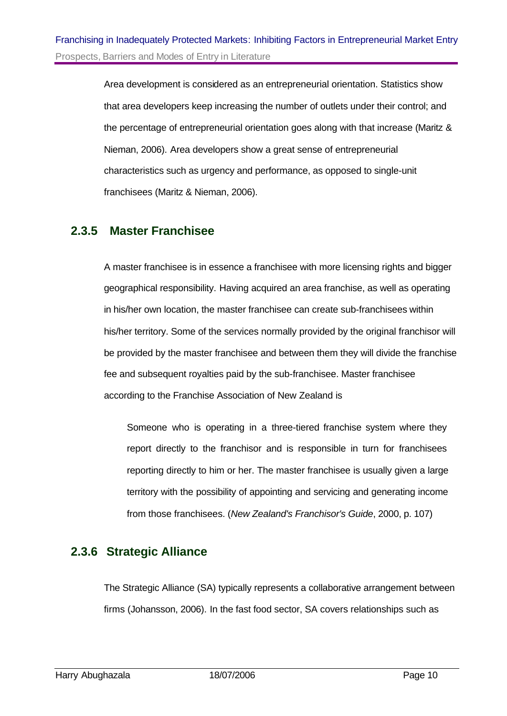Area development is considered as an entrepreneurial orientation. Statistics show that area developers keep increasing the number of outlets under their control; and the percentage of entrepreneurial orientation goes along with that increase (Maritz & Nieman, 2006). Area developers show a great sense of entrepreneurial characteristics such as urgency and performance, as opposed to single-unit franchisees (Maritz & Nieman, 2006).

#### **2.3.5 Master Franchisee**

A master franchisee is in essence a franchisee with more licensing rights and bigger geographical responsibility. Having acquired an area franchise, as well as operating in his/her own location, the master franchisee can create sub-franchisees within his/her territory. Some of the services normally provided by the original franchisor will be provided by the master franchisee and between them they will divide the franchise fee and subsequent royalties paid by the sub-franchisee. Master franchisee according to the Franchise Association of New Zealand is

Someone who is operating in a three-tiered franchise system where they report directly to the franchisor and is responsible in turn for franchisees reporting directly to him or her. The master franchisee is usually given a large territory with the possibility of appointing and servicing and generating income from those franchisees. (*New Zealand's Franchisor's Guide*, 2000, p. 107)

#### **2.3.6 Strategic Alliance**

The Strategic Alliance (SA) typically represents a collaborative arrangement between firms (Johansson, 2006). In the fast food sector, SA covers relationships such as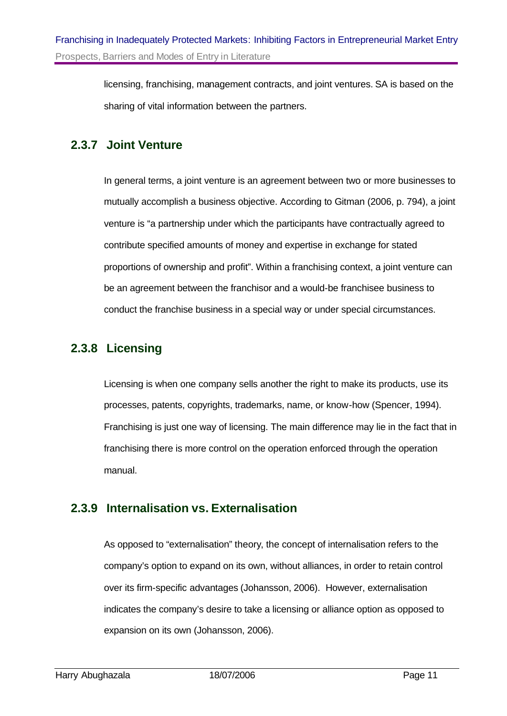licensing, franchising, management contracts, and joint ventures. SA is based on the sharing of vital information between the partners.

#### **2.3.7 Joint Venture**

In general terms, a joint venture is an agreement between two or more businesses to mutually accomplish a business objective. According to Gitman (2006, p. 794), a joint venture is "a partnership under which the participants have contractually agreed to contribute specified amounts of money and expertise in exchange for stated proportions of ownership and profit". Within a franchising context, a joint venture can be an agreement between the franchisor and a would-be franchisee business to conduct the franchise business in a special way or under special circumstances.

#### **2.3.8 Licensing**

Licensing is when one company sells another the right to make its products, use its processes, patents, copyrights, trademarks, name, or know-how (Spencer, 1994). Franchising is just one way of licensing. The main difference may lie in the fact that in franchising there is more control on the operation enforced through the operation manual.

#### **2.3.9 Internalisation vs. Externalisation**

As opposed to "externalisation" theory, the concept of internalisation refers to the company's option to expand on its own, without alliances, in order to retain control over its firm-specific advantages (Johansson, 2006). However, externalisation indicates the company's desire to take a licensing or alliance option as opposed to expansion on its own (Johansson, 2006).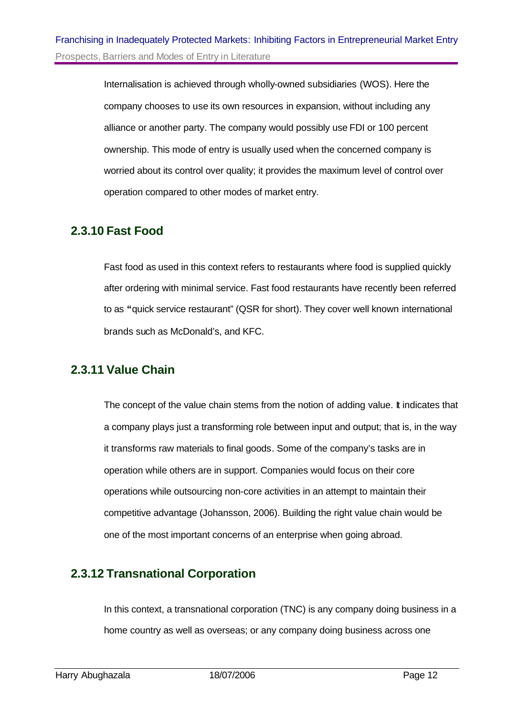Internalisation is achieved through wholly-owned subsidiaries (WOS). Here the company chooses to use its own resources in expansion, without including any alliance or another party. The company would possibly use FDI or 100 percent ownership. This mode of entry is usually used when the concerned company is worried about its control over quality; it provides the maximum level of control over operation compared to other modes of market entry.

#### **2.3.10 Fast Food**

Fast food as used in this context refers to restaurants where food is supplied quickly after ordering with minimal service. Fast food restaurants have recently been referred to as **"**quick service restaurant" (QSR for short). They cover well known international brands such as McDonald's, and KFC.

#### **2.3.11 Value Chain**

The concept of the value chain stems from the notion of adding value. It indicates that a company plays just a transforming role between input and output; that is, in the way it transforms raw materials to final goods. Some of the company's tasks are in operation while others are in support. Companies would focus on their core operations while outsourcing non-core activities in an attempt to maintain their competitive advantage (Johansson, 2006). Building the right value chain would be one of the most important concerns of an enterprise when going abroad.

#### **2.3.12 Transnational Corporation**

In this context, a transnational corporation (TNC) is any company doing business in a home country as well as overseas; or any company doing business across one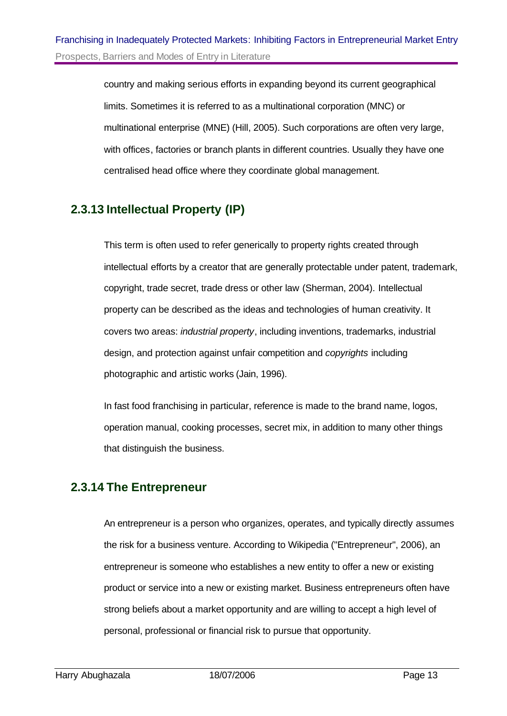country and making serious efforts in expanding beyond its current geographical limits. Sometimes it is referred to as a multinational corporation (MNC) or multinational enterprise (MNE) (Hill, 2005). Such corporations are often very large, with offices, factories or branch plants in different countries. Usually they have one centralised head office where they coordinate global management.

#### **2.3.13 Intellectual Property (IP)**

This term is often used to refer generically to property rights created through intellectual efforts by a creator that are generally protectable under patent, trademark, copyright, trade secret, trade dress or other law (Sherman, 2004). Intellectual property can be described as the ideas and technologies of human creativity. It covers two areas: *industrial property*, including inventions, trademarks, industrial design, and protection against unfair competition and *copyrights* including photographic and artistic works (Jain, 1996).

In fast food franchising in particular, reference is made to the brand name, logos, operation manual, cooking processes, secret mix, in addition to many other things that distinguish the business.

#### **2.3.14 The Entrepreneur**

An entrepreneur is a person who organizes, operates, and typically directly assumes the risk for a business venture. According to Wikipedia ("Entrepreneur", 2006), an entrepreneur is someone who establishes a new entity to offer a new or existing product or service into a new or existing market. Business entrepreneurs often have strong beliefs about a market opportunity and are willing to accept a high level of personal, professional or financial risk to pursue that opportunity.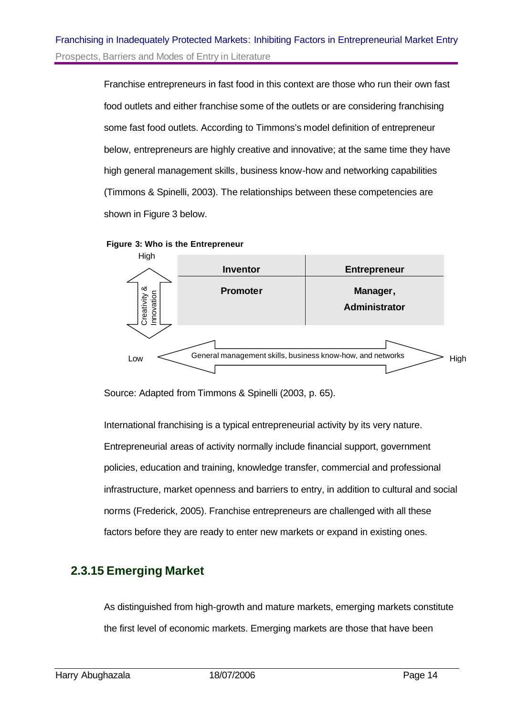Franchise entrepreneurs in fast food in this context are those who run their own fast food outlets and either franchise some of the outlets or are considering franchising some fast food outlets. According to Timmons's model definition of entrepreneur below, entrepreneurs are highly creative and innovative; at the same time they have high general management skills, business know-how and networking capabilities (Timmons & Spinelli, 2003). The relationships between these competencies are shown in Figure 3 below.





Source: Adapted from Timmons & Spinelli (2003, p. 65).

International franchising is a typical entrepreneurial activity by its very nature. Entrepreneurial areas of activity normally include financial support, government policies, education and training, knowledge transfer, commercial and professional infrastructure, market openness and barriers to entry, in addition to cultural and social norms (Frederick, 2005). Franchise entrepreneurs are challenged with all these factors before they are ready to enter new markets or expand in existing ones. **Example 2012**<br> **Example 2013**<br>
Low<br>
Conseal management skills, business know-how, and networks<br>
Source: Adapted from Timmons & Spinelli (2003, p. 65).<br>
International franchising is a typical entrepreneurial activity by it

#### **2.3.15 Emerging Market**

As distinguished from high-growth and mature markets, emerging markets constitute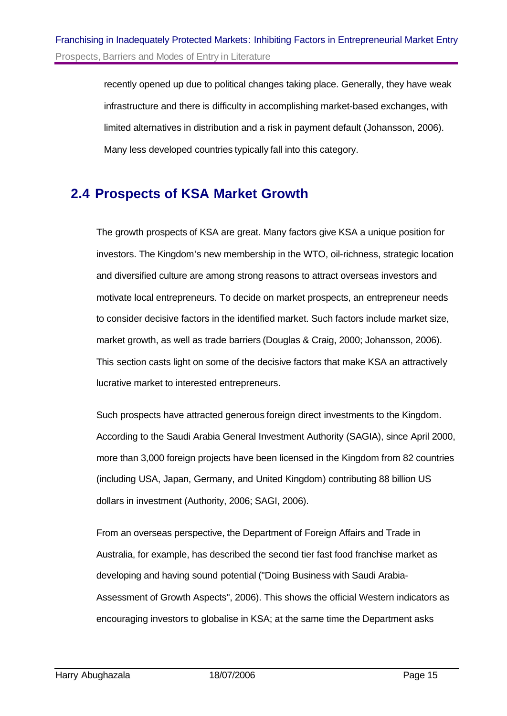recently opened up due to political changes taking place. Generally, they have weak infrastructure and there is difficulty in accomplishing market-based exchanges, with limited alternatives in distribution and a risk in payment default (Johansson, 2006). Many less developed countries typically fall into this category.

### **2.4 Prospects of KSA Market Growth**

The growth prospects of KSA are great. Many factors give KSA a unique position for investors. The Kingdom's new membership in the WTO, oil-richness, strategic location and diversified culture are among strong reasons to attract overseas investors and motivate local entrepreneurs. To decide on market prospects, an entrepreneur needs to consider decisive factors in the identified market. Such factors include market size, market growth, as well as trade barriers (Douglas & Craig, 2000; Johansson, 2006). This section casts light on some of the decisive factors that make KSA an attractively lucrative market to interested entrepreneurs.

Such prospects have attracted generous foreign direct investments to the Kingdom. According to the Saudi Arabia General Investment Authority (SAGIA), since April 2000, more than 3,000 foreign projects have been licensed in the Kingdom from 82 countries (including USA, Japan, Germany, and United Kingdom) contributing 88 billion US dollars in investment (Authority, 2006; SAGI, 2006).

From an overseas perspective, the Department of Foreign Affairs and Trade in Australia, for example, has described the second tier fast food franchise market as developing and having sound potential ("Doing Business with Saudi Arabia-Assessment of Growth Aspects", 2006). This shows the official Western indicators as encouraging investors to globalise in KSA; at the same time the Department asks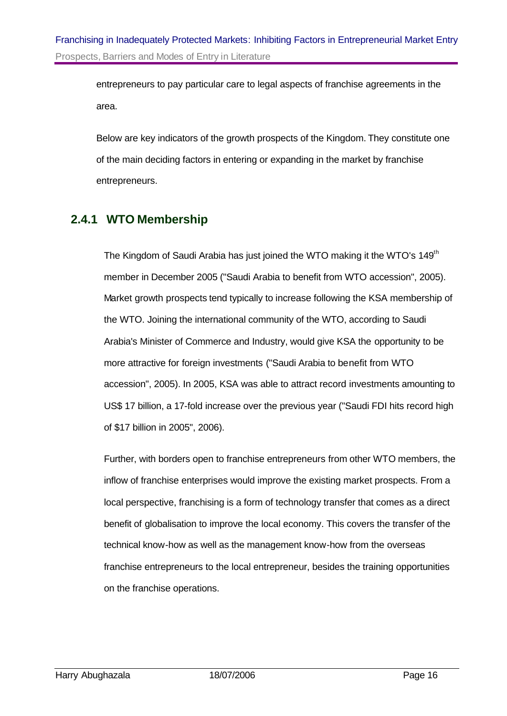entrepreneurs to pay particular care to legal aspects of franchise agreements in the area.

Below are key indicators of the growth prospects of the Kingdom. They constitute one of the main deciding factors in entering or expanding in the market by franchise entrepreneurs.

#### **2.4.1 WTO Membership**

The Kingdom of Saudi Arabia has just joined the WTO making it the WTO's 149<sup>th</sup> member in December 2005 ("Saudi Arabia to benefit from WTO accession", 2005). Market growth prospects tend typically to increase following the KSA membership of the WTO. Joining the international community of the WTO, according to Saudi Arabia's Minister of Commerce and Industry, would give KSA the opportunity to be more attractive for foreign investments ("Saudi Arabia to benefit from WTO accession", 2005). In 2005, KSA was able to attract record investments amounting to US\$ 17 billion, a 17-fold increase over the previous year ("Saudi FDI hits record high of \$17 billion in 2005", 2006).

Further, with borders open to franchise entrepreneurs from other WTO members, the inflow of franchise enterprises would improve the existing market prospects. From a local perspective, franchising is a form of technology transfer that comes as a direct benefit of globalisation to improve the local economy. This covers the transfer of the technical know-how as well as the management know-how from the overseas franchise entrepreneurs to the local entrepreneur, besides the training opportunities on the franchise operations.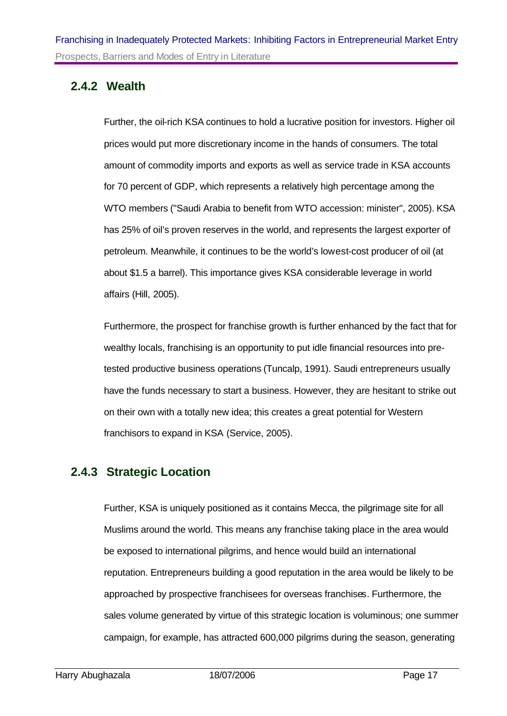#### **2.4.2 Wealth**

Further, the oil-rich KSA continues to hold a lucrative position for investors. Higher oil prices would put more discretionary income in the hands of consumers. The total amount of commodity imports and exports as well as service trade in KSA accounts for 70 percent of GDP, which represents a relatively high percentage among the WTO members ("Saudi Arabia to benefit from WTO accession: minister", 2005). KSA has 25% of oil's proven reserves in the world, and represents the largest exporter of petroleum. Meanwhile, it continues to be the world's lowest-cost producer of oil (at about \$1.5 a barrel). This importance gives KSA considerable leverage in world affairs (Hill, 2005).

Furthermore, the prospect for franchise growth is further enhanced by the fact that for wealthy locals, franchising is an opportunity to put idle financial resources into pretested productive business operations (Tuncalp, 1991). Saudi entrepreneurs usually have the funds necessary to start a business. However, they are hesitant to strike out on their own with a totally new idea; this creates a great potential for Western franchisors to expand in KSA (Service, 2005).

#### **2.4.3 Strategic Location**

Further, KSA is uniquely positioned as it contains Mecca, the pilgrimage site for all Muslims around the world. This means any franchise taking place in the area would be exposed to international pilgrims, and hence would build an international reputation. Entrepreneurs building a good reputation in the area would be likely to be approached by prospective franchisees for overseas franchises. Furthermore, the sales volume generated by virtue of this strategic location is voluminous; one summer campaign, for example, has attracted 600,000 pilgrims during the season, generating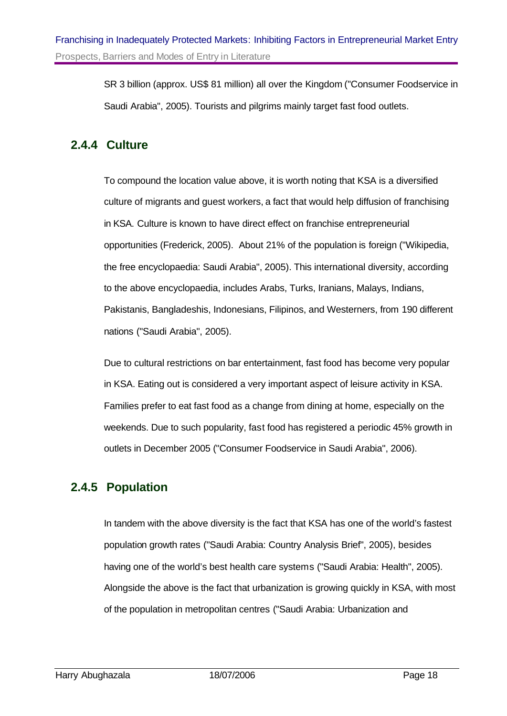SR 3 billion (approx. US\$ 81 million) all over the Kingdom ("Consumer Foodservice in Saudi Arabia", 2005). Tourists and pilgrims mainly target fast food outlets.

#### **2.4.4 Culture**

To compound the location value above, it is worth noting that KSA is a diversified culture of migrants and guest workers, a fact that would help diffusion of franchising in KSA. Culture is known to have direct effect on franchise entrepreneurial opportunities (Frederick, 2005). About 21% of the population is foreign ("Wikipedia, the free encyclopaedia: Saudi Arabia", 2005). This international diversity, according to the above encyclopaedia, includes Arabs, Turks, Iranians, Malays, Indians, Pakistanis, Bangladeshis, Indonesians, Filipinos, and Westerners, from 190 different nations ("Saudi Arabia", 2005).

Due to cultural restrictions on bar entertainment, fast food has become very popular in KSA. Eating out is considered a very important aspect of leisure activity in KSA. Families prefer to eat fast food as a change from dining at home, especially on the weekends. Due to such popularity, fast food has registered a periodic 45% growth in outlets in December 2005 ("Consumer Foodservice in Saudi Arabia", 2006).

#### **2.4.5 Population**

In tandem with the above diversity is the fact that KSA has one of the world's fastest population growth rates ("Saudi Arabia: Country Analysis Brief", 2005), besides having one of the world's best health care systems ("Saudi Arabia: Health", 2005). Alongside the above is the fact that urbanization is growing quickly in KSA, with most of the population in metropolitan centres ("Saudi Arabia: Urbanization and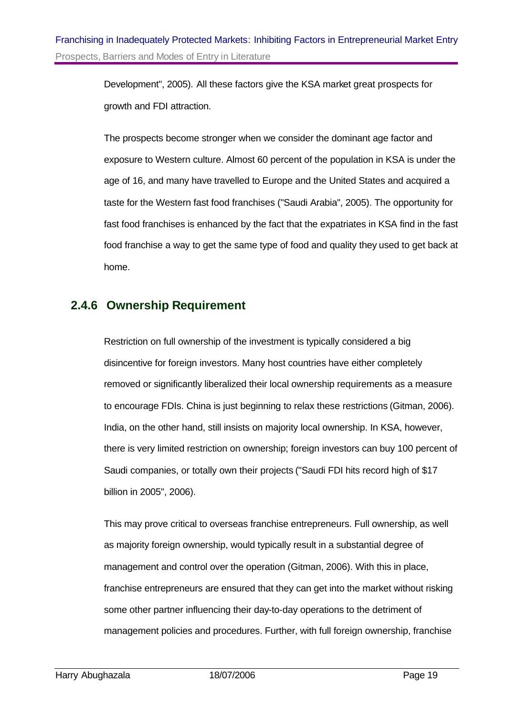Development", 2005). All these factors give the KSA market great prospects for growth and FDI attraction.

The prospects become stronger when we consider the dominant age factor and exposure to Western culture. Almost 60 percent of the population in KSA is under the age of 16, and many have travelled to Europe and the United States and acquired a taste for the Western fast food franchises ("Saudi Arabia", 2005). The opportunity for fast food franchises is enhanced by the fact that the expatriates in KSA find in the fast food franchise a way to get the same type of food and quality they used to get back at home.

#### **2.4.6 Ownership Requirement**

Restriction on full ownership of the investment is typically considered a big disincentive for foreign investors. Many host countries have either completely removed or significantly liberalized their local ownership requirements as a measure to encourage FDIs. China is just beginning to relax these restrictions (Gitman, 2006). India, on the other hand, still insists on majority local ownership. In KSA, however, there is very limited restriction on ownership; foreign investors can buy 100 percent of Saudi companies, or totally own their projects ("Saudi FDI hits record high of \$17 billion in 2005", 2006).

This may prove critical to overseas franchise entrepreneurs. Full ownership, as well as majority foreign ownership, would typically result in a substantial degree of management and control over the operation (Gitman, 2006). With this in place, franchise entrepreneurs are ensured that they can get into the market without risking some other partner influencing their day-to-day operations to the detriment of management policies and procedures. Further, with full foreign ownership, franchise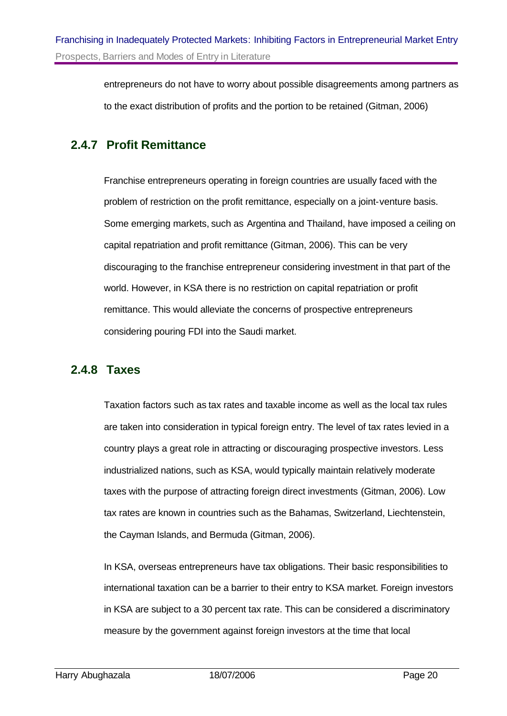entrepreneurs do not have to worry about possible disagreements among partners as to the exact distribution of profits and the portion to be retained (Gitman, 2006)

#### **2.4.7 Profit Remittance**

Franchise entrepreneurs operating in foreign countries are usually faced with the problem of restriction on the profit remittance, especially on a joint-venture basis. Some emerging markets, such as Argentina and Thailand, have imposed a ceiling on capital repatriation and profit remittance (Gitman, 2006). This can be very discouraging to the franchise entrepreneur considering investment in that part of the world. However, in KSA there is no restriction on capital repatriation or profit remittance. This would alleviate the concerns of prospective entrepreneurs considering pouring FDI into the Saudi market.

#### **2.4.8 Taxes**

Taxation factors such as tax rates and taxable income as well as the local tax rules are taken into consideration in typical foreign entry. The level of tax rates levied in a country plays a great role in attracting or discouraging prospective investors. Less industrialized nations, such as KSA, would typically maintain relatively moderate taxes with the purpose of attracting foreign direct investments (Gitman, 2006). Low tax rates are known in countries such as the Bahamas, Switzerland, Liechtenstein, the Cayman Islands, and Bermuda (Gitman, 2006).

In KSA, overseas entrepreneurs have tax obligations. Their basic responsibilities to international taxation can be a barrier to their entry to KSA market. Foreign investors in KSA are subject to a 30 percent tax rate. This can be considered a discriminatory measure by the government against foreign investors at the time that local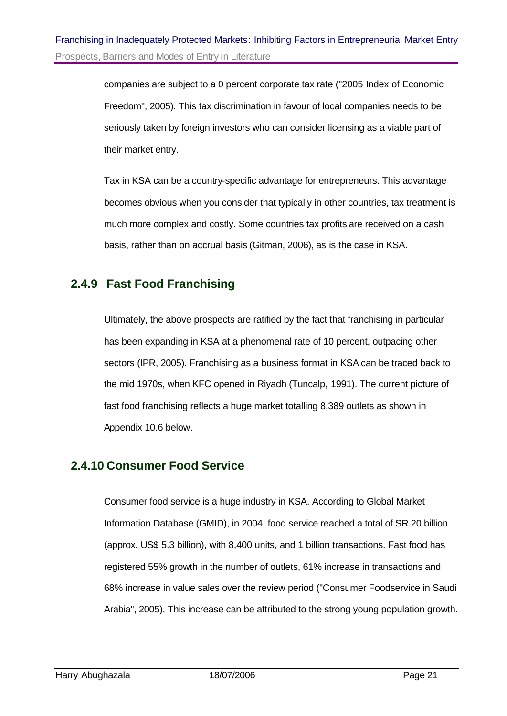companies are subject to a 0 percent corporate tax rate ("2005 Index of Economic Freedom", 2005). This tax discrimination in favour of local companies needs to be seriously taken by foreign investors who can consider licensing as a viable part of their market entry.

Tax in KSA can be a country-specific advantage for entrepreneurs. This advantage becomes obvious when you consider that typically in other countries, tax treatment is much more complex and costly. Some countries tax profits are received on a cash basis, rather than on accrual basis (Gitman, 2006), as is the case in KSA.

#### **2.4.9 Fast Food Franchising**

Ultimately, the above prospects are ratified by the fact that franchising in particular has been expanding in KSA at a phenomenal rate of 10 percent, outpacing other sectors (IPR, 2005). Franchising as a business format in KSA can be traced back to the mid 1970s, when KFC opened in Riyadh (Tuncalp, 1991). The current picture of fast food franchising reflects a huge market totalling 8,389 outlets as shown in Appendix 10.6 below.

#### **2.4.10 Consumer Food Service**

Consumer food service is a huge industry in KSA. According to Global Market Information Database (GMID), in 2004, food service reached a total of SR 20 billion (approx. US\$ 5.3 billion), with 8,400 units, and 1 billion transactions. Fast food has registered 55% growth in the number of outlets, 61% increase in transactions and 68% increase in value sales over the review period ("Consumer Foodservice in Saudi Arabia", 2005). This increase can be attributed to the strong young population growth.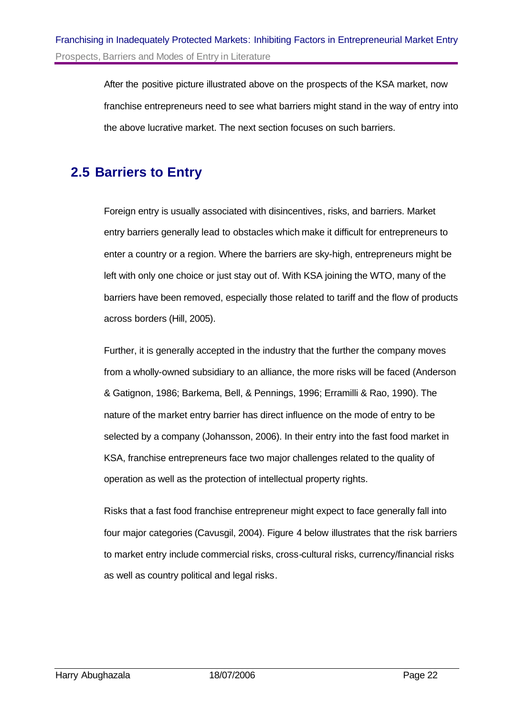After the positive picture illustrated above on the prospects of the KSA market, now franchise entrepreneurs need to see what barriers might stand in the way of entry into the above lucrative market. The next section focuses on such barriers.

### **2.5 Barriers to Entry**

Foreign entry is usually associated with disincentives, risks, and barriers. Market entry barriers generally lead to obstacles which make it difficult for entrepreneurs to enter a country or a region. Where the barriers are sky-high, entrepreneurs might be left with only one choice or just stay out of. With KSA joining the WTO, many of the barriers have been removed, especially those related to tariff and the flow of products across borders (Hill, 2005).

Further, it is generally accepted in the industry that the further the company moves from a wholly-owned subsidiary to an alliance, the more risks will be faced (Anderson & Gatignon, 1986; Barkema, Bell, & Pennings, 1996; Erramilli & Rao, 1990). The nature of the market entry barrier has direct influence on the mode of entry to be selected by a company (Johansson, 2006). In their entry into the fast food market in KSA, franchise entrepreneurs face two major challenges related to the quality of operation as well as the protection of intellectual property rights.

Risks that a fast food franchise entrepreneur might expect to face generally fall into four major categories (Cavusgil, 2004). Figure 4 below illustrates that the risk barriers to market entry include commercial risks, cross-cultural risks, currency/financial risks as well as country political and legal risks.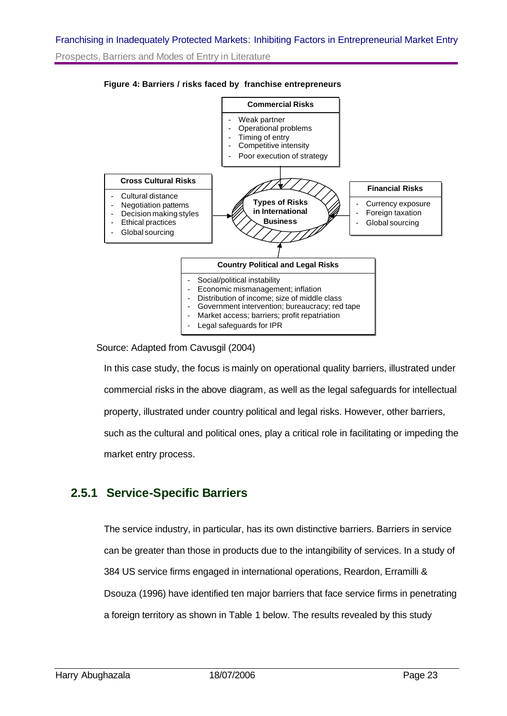#### Franchising in Inadequately Protected Markets: Inhibiting Factors in Entrepreneurial Market Entry

Prospects, Barriers and Modes of Entry in Literature



#### **Figure 4: Barriers / risks faced by franchise entrepreneurs**

Source: Adapted from Cavusgil (2004)

In this case study, the focus is mainly on operational quality barriers, illustrated under commercial risks in the above diagram, as well as the legal safeguards for intellectual property, illustrated under country political and legal risks. However, other barriers, such as the cultural and political ones, play a critical role in facilitating or impeding the market entry process.

#### **2.5.1 Service-Specific Barriers**

The service industry, in particular, has its own distinctive barriers. Barriers in service can be greater than those in products due to the intangibility of services. In a study of 384 US service firms engaged in international operations, Reardon, Erramilli & Dsouza (1996) have identified ten major barriers that face service firms in penetrating a foreign territory as shown in Table 1 below. The results revealed by this study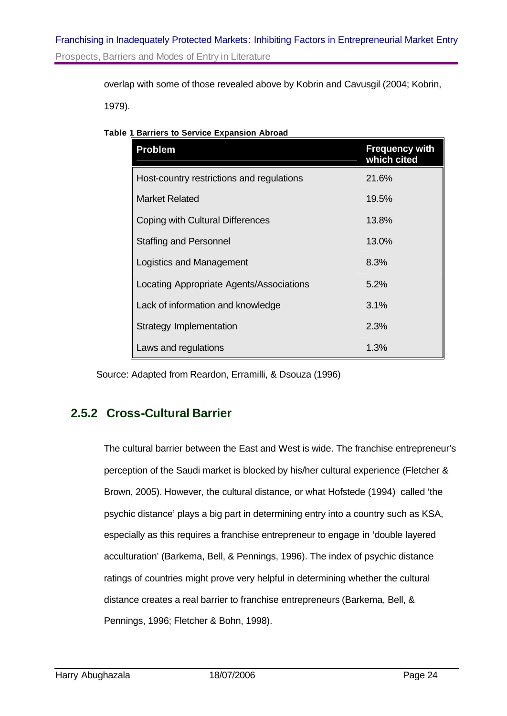overlap with some of those revealed above by Kobrin and Cavusgil (2004; Kobrin,

1979).

|  | <b>Table 1 Barriers to Service Expansion Abroad</b> |  |
|--|-----------------------------------------------------|--|
|  |                                                     |  |

| <b>Problem</b>                            | <b>Frequency with</b><br>which cited |
|-------------------------------------------|--------------------------------------|
| Host-country restrictions and regulations | 21.6%                                |
| <b>Market Related</b>                     | 19.5%                                |
| Coping with Cultural Differences          | 13.8%                                |
| <b>Staffing and Personnel</b>             | 13.0%                                |
| Logistics and Management                  | 8.3%                                 |
| Locating Appropriate Agents/Associations  | 5.2%                                 |
| Lack of information and knowledge         | 3.1%                                 |
| Strategy Implementation                   | 2.3%                                 |
| Laws and regulations                      | 1.3%                                 |

Source: Adapted from Reardon, Erramilli, & Dsouza (1996)

#### **2.5.2 Cross-Cultural Barrier**

The cultural barrier between the East and West is wide. The franchise entrepreneur's perception of the Saudi market is blocked by his/her cultural experience (Fletcher & Brown, 2005). However, the cultural distance, or what Hofstede (1994) called 'the psychic distance' plays a big part in determining entry into a country such as KSA, especially as this requires a franchise entrepreneur to engage in 'double layered acculturation' (Barkema, Bell, & Pennings, 1996). The index of psychic distance ratings of countries might prove very helpful in determining whether the cultural distance creates a real barrier to franchise entrepreneurs (Barkema, Bell, & Pennings, 1996; Fletcher & Bohn, 1998).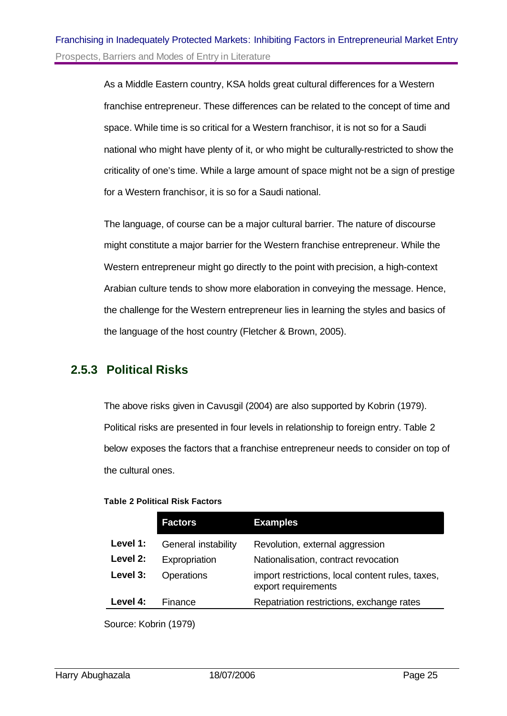As a Middle Eastern country, KSA holds great cultural differences for a Western franchise entrepreneur. These differences can be related to the concept of time and space. While time is so critical for a Western franchisor, it is not so for a Saudi national who might have plenty of it, or who might be culturally-restricted to show the criticality of one's time. While a large amount of space might not be a sign of prestige for a Western franchisor, it is so for a Saudi national.

The language, of course can be a major cultural barrier. The nature of discourse might constitute a major barrier for the Western franchise entrepreneur. While the Western entrepreneur might go directly to the point with precision, a high-context Arabian culture tends to show more elaboration in conveying the message. Hence, the challenge for the Western entrepreneur lies in learning the styles and basics of the language of the host country (Fletcher & Brown, 2005).

#### **2.5.3 Political Risks**

The above risks given in Cavusgil (2004) are also supported by Kobrin (1979). Political risks are presented in four levels in relationship to foreign entry. Table 2 below exposes the factors that a franchise entrepreneur needs to consider on top of the cultural ones.

#### **Table 2 Political Risk Factors**

|          | <b>Factors</b>      | <b>Examples</b>                                                         |
|----------|---------------------|-------------------------------------------------------------------------|
| Level 1: | General instability | Revolution, external aggression                                         |
| Level 2: | Expropriation       | Nationalisation, contract revocation                                    |
| Level 3: | Operations          | import restrictions, local content rules, taxes,<br>export requirements |
| Level 4: | Finance             | Repatriation restrictions, exchange rates                               |
|          |                     |                                                                         |

Source: Kobrin (1979)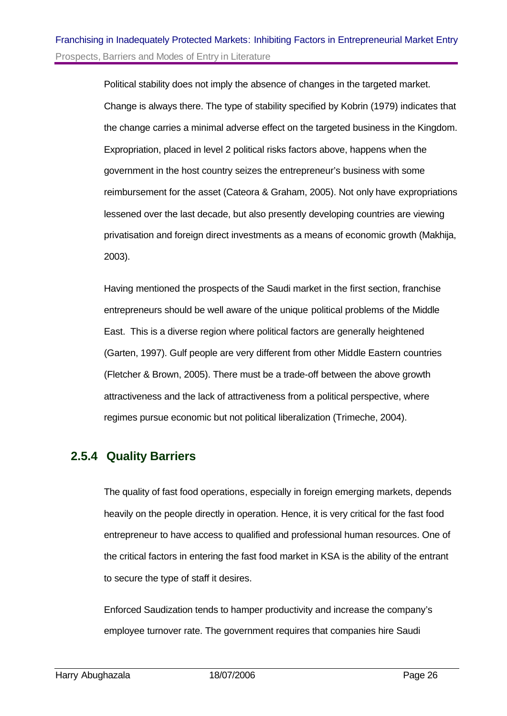Political stability does not imply the absence of changes in the targeted market. Change is always there. The type of stability specified by Kobrin (1979) indicates that the change carries a minimal adverse effect on the targeted business in the Kingdom. Expropriation, placed in level 2 political risks factors above, happens when the government in the host country seizes the entrepreneur's business with some reimbursement for the asset (Cateora & Graham, 2005). Not only have expropriations lessened over the last decade, but also presently developing countries are viewing privatisation and foreign direct investments as a means of economic growth (Makhija, 2003).

Having mentioned the prospects of the Saudi market in the first section, franchise entrepreneurs should be well aware of the unique political problems of the Middle East. This is a diverse region where political factors are generally heightened (Garten, 1997). Gulf people are very different from other Middle Eastern countries (Fletcher & Brown, 2005). There must be a trade-off between the above growth attractiveness and the lack of attractiveness from a political perspective, where regimes pursue economic but not political liberalization (Trimeche, 2004).

#### **2.5.4 Quality Barriers**

The quality of fast food operations, especially in foreign emerging markets, depends heavily on the people directly in operation. Hence, it is very critical for the fast food entrepreneur to have access to qualified and professional human resources. One of the critical factors in entering the fast food market in KSA is the ability of the entrant to secure the type of staff it desires.

Enforced Saudization tends to hamper productivity and increase the company's employee turnover rate. The government requires that companies hire Saudi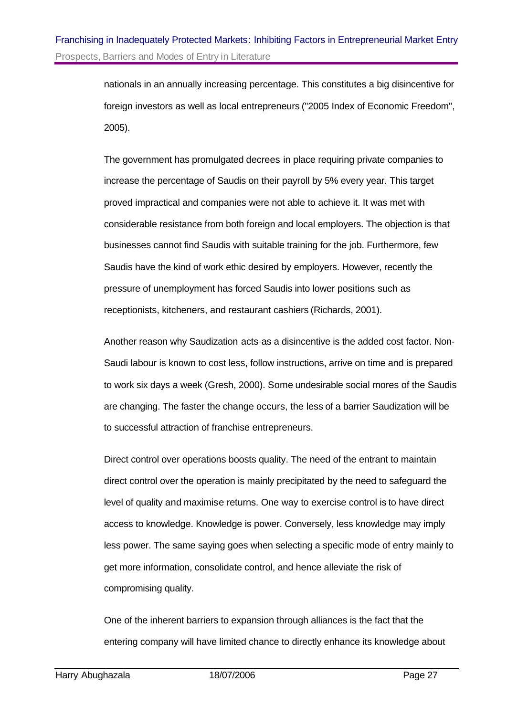nationals in an annually increasing percentage. This constitutes a big disincentive for foreign investors as well as local entrepreneurs ("2005 Index of Economic Freedom", 2005).

The government has promulgated decrees in place requiring private companies to increase the percentage of Saudis on their payroll by 5% every year. This target proved impractical and companies were not able to achieve it. It was met with considerable resistance from both foreign and local employers. The objection is that businesses cannot find Saudis with suitable training for the job. Furthermore, few Saudis have the kind of work ethic desired by employers. However, recently the pressure of unemployment has forced Saudis into lower positions such as receptionists, kitcheners, and restaurant cashiers (Richards, 2001).

Another reason why Saudization acts as a disincentive is the added cost factor. Non-Saudi labour is known to cost less, follow instructions, arrive on time and is prepared to work six days a week (Gresh, 2000). Some undesirable social mores of the Saudis are changing. The faster the change occurs, the less of a barrier Saudization will be to successful attraction of franchise entrepreneurs.

Direct control over operations boosts quality. The need of the entrant to maintain direct control over the operation is mainly precipitated by the need to safeguard the level of quality and maximise returns. One way to exercise control is to have direct access to knowledge. Knowledge is power. Conversely, less knowledge may imply less power. The same saying goes when selecting a specific mode of entry mainly to get more information, consolidate control, and hence alleviate the risk of compromising quality.

One of the inherent barriers to expansion through alliances is the fact that the entering company will have limited chance to directly enhance its knowledge about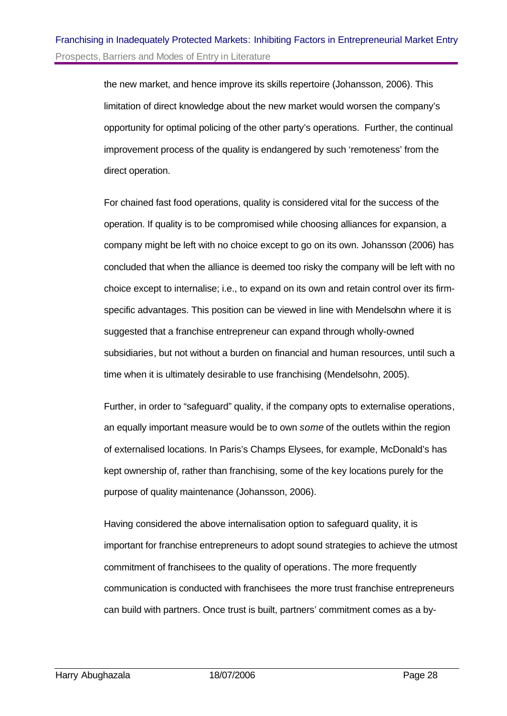the new market, and hence improve its skills repertoire (Johansson, 2006). This limitation of direct knowledge about the new market would worsen the company's opportunity for optimal policing of the other party's operations. Further, the continual improvement process of the quality is endangered by such 'remoteness' from the direct operation.

For chained fast food operations, quality is considered vital for the success of the operation. If quality is to be compromised while choosing alliances for expansion, a company might be left with no choice except to go on its own. Johansson (2006) has concluded that when the alliance is deemed too risky the company will be left with no choice except to internalise; i.e., to expand on its own and retain control over its firmspecific advantages. This position can be viewed in line with Mendelsohn where it is suggested that a franchise entrepreneur can expand through wholly-owned subsidiaries, but not without a burden on financial and human resources, until such a time when it is ultimately desirable to use franchising (Mendelsohn, 2005).

Further, in order to "safeguard" quality, if the company opts to externalise operations, an equally important measure would be to own *some* of the outlets within the region of externalised locations. In Paris's Champs Elysees, for example, McDonald's has kept ownership of, rather than franchising, some of the key locations purely for the purpose of quality maintenance (Johansson, 2006).

Having considered the above internalisation option to safeguard quality, it is important for franchise entrepreneurs to adopt sound strategies to achieve the utmost commitment of franchisees to the quality of operations. The more frequently communication is conducted with franchisees the more trust franchise entrepreneurs can build with partners. Once trust is built, partners' commitment comes as a by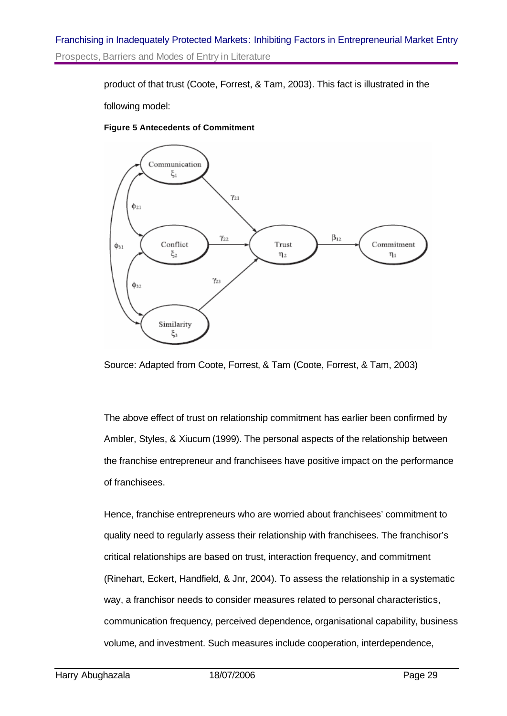product of that trust (Coote, Forrest, & Tam, 2003). This fact is illustrated in the

following model:

#### **Figure 5 Antecedents of Commitment**



Source: Adapted from Coote, Forrest, & Tam (Coote, Forrest, & Tam, 2003)

The above effect of trust on relationship commitment has earlier been confirmed by Ambler, Styles, & Xiucum (1999). The personal aspects of the relationship between the franchise entrepreneur and franchisees have positive impact on the performance of franchisees.

Hence, franchise entrepreneurs who are worried about franchisees' commitment to quality need to regularly assess their relationship with franchisees. The franchisor's critical relationships are based on trust, interaction frequency, and commitment (Rinehart, Eckert, Handfield, & Jnr, 2004). To assess the relationship in a systematic way, a franchisor needs to consider measures related to personal characteristics, communication frequency, perceived dependence, organisational capability, business volume, and investment. Such measures include cooperation, interdependence,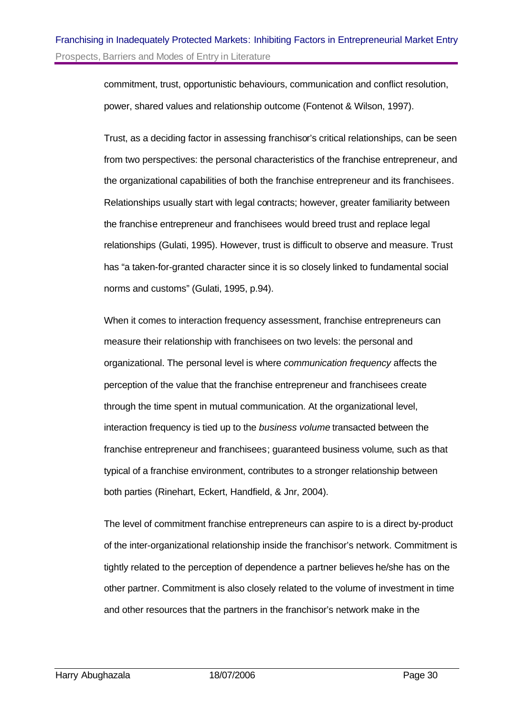commitment, trust, opportunistic behaviours, communication and conflict resolution, power, shared values and relationship outcome (Fontenot & Wilson, 1997).

Trust, as a deciding factor in assessing franchisor's critical relationships, can be seen from two perspectives: the personal characteristics of the franchise entrepreneur, and the organizational capabilities of both the franchise entrepreneur and its franchisees. Relationships usually start with legal contracts; however, greater familiarity between the franchise entrepreneur and franchisees would breed trust and replace legal relationships (Gulati, 1995). However, trust is difficult to observe and measure. Trust has "a taken-for-granted character since it is so closely linked to fundamental social norms and customs" (Gulati, 1995, p.94).

When it comes to interaction frequency assessment, franchise entrepreneurs can measure their relationship with franchisees on two levels: the personal and organizational. The personal level is where *communication frequency* affects the perception of the value that the franchise entrepreneur and franchisees create through the time spent in mutual communication. At the organizational level, interaction frequency is tied up to the *business volume* transacted between the franchise entrepreneur and franchisees; guaranteed business volume, such as that typical of a franchise environment, contributes to a stronger relationship between both parties (Rinehart, Eckert, Handfield, & Jnr, 2004).

The level of commitment franchise entrepreneurs can aspire to is a direct by-product of the inter-organizational relationship inside the franchisor's network. Commitment is tightly related to the perception of dependence a partner believes he/she has on the other partner. Commitment is also closely related to the volume of investment in time and other resources that the partners in the franchisor's network make in the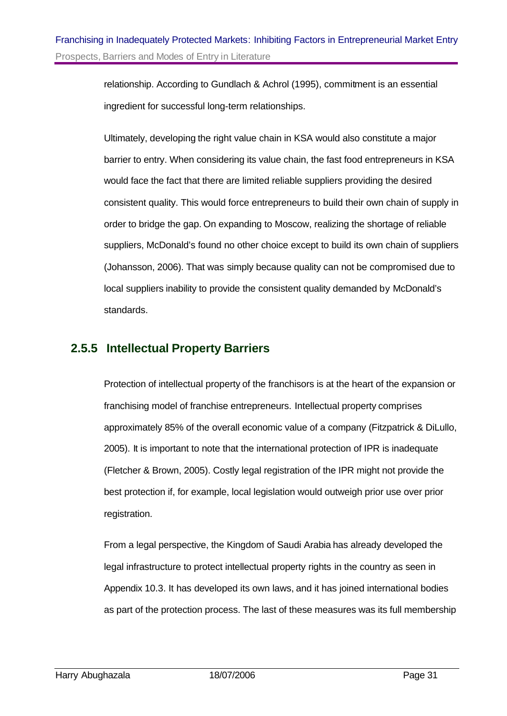relationship. According to Gundlach & Achrol (1995), commitment is an essential ingredient for successful long-term relationships.

Ultimately, developing the right value chain in KSA would also constitute a major barrier to entry. When considering its value chain, the fast food entrepreneurs in KSA would face the fact that there are limited reliable suppliers providing the desired consistent quality. This would force entrepreneurs to build their own chain of supply in order to bridge the gap. On expanding to Moscow, realizing the shortage of reliable suppliers, McDonald's found no other choice except to build its own chain of suppliers (Johansson, 2006). That was simply because quality can not be compromised due to local suppliers inability to provide the consistent quality demanded by McDonald's standards.

## **2.5.5 Intellectual Property Barriers**

Protection of intellectual property of the franchisors is at the heart of the expansion or franchising model of franchise entrepreneurs. Intellectual property comprises approximately 85% of the overall economic value of a company (Fitzpatrick & DiLullo, 2005). It is important to note that the international protection of IPR is inadequate (Fletcher & Brown, 2005). Costly legal registration of the IPR might not provide the best protection if, for example, local legislation would outweigh prior use over prior registration.

From a legal perspective, the Kingdom of Saudi Arabia has already developed the legal infrastructure to protect intellectual property rights in the country as seen in Appendix 10.3. It has developed its own laws, and it has joined international bodies as part of the protection process. The last of these measures was its full membership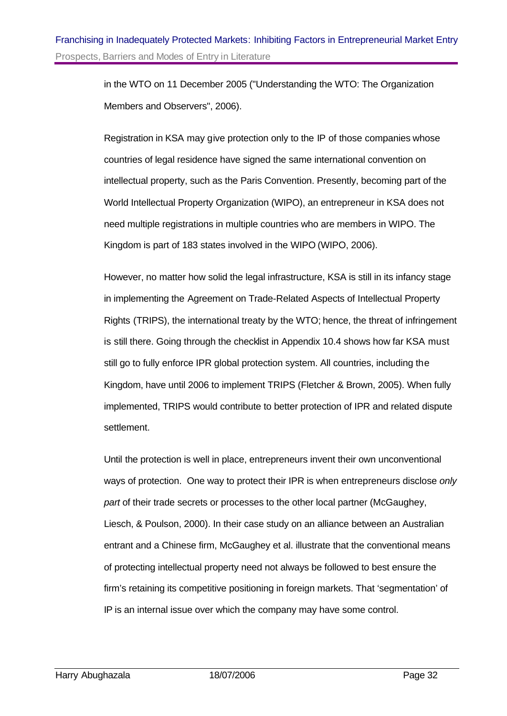in the WTO on 11 December 2005 ("Understanding the WTO: The Organization Members and Observers", 2006).

Registration in KSA may give protection only to the IP of those companies whose countries of legal residence have signed the same international convention on intellectual property, such as the Paris Convention. Presently, becoming part of the World Intellectual Property Organization (WIPO), an entrepreneur in KSA does not need multiple registrations in multiple countries who are members in WIPO. The Kingdom is part of 183 states involved in the WIPO (WIPO, 2006).

However, no matter how solid the legal infrastructure, KSA is still in its infancy stage in implementing the Agreement on Trade-Related Aspects of Intellectual Property Rights (TRIPS), the international treaty by the WTO; hence, the threat of infringement is still there. Going through the checklist in Appendix 10.4 shows how far KSA must still go to fully enforce IPR global protection system. All countries, including the Kingdom, have until 2006 to implement TRIPS (Fletcher & Brown, 2005). When fully implemented, TRIPS would contribute to better protection of IPR and related dispute settlement.

Until the protection is well in place, entrepreneurs invent their own unconventional ways of protection. One way to protect their IPR is when entrepreneurs disclose *only part* of their trade secrets or processes to the other local partner (McGaughey, Liesch, & Poulson, 2000). In their case study on an alliance between an Australian entrant and a Chinese firm, McGaughey et al. illustrate that the conventional means of protecting intellectual property need not always be followed to best ensure the firm's retaining its competitive positioning in foreign markets. That 'segmentation' of IP is an internal issue over which the company may have some control.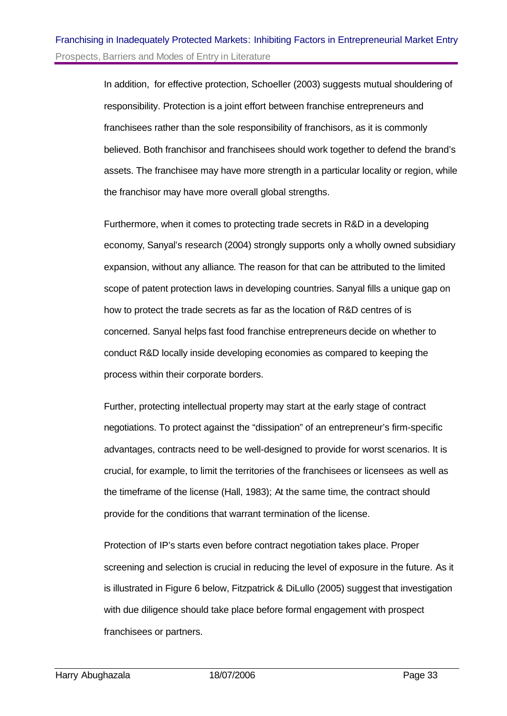In addition, for effective protection, Schoeller (2003) suggests mutual shouldering of responsibility. Protection is a joint effort between franchise entrepreneurs and franchisees rather than the sole responsibility of franchisors, as it is commonly believed. Both franchisor and franchisees should work together to defend the brand's assets. The franchisee may have more strength in a particular locality or region, while the franchisor may have more overall global strengths.

Furthermore, when it comes to protecting trade secrets in R&D in a developing economy, Sanyal's research (2004) strongly supports only a wholly owned subsidiary expansion, without any alliance. The reason for that can be attributed to the limited scope of patent protection laws in developing countries. Sanyal fills a unique gap on how to protect the trade secrets as far as the location of R&D centres of is concerned. Sanyal helps fast food franchise entrepreneurs decide on whether to conduct R&D locally inside developing economies as compared to keeping the process within their corporate borders.

Further, protecting intellectual property may start at the early stage of contract negotiations. To protect against the "dissipation" of an entrepreneur's firm-specific advantages, contracts need to be well-designed to provide for worst scenarios. It is crucial, for example, to limit the territories of the franchisees or licensees as well as the timeframe of the license (Hall, 1983); At the same time, the contract should provide for the conditions that warrant termination of the license.

Protection of IP's starts even before contract negotiation takes place. Proper screening and selection is crucial in reducing the level of exposure in the future. As it is illustrated in Figure 6 below, Fitzpatrick & DiLullo (2005) suggest that investigation with due diligence should take place before formal engagement with prospect franchisees or partners.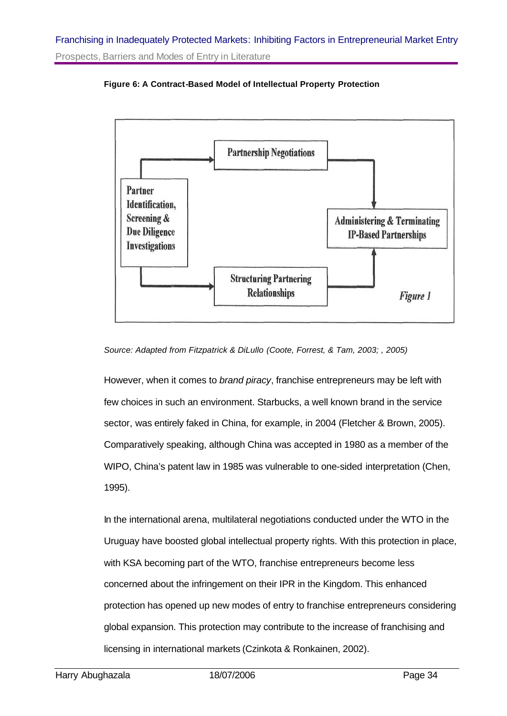

**Figure 6: A Contract-Based Model of Intellectual Property Protection**

*Source: Adapted from Fitzpatrick & DiLullo (Coote, Forrest, & Tam, 2003; , 2005)*

However, when it comes to *brand piracy*, franchise entrepreneurs may be left with few choices in such an environment. Starbucks, a well known brand in the service sector, was entirely faked in China, for example, in 2004 (Fletcher & Brown, 2005). Comparatively speaking, although China was accepted in 1980 as a member of the WIPO, China's patent law in 1985 was vulnerable to one-sided interpretation (Chen, 1995).

In the international arena, multilateral negotiations conducted under the WTO in the Uruguay have boosted global intellectual property rights. With this protection in place, with KSA becoming part of the WTO, franchise entrepreneurs become less concerned about the infringement on their IPR in the Kingdom. This enhanced protection has opened up new modes of entry to franchise entrepreneurs considering global expansion. This protection may contribute to the increase of franchising and licensing in international markets (Czinkota & Ronkainen, 2002).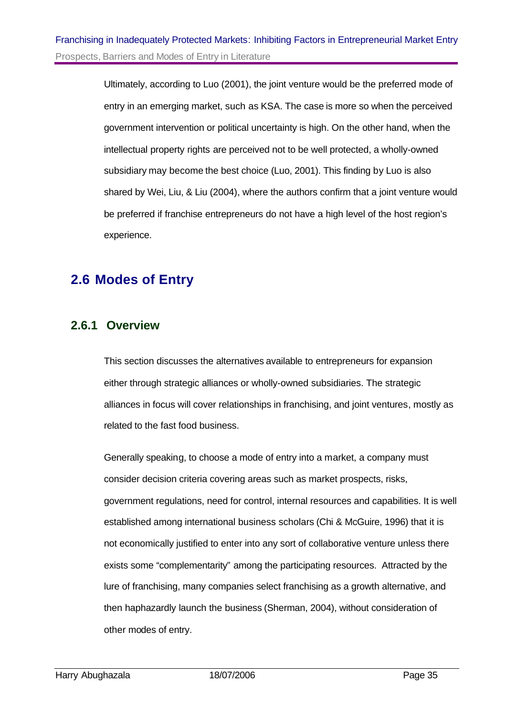Ultimately, according to Luo (2001), the joint venture would be the preferred mode of entry in an emerging market, such as KSA. The case is more so when the perceived government intervention or political uncertainty is high. On the other hand, when the intellectual property rights are perceived not to be well protected, a wholly-owned subsidiary may become the best choice (Luo, 2001). This finding by Luo is also shared by Wei, Liu, & Liu (2004), where the authors confirm that a joint venture would be preferred if franchise entrepreneurs do not have a high level of the host region's experience.

# **2.6 Modes of Entry**

## **2.6.1 Overview**

This section discusses the alternatives available to entrepreneurs for expansion either through strategic alliances or wholly-owned subsidiaries. The strategic alliances in focus will cover relationships in franchising, and joint ventures, mostly as related to the fast food business.

Generally speaking, to choose a mode of entry into a market, a company must consider decision criteria covering areas such as market prospects, risks, government regulations, need for control, internal resources and capabilities. It is well established among international business scholars (Chi & McGuire, 1996) that it is not economically justified to enter into any sort of collaborative venture unless there exists some "complementarity" among the participating resources. Attracted by the lure of franchising, many companies select franchising as a growth alternative, and then haphazardly launch the business (Sherman, 2004), without consideration of other modes of entry.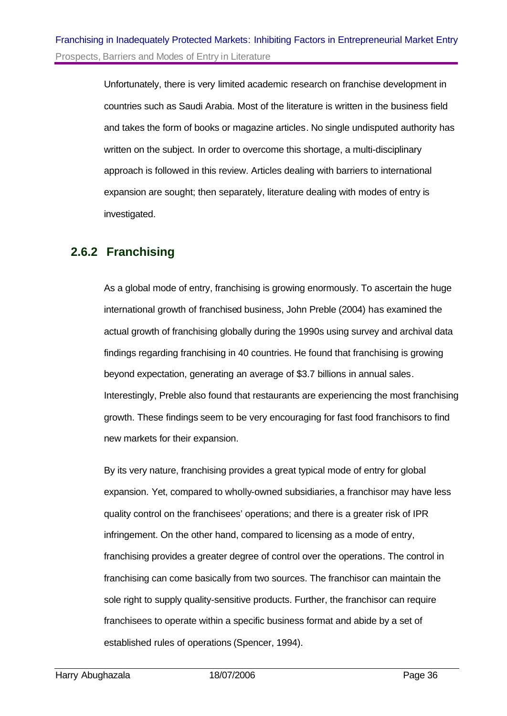Unfortunately, there is very limited academic research on franchise development in countries such as Saudi Arabia. Most of the literature is written in the business field and takes the form of books or magazine articles. No single undisputed authority has written on the subject. In order to overcome this shortage, a multi-disciplinary approach is followed in this review. Articles dealing with barriers to international expansion are sought; then separately, literature dealing with modes of entry is investigated.

## **2.6.2 Franchising**

As a global mode of entry, franchising is growing enormously. To ascertain the huge international growth of franchised business, John Preble (2004) has examined the actual growth of franchising globally during the 1990s using survey and archival data findings regarding franchising in 40 countries. He found that franchising is growing beyond expectation, generating an average of \$3.7 billions in annual sales. Interestingly, Preble also found that restaurants are experiencing the most franchising growth. These findings seem to be very encouraging for fast food franchisors to find new markets for their expansion.

By its very nature, franchising provides a great typical mode of entry for global expansion. Yet, compared to wholly-owned subsidiaries, a franchisor may have less quality control on the franchisees' operations; and there is a greater risk of IPR infringement. On the other hand, compared to licensing as a mode of entry, franchising provides a greater degree of control over the operations. The control in franchising can come basically from two sources. The franchisor can maintain the sole right to supply quality-sensitive products. Further, the franchisor can require franchisees to operate within a specific business format and abide by a set of established rules of operations (Spencer, 1994).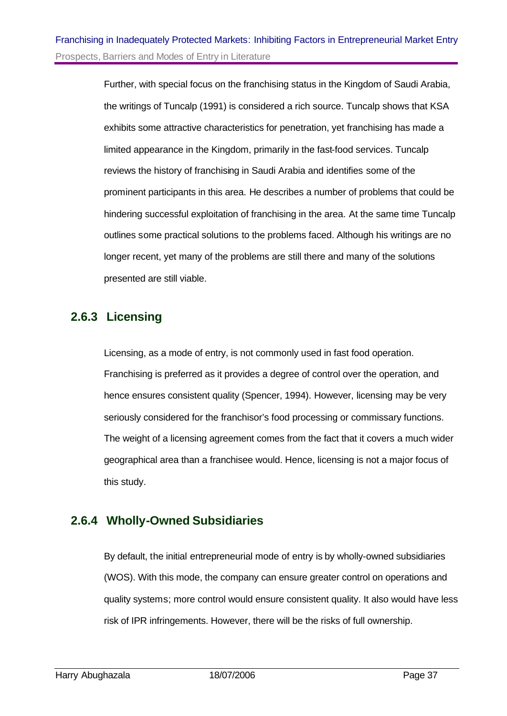Further, with special focus on the franchising status in the Kingdom of Saudi Arabia, the writings of Tuncalp (1991) is considered a rich source. Tuncalp shows that KSA exhibits some attractive characteristics for penetration, yet franchising has made a limited appearance in the Kingdom, primarily in the fast-food services. Tuncalp reviews the history of franchising in Saudi Arabia and identifies some of the prominent participants in this area. He describes a number of problems that could be hindering successful exploitation of franchising in the area. At the same time Tuncalp outlines some practical solutions to the problems faced. Although his writings are no longer recent, yet many of the problems are still there and many of the solutions presented are still viable.

## **2.6.3 Licensing**

Licensing, as a mode of entry, is not commonly used in fast food operation. Franchising is preferred as it provides a degree of control over the operation, and hence ensures consistent quality (Spencer, 1994). However, licensing may be very seriously considered for the franchisor's food processing or commissary functions. The weight of a licensing agreement comes from the fact that it covers a much wider geographical area than a franchisee would. Hence, licensing is not a major focus of this study.

## **2.6.4 Wholly-Owned Subsidiaries**

By default, the initial entrepreneurial mode of entry is by wholly-owned subsidiaries (WOS). With this mode, the company can ensure greater control on operations and quality systems; more control would ensure consistent quality. It also would have less risk of IPR infringements. However, there will be the risks of full ownership.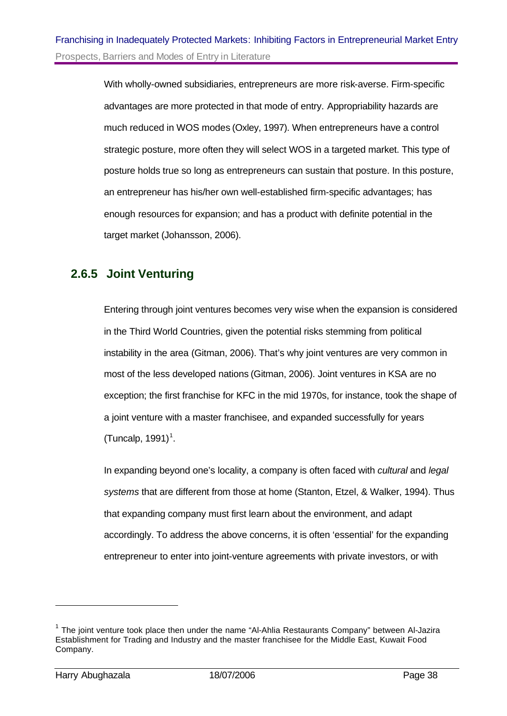With wholly-owned subsidiaries, entrepreneurs are more risk-averse. Firm-specific advantages are more protected in that mode of entry. Appropriability hazards are much reduced in WOS modes (Oxley, 1997). When entrepreneurs have a control strategic posture, more often they will select WOS in a targeted market. This type of posture holds true so long as entrepreneurs can sustain that posture. In this posture, an entrepreneur has his/her own well-established firm-specific advantages; has enough resources for expansion; and has a product with definite potential in the target market (Johansson, 2006).

## **2.6.5 Joint Venturing**

Entering through joint ventures becomes very wise when the expansion is considered in the Third World Countries, given the potential risks stemming from political instability in the area (Gitman, 2006). That's why joint ventures are very common in most of the less developed nations (Gitman, 2006). Joint ventures in KSA are no exception; the first franchise for KFC in the mid 1970s, for instance, took the shape of a joint venture with a master franchisee, and expanded successfully for years  $(T$ uncalp, 1991)<sup>1</sup>.

In expanding beyond one's locality, a company is often faced with *cultural* and *legal systems* that are different from those at home (Stanton, Etzel, & Walker, 1994). Thus that expanding company must first learn about the environment, and adapt accordingly. To address the above concerns, it is often 'essential' for the expanding entrepreneur to enter into joint-venture agreements with private investors, or with

l

<sup>&</sup>lt;sup>1</sup> The joint venture took place then under the name "Al-Ahlia Restaurants Company" between Al-Jazira Establishment for Trading and Industry and the master franchisee for the Middle East, Kuwait Food Company.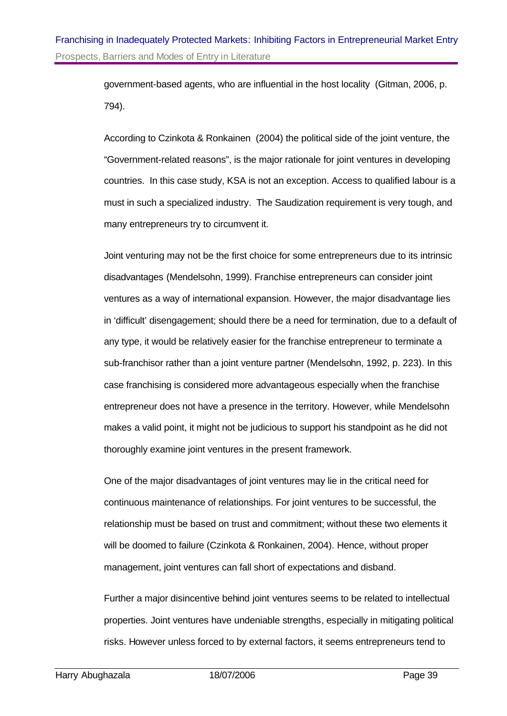## Franchising in Inadequately Protected Markets: Inhibiting Factors in Entrepreneurial Market Entry Prospects, Barriers and Modes of Entry in Literature

government-based agents, who are influential in the host locality (Gitman, 2006, p. 794).

According to Czinkota & Ronkainen (2004) the political side of the joint venture, the "Government-related reasons", is the major rationale for joint ventures in developing countries. In this case study, KSA is not an exception. Access to qualified labour is a must in such a specialized industry. The Saudization requirement is very tough, and many entrepreneurs try to circumvent it.

Joint venturing may not be the first choice for some entrepreneurs due to its intrinsic disadvantages (Mendelsohn, 1999). Franchise entrepreneurs can consider joint ventures as a way of international expansion. However, the major disadvantage lies in 'difficult' disengagement; should there be a need for termination, due to a default of any type, it would be relatively easier for the franchise entrepreneur to terminate a sub-franchisor rather than a joint venture partner (Mendelsohn, 1992, p. 223). In this case franchising is considered more advantageous especially when the franchise entrepreneur does not have a presence in the territory. However, while Mendelsohn makes a valid point, it might not be judicious to support his standpoint as he did not thoroughly examine joint ventures in the present framework.

One of the major disadvantages of joint ventures may lie in the critical need for continuous maintenance of relationships. For joint ventures to be successful, the relationship must be based on trust and commitment; without these two elements it will be doomed to failure (Czinkota & Ronkainen, 2004). Hence, without proper management, joint ventures can fall short of expectations and disband.

Further a major disincentive behind joint ventures seems to be related to intellectual properties. Joint ventures have undeniable strengths, especially in mitigating political risks. However unless forced to by external factors, it seems entrepreneurs tend to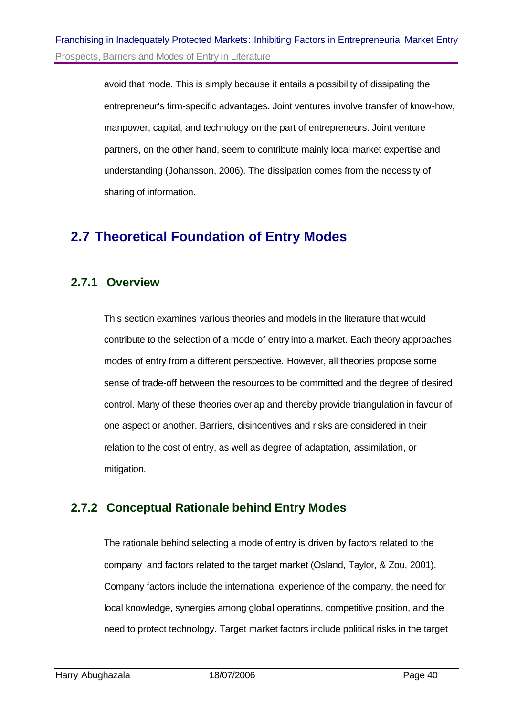avoid that mode. This is simply because it entails a possibility of dissipating the entrepreneur's firm-specific advantages. Joint ventures involve transfer of know-how, manpower, capital, and technology on the part of entrepreneurs. Joint venture partners, on the other hand, seem to contribute mainly local market expertise and understanding (Johansson, 2006). The dissipation comes from the necessity of sharing of information.

# **2.7 Theoretical Foundation of Entry Modes**

## **2.7.1 Overview**

This section examines various theories and models in the literature that would contribute to the selection of a mode of entry into a market. Each theory approaches modes of entry from a different perspective. However, all theories propose some sense of trade-off between the resources to be committed and the degree of desired control. Many of these theories overlap and thereby provide triangulation in favour of one aspect or another. Barriers, disincentives and risks are considered in their relation to the cost of entry, as well as degree of adaptation, assimilation, or mitigation.

## **2.7.2 Conceptual Rationale behind Entry Modes**

The rationale behind selecting a mode of entry is driven by factors related to the company and factors related to the target market (Osland, Taylor, & Zou, 2001). Company factors include the international experience of the company, the need for local knowledge, synergies among global operations, competitive position, and the need to protect technology. Target market factors include political risks in the target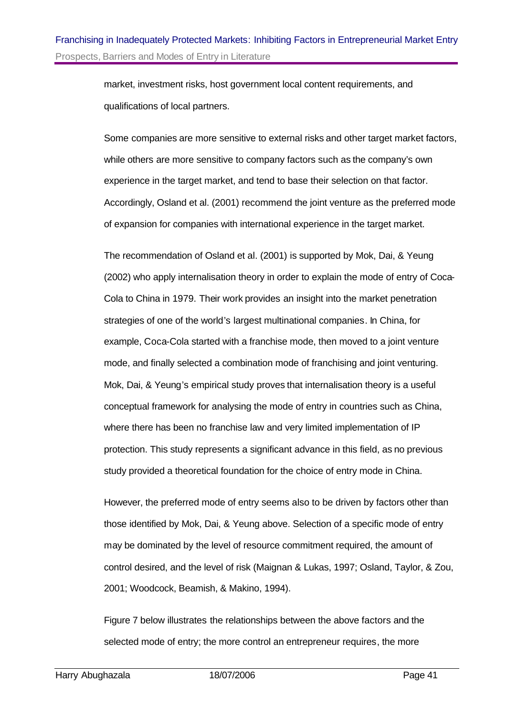market, investment risks, host government local content requirements, and qualifications of local partners.

Some companies are more sensitive to external risks and other target market factors, while others are more sensitive to company factors such as the company's own experience in the target market, and tend to base their selection on that factor. Accordingly, Osland et al. (2001) recommend the joint venture as the preferred mode of expansion for companies with international experience in the target market.

The recommendation of Osland et al. (2001) is supported by Mok, Dai, & Yeung (2002) who apply internalisation theory in order to explain the mode of entry of Coca-Cola to China in 1979. Their work provides an insight into the market penetration strategies of one of the world's largest multinational companies. In China, for example, Coca-Cola started with a franchise mode, then moved to a joint venture mode, and finally selected a combination mode of franchising and joint venturing. Mok, Dai, & Yeung's empirical study proves that internalisation theory is a useful conceptual framework for analysing the mode of entry in countries such as China, where there has been no franchise law and very limited implementation of IP protection. This study represents a significant advance in this field, as no previous study provided a theoretical foundation for the choice of entry mode in China.

However, the preferred mode of entry seems also to be driven by factors other than those identified by Mok, Dai, & Yeung above. Selection of a specific mode of entry may be dominated by the level of resource commitment required, the amount of control desired, and the level of risk (Maignan & Lukas, 1997; Osland, Taylor, & Zou, 2001; Woodcock, Beamish, & Makino, 1994).

Figure 7 below illustrates the relationships between the above factors and the selected mode of entry; the more control an entrepreneur requires, the more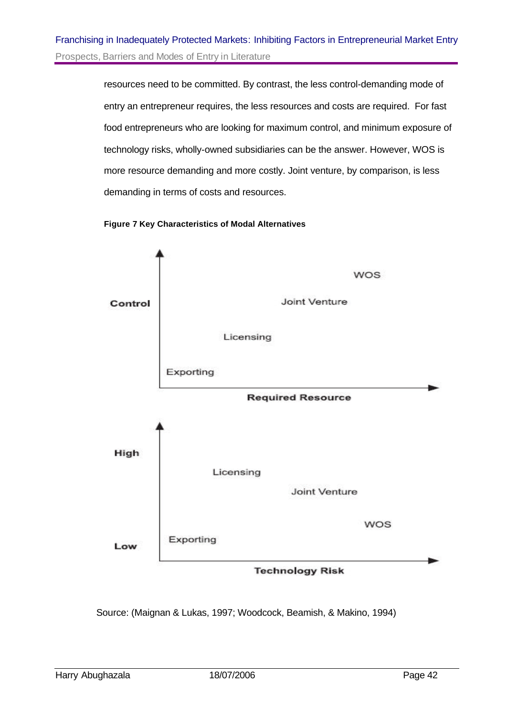resources need to be committed. By contrast, the less control-demanding mode of entry an entrepreneur requires, the less resources and costs are required. For fast food entrepreneurs who are looking for maximum control, and minimum exposure of technology risks, wholly-owned subsidiaries can be the answer. However, WOS is more resource demanding and more costly. Joint venture, by comparison, is less demanding in terms of costs and resources.

#### **Figure 7 Key Characteristics of Modal Alternatives**



Source: (Maignan & Lukas, 1997; Woodcock, Beamish, & Makino, 1994)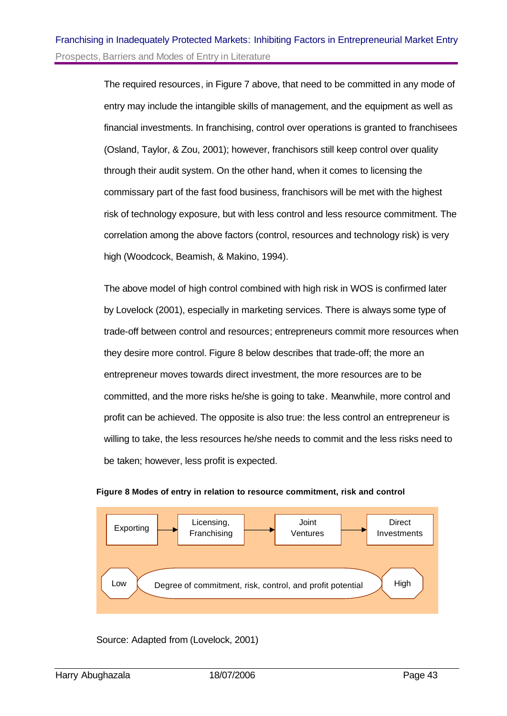The required resources, in Figure 7 above, that need to be committed in any mode of entry may include the intangible skills of management, and the equipment as well as financial investments. In franchising, control over operations is granted to franchisees (Osland, Taylor, & Zou, 2001); however, franchisors still keep control over quality through their audit system. On the other hand, when it comes to licensing the commissary part of the fast food business, franchisors will be met with the highest risk of technology exposure, but with less control and less resource commitment. The correlation among the above factors (control, resources and technology risk) is very high (Woodcock, Beamish, & Makino, 1994).

The above model of high control combined with high risk in WOS is confirmed later by Lovelock (2001), especially in marketing services. There is always some type of trade-off between control and resources; entrepreneurs commit more resources when they desire more control. Figure 8 below describes that trade-off; the more an entrepreneur moves towards direct investment, the more resources are to be committed, and the more risks he/she is going to take. Meanwhile, more control and profit can be achieved. The opposite is also true: the less control an entrepreneur is willing to take, the less resources he/she needs to commit and the less risks need to be taken; however, less profit is expected.





Source: Adapted from (Lovelock, 2001)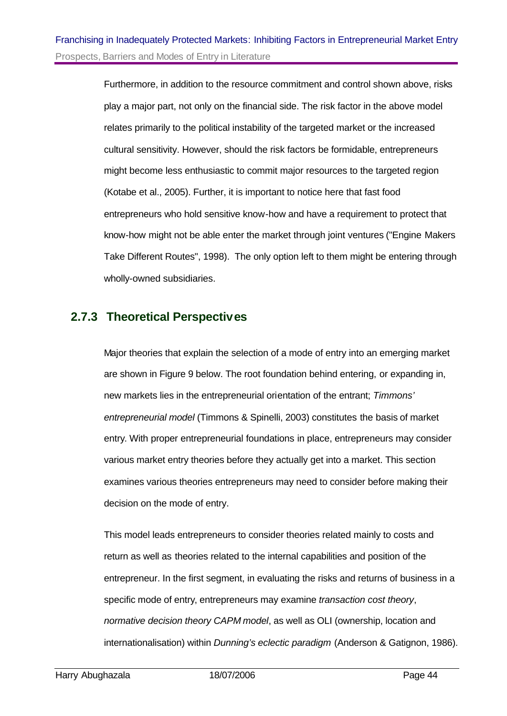Furthermore, in addition to the resource commitment and control shown above, risks play a major part, not only on the financial side. The risk factor in the above model relates primarily to the political instability of the targeted market or the increased cultural sensitivity. However, should the risk factors be formidable, entrepreneurs might become less enthusiastic to commit major resources to the targeted region (Kotabe et al., 2005). Further, it is important to notice here that fast food entrepreneurs who hold sensitive know-how and have a requirement to protect that know-how might not be able enter the market through joint ventures ("Engine Makers Take Different Routes", 1998). The only option left to them might be entering through wholly-owned subsidiaries.

## **2.7.3 Theoretical Perspectives**

Major theories that explain the selection of a mode of entry into an emerging market are shown in Figure 9 below. The root foundation behind entering, or expanding in, new markets lies in the entrepreneurial orientation of the entrant; *Timmons' entrepreneurial model* (Timmons & Spinelli, 2003) constitutes the basis of market entry. With proper entrepreneurial foundations in place, entrepreneurs may consider various market entry theories before they actually get into a market. This section examines various theories entrepreneurs may need to consider before making their decision on the mode of entry.

This model leads entrepreneurs to consider theories related mainly to costs and return as well as theories related to the internal capabilities and position of the entrepreneur. In the first segment, in evaluating the risks and returns of business in a specific mode of entry, entrepreneurs may examine *transaction cost theory*, *normative decision theory CAPM model*, as well as OLI (ownership, location and internationalisation) within *Dunning's eclectic paradigm* (Anderson & Gatignon, 1986).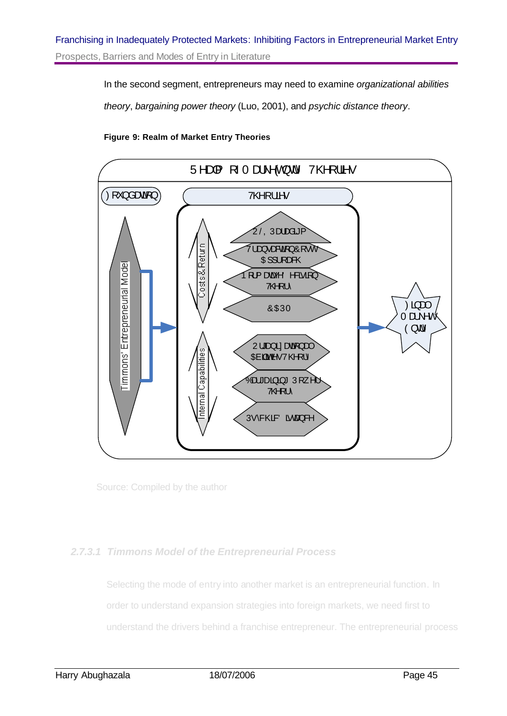In the second segment, entrepreneurs may need to examine *organizational abilities theory*, *bargaining power theory* (Luo, 2001), and *psychic distance theory*.

#### **Figure 9: Realm of Market Entry Theories**



Source: Compiled by the author

#### *2.7.3.1 Timmons Model of the Entrepreneurial Process*

Selecting the mode of entry into another market is an entrepreneurial function. In order to understand expansion strategies into foreign markets, we need first to understand the drivers behind a franchise entrepreneur. The entrepreneurial process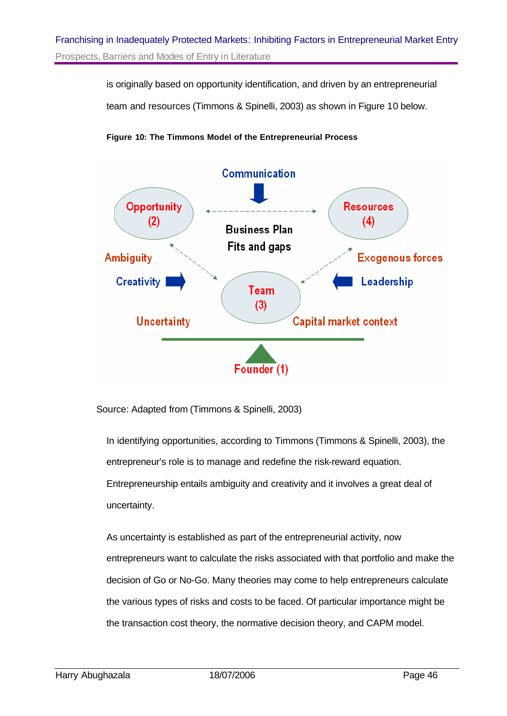is originally based on opportunity identification, and driven by an entrepreneurial

team and resources (Timmons & Spinelli, 2003) as shown in Figure 10 below.





Source: Adapted from (Timmons & Spinelli, 2003)

In identifying opportunities, according to Timmons (Timmons & Spinelli, 2003), the entrepreneur's role is to manage and redefine the risk-reward equation. Entrepreneurship entails ambiguity and creativity and it involves a great deal of uncertainty.

As uncertainty is established as part of the entrepreneurial activity, now entrepreneurs want to calculate the risks associated with that portfolio and make the decision of Go or No-Go. Many theories may come to help entrepreneurs calculate the various types of risks and costs to be faced. Of particular importance might be the transaction cost theory, the normative decision theory, and CAPM model.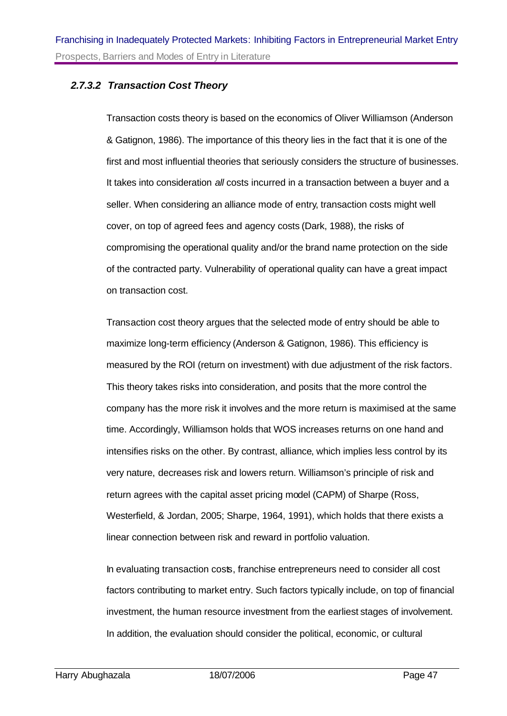#### *2.7.3.2 Transaction Cost Theory*

Transaction costs theory is based on the economics of Oliver Williamson (Anderson & Gatignon, 1986). The importance of this theory lies in the fact that it is one of the first and most influential theories that seriously considers the structure of businesses. It takes into consideration *all* costs incurred in a transaction between a buyer and a seller. When considering an alliance mode of entry, transaction costs might well cover, on top of agreed fees and agency costs (Dark, 1988), the risks of compromising the operational quality and/or the brand name protection on the side of the contracted party. Vulnerability of operational quality can have a great impact on transaction cost.

Transaction cost theory argues that the selected mode of entry should be able to maximize long-term efficiency (Anderson & Gatignon, 1986). This efficiency is measured by the ROI (return on investment) with due adjustment of the risk factors. This theory takes risks into consideration, and posits that the more control the company has the more risk it involves and the more return is maximised at the same time. Accordingly, Williamson holds that WOS increases returns on one hand and intensifies risks on the other. By contrast, alliance, which implies less control by its very nature, decreases risk and lowers return. Williamson's principle of risk and return agrees with the capital asset pricing model (CAPM) of Sharpe (Ross, Westerfield, & Jordan, 2005; Sharpe, 1964, 1991), which holds that there exists a linear connection between risk and reward in portfolio valuation.

In evaluating transaction costs, franchise entrepreneurs need to consider all cost factors contributing to market entry. Such factors typically include, on top of financial investment, the human resource investment from the earliest stages of involvement. In addition, the evaluation should consider the political, economic, or cultural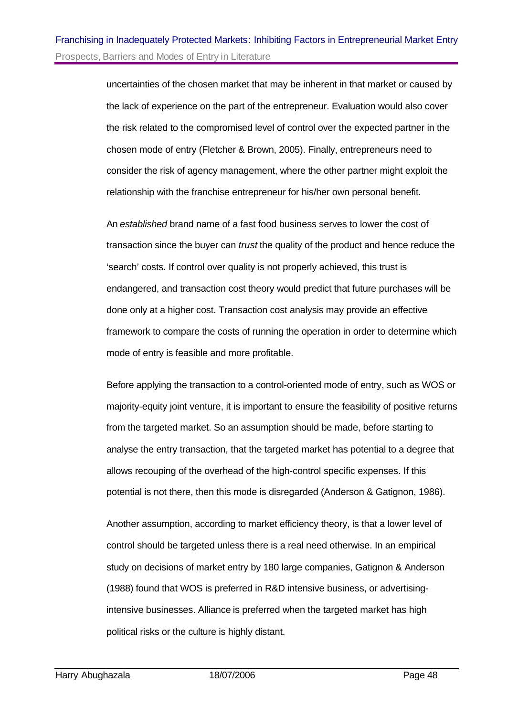uncertainties of the chosen market that may be inherent in that market or caused by the lack of experience on the part of the entrepreneur. Evaluation would also cover the risk related to the compromised level of control over the expected partner in the chosen mode of entry (Fletcher & Brown, 2005). Finally, entrepreneurs need to consider the risk of agency management, where the other partner might exploit the relationship with the franchise entrepreneur for his/her own personal benefit.

An *established* brand name of a fast food business serves to lower the cost of transaction since the buyer can *trust* the quality of the product and hence reduce the 'search' costs. If control over quality is not properly achieved, this trust is endangered, and transaction cost theory would predict that future purchases will be done only at a higher cost. Transaction cost analysis may provide an effective framework to compare the costs of running the operation in order to determine which mode of entry is feasible and more profitable.

Before applying the transaction to a control-oriented mode of entry, such as WOS or majority-equity joint venture, it is important to ensure the feasibility of positive returns from the targeted market. So an assumption should be made, before starting to analyse the entry transaction, that the targeted market has potential to a degree that allows recouping of the overhead of the high-control specific expenses. If this potential is not there, then this mode is disregarded (Anderson & Gatignon, 1986).

Another assumption, according to market efficiency theory, is that a lower level of control should be targeted unless there is a real need otherwise. In an empirical study on decisions of market entry by 180 large companies, Gatignon & Anderson (1988) found that WOS is preferred in R&D intensive business, or advertisingintensive businesses. Alliance is preferred when the targeted market has high political risks or the culture is highly distant.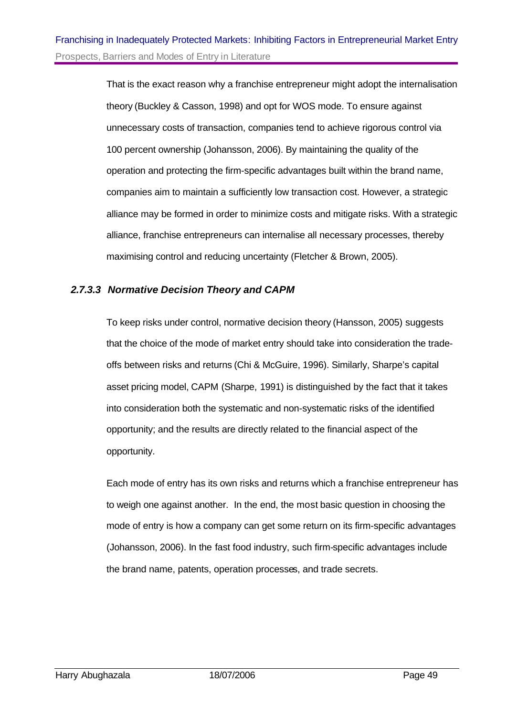That is the exact reason why a franchise entrepreneur might adopt the internalisation theory (Buckley & Casson, 1998) and opt for WOS mode. To ensure against unnecessary costs of transaction, companies tend to achieve rigorous control via 100 percent ownership (Johansson, 2006). By maintaining the quality of the operation and protecting the firm-specific advantages built within the brand name, companies aim to maintain a sufficiently low transaction cost. However, a strategic alliance may be formed in order to minimize costs and mitigate risks. With a strategic alliance, franchise entrepreneurs can internalise all necessary processes, thereby maximising control and reducing uncertainty (Fletcher & Brown, 2005).

#### *2.7.3.3 Normative Decision Theory and CAPM*

To keep risks under control, normative decision theory (Hansson, 2005) suggests that the choice of the mode of market entry should take into consideration the tradeoffs between risks and returns (Chi & McGuire, 1996). Similarly, Sharpe's capital asset pricing model, CAPM (Sharpe, 1991) is distinguished by the fact that it takes into consideration both the systematic and non-systematic risks of the identified opportunity; and the results are directly related to the financial aspect of the opportunity.

Each mode of entry has its own risks and returns which a franchise entrepreneur has to weigh one against another. In the end, the most basic question in choosing the mode of entry is how a company can get some return on its firm-specific advantages (Johansson, 2006). In the fast food industry, such firm-specific advantages include the brand name, patents, operation processes, and trade secrets.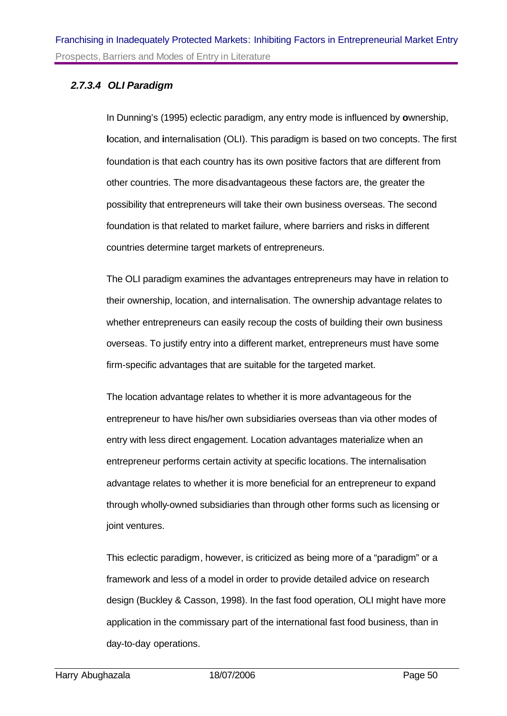#### *2.7.3.4 OLI Paradigm*

In Dunning's (1995) eclectic paradigm, any entry mode is influenced by **o**wnership, **l**ocation, and **i**nternalisation (OLI). This paradigm is based on two concepts. The first foundation is that each country has its own positive factors that are different from other countries. The more disadvantageous these factors are, the greater the possibility that entrepreneurs will take their own business overseas. The second foundation is that related to market failure, where barriers and risks in different countries determine target markets of entrepreneurs.

The OLI paradigm examines the advantages entrepreneurs may have in relation to their ownership, location, and internalisation. The ownership advantage relates to whether entrepreneurs can easily recoup the costs of building their own business overseas. To justify entry into a different market, entrepreneurs must have some firm-specific advantages that are suitable for the targeted market.

The location advantage relates to whether it is more advantageous for the entrepreneur to have his/her own subsidiaries overseas than via other modes of entry with less direct engagement. Location advantages materialize when an entrepreneur performs certain activity at specific locations. The internalisation advantage relates to whether it is more beneficial for an entrepreneur to expand through wholly-owned subsidiaries than through other forms such as licensing or joint ventures.

This eclectic paradigm, however, is criticized as being more of a "paradigm" or a framework and less of a model in order to provide detailed advice on research design (Buckley & Casson, 1998). In the fast food operation, OLI might have more application in the commissary part of the international fast food business, than in day-to-day operations.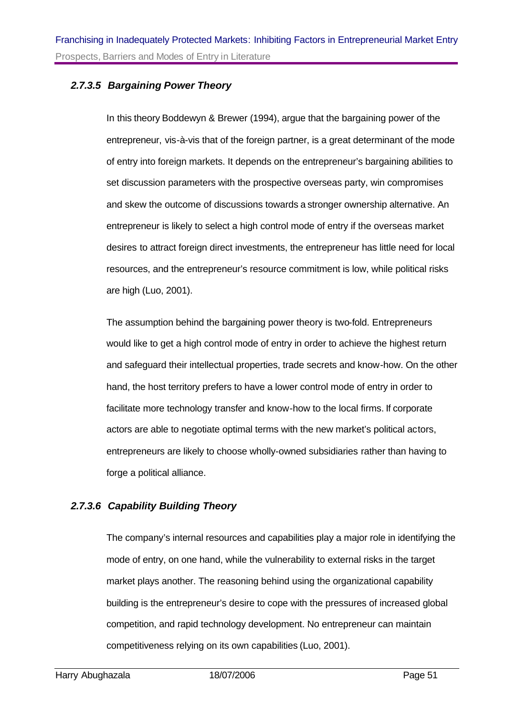#### *2.7.3.5 Bargaining Power Theory*

In this theory Boddewyn & Brewer (1994), argue that the bargaining power of the entrepreneur, vis-à-vis that of the foreign partner, is a great determinant of the mode of entry into foreign markets. It depends on the entrepreneur's bargaining abilities to set discussion parameters with the prospective overseas party, win compromises and skew the outcome of discussions towards a stronger ownership alternative. An entrepreneur is likely to select a high control mode of entry if the overseas market desires to attract foreign direct investments, the entrepreneur has little need for local resources, and the entrepreneur's resource commitment is low, while political risks are high (Luo, 2001).

The assumption behind the bargaining power theory is two-fold. Entrepreneurs would like to get a high control mode of entry in order to achieve the highest return and safeguard their intellectual properties, trade secrets and know-how. On the other hand, the host territory prefers to have a lower control mode of entry in order to facilitate more technology transfer and know-how to the local firms. If corporate actors are able to negotiate optimal terms with the new market's political actors, entrepreneurs are likely to choose wholly-owned subsidiaries rather than having to forge a political alliance.

#### *2.7.3.6 Capability Building Theory*

The company's internal resources and capabilities play a major role in identifying the mode of entry, on one hand, while the vulnerability to external risks in the target market plays another. The reasoning behind using the organizational capability building is the entrepreneur's desire to cope with the pressures of increased global competition, and rapid technology development. No entrepreneur can maintain competitiveness relying on its own capabilities (Luo, 2001).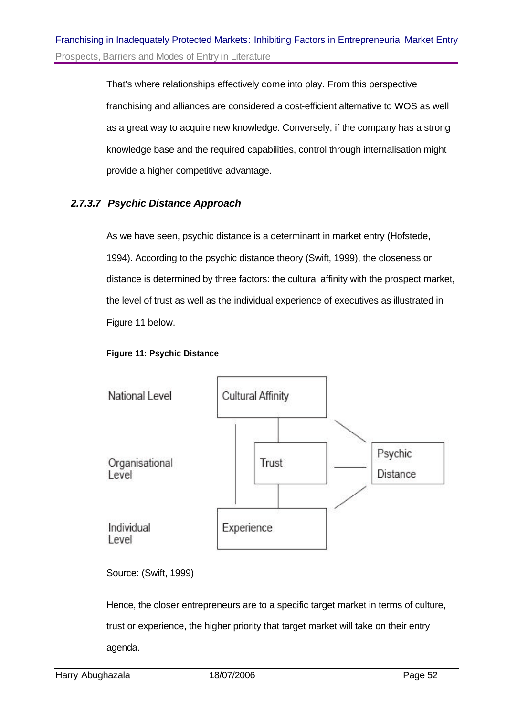That's where relationships effectively come into play. From this perspective franchising and alliances are considered a cost-efficient alternative to WOS as well as a great way to acquire new knowledge. Conversely, if the company has a strong knowledge base and the required capabilities, control through internalisation might provide a higher competitive advantage.

#### *2.7.3.7 Psychic Distance Approach*

As we have seen, psychic distance is a determinant in market entry (Hofstede, 1994). According to the psychic distance theory (Swift, 1999), the closeness or distance is determined by three factors: the cultural affinity with the prospect market, the level of trust as well as the individual experience of executives as illustrated in Figure 11 below.

#### **Figure 11: Psychic Distance**



Source: (Swift, 1999)

Hence, the closer entrepreneurs are to a specific target market in terms of culture, trust or experience, the higher priority that target market will take on their entry agenda.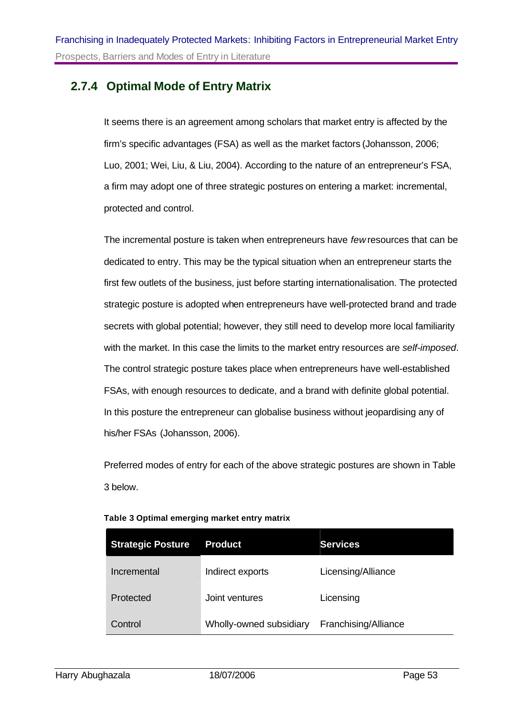## **2.7.4 Optimal Mode of Entry Matrix**

It seems there is an agreement among scholars that market entry is affected by the firm's specific advantages (FSA) as well as the market factors (Johansson, 2006; Luo, 2001; Wei, Liu, & Liu, 2004). According to the nature of an entrepreneur's FSA, a firm may adopt one of three strategic postures on entering a market: incremental, protected and control.

The incremental posture is taken when entrepreneurs have *few* resources that can be dedicated to entry. This may be the typical situation when an entrepreneur starts the first few outlets of the business, just before starting internationalisation. The protected strategic posture is adopted when entrepreneurs have well-protected brand and trade secrets with global potential; however, they still need to develop more local familiarity with the market. In this case the limits to the market entry resources are *self-imposed*. The control strategic posture takes place when entrepreneurs have well-established FSAs, with enough resources to dedicate, and a brand with definite global potential. In this posture the entrepreneur can globalise business without jeopardising any of his/her FSAs (Johansson, 2006).

Preferred modes of entry for each of the above strategic postures are shown in Table 3 below.

| <b>Strategic Posture</b> | <b>Product</b>          | <b>Services</b>      |
|--------------------------|-------------------------|----------------------|
| Incremental              | Indirect exports        | Licensing/Alliance   |
| Protected                | Joint ventures          | Licensing            |
| Control                  | Wholly-owned subsidiary | Franchising/Alliance |

#### **Table 3 Optimal emerging market entry matrix**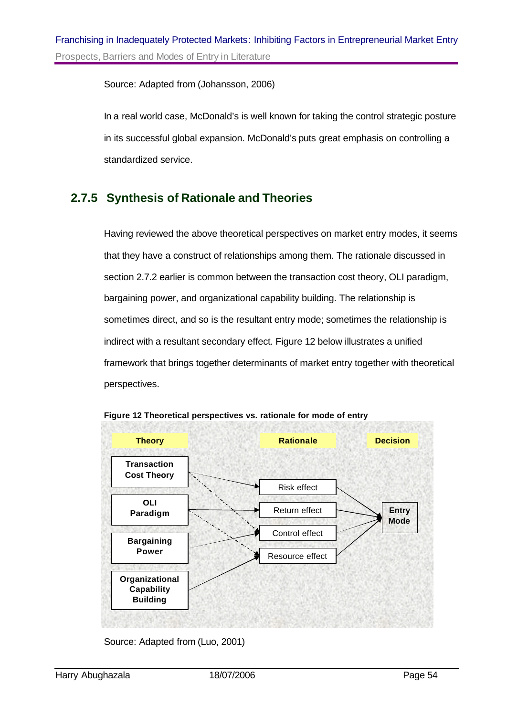Source: Adapted from (Johansson, 2006)

In a real world case, McDonald's is well known for taking the control strategic posture in its successful global expansion. McDonald's puts great emphasis on controlling a standardized service.

## **2.7.5 Synthesis of Rationale and Theories**

Having reviewed the above theoretical perspectives on market entry modes, it seems that they have a construct of relationships among them. The rationale discussed in section 2.7.2 earlier is common between the transaction cost theory, OLI paradigm, bargaining power, and organizational capability building. The relationship is sometimes direct, and so is the resultant entry mode; sometimes the relationship is indirect with a resultant secondary effect. Figure 12 below illustrates a unified framework that brings together determinants of market entry together with theoretical perspectives.



**Figure 12 Theoretical perspectives vs. rationale for mode of entry**

Source: Adapted from (Luo, 2001)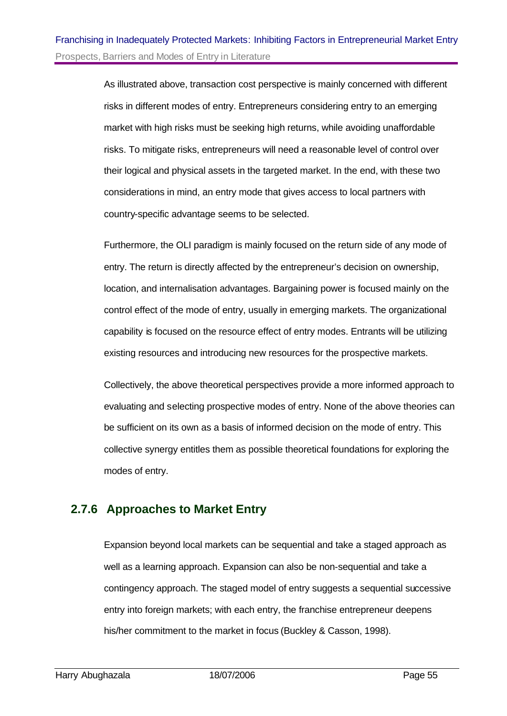As illustrated above, transaction cost perspective is mainly concerned with different risks in different modes of entry. Entrepreneurs considering entry to an emerging market with high risks must be seeking high returns, while avoiding unaffordable risks. To mitigate risks, entrepreneurs will need a reasonable level of control over their logical and physical assets in the targeted market. In the end, with these two considerations in mind, an entry mode that gives access to local partners with country-specific advantage seems to be selected.

Furthermore, the OLI paradigm is mainly focused on the return side of any mode of entry. The return is directly affected by the entrepreneur's decision on ownership, location, and internalisation advantages. Bargaining power is focused mainly on the control effect of the mode of entry, usually in emerging markets. The organizational capability is focused on the resource effect of entry modes. Entrants will be utilizing existing resources and introducing new resources for the prospective markets.

Collectively, the above theoretical perspectives provide a more informed approach to evaluating and selecting prospective modes of entry. None of the above theories can be sufficient on its own as a basis of informed decision on the mode of entry. This collective synergy entitles them as possible theoretical foundations for exploring the modes of entry.

## **2.7.6 Approaches to Market Entry**

Expansion beyond local markets can be sequential and take a staged approach as well as a learning approach. Expansion can also be non-sequential and take a contingency approach. The staged model of entry suggests a sequential successive entry into foreign markets; with each entry, the franchise entrepreneur deepens his/her commitment to the market in focus (Buckley & Casson, 1998).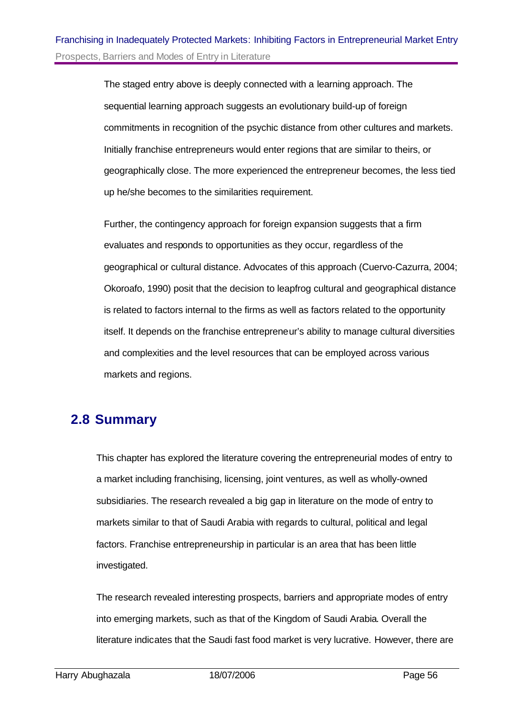The staged entry above is deeply connected with a learning approach. The sequential learning approach suggests an evolutionary build-up of foreign commitments in recognition of the psychic distance from other cultures and markets. Initially franchise entrepreneurs would enter regions that are similar to theirs, or geographically close. The more experienced the entrepreneur becomes, the less tied up he/she becomes to the similarities requirement.

Further, the contingency approach for foreign expansion suggests that a firm evaluates and responds to opportunities as they occur, regardless of the geographical or cultural distance. Advocates of this approach (Cuervo-Cazurra, 2004; Okoroafo, 1990) posit that the decision to leapfrog cultural and geographical distance is related to factors internal to the firms as well as factors related to the opportunity itself. It depends on the franchise entrepreneur's ability to manage cultural diversities and complexities and the level resources that can be employed across various markets and regions.

# **2.8 Summary**

This chapter has explored the literature covering the entrepreneurial modes of entry to a market including franchising, licensing, joint ventures, as well as wholly-owned subsidiaries. The research revealed a big gap in literature on the mode of entry to markets similar to that of Saudi Arabia with regards to cultural, political and legal factors. Franchise entrepreneurship in particular is an area that has been little investigated.

The research revealed interesting prospects, barriers and appropriate modes of entry into emerging markets, such as that of the Kingdom of Saudi Arabia. Overall the literature indicates that the Saudi fast food market is very lucrative. However, there are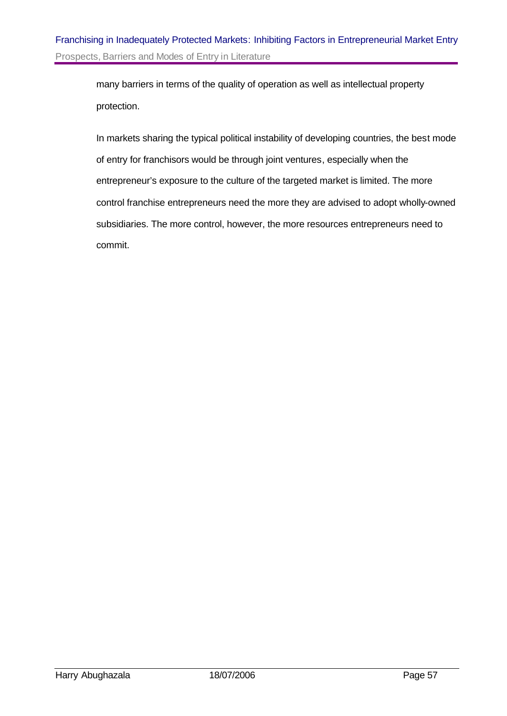many barriers in terms of the quality of operation as well as intellectual property protection.

In markets sharing the typical political instability of developing countries, the best mode of entry for franchisors would be through joint ventures, especially when the entrepreneur's exposure to the culture of the targeted market is limited. The more control franchise entrepreneurs need the more they are advised to adopt wholly-owned subsidiaries. The more control, however, the more resources entrepreneurs need to commit.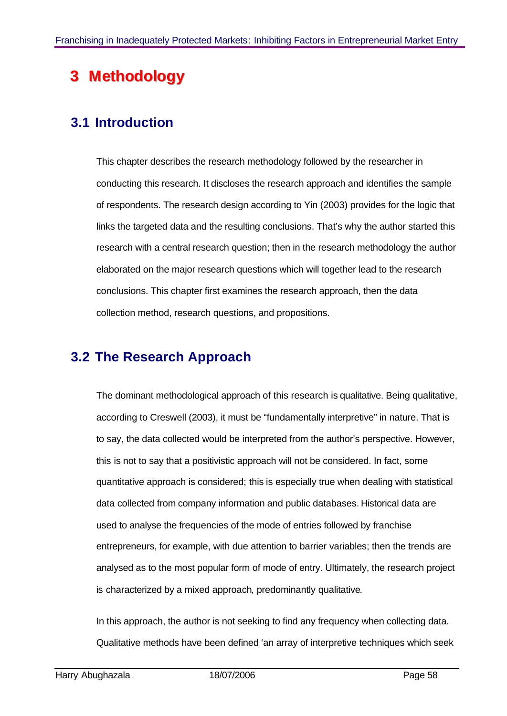# **Methodology**

# **3.1 Introduction**

This chapter describes the research methodology followed by the researcher in conducting this research. It discloses the research approach and identifies the sample of respondents. The research design according to Yin (2003) provides for the logic that links the targeted data and the resulting conclusions. That's why the author started this research with a central research question; then in the research methodology the author elaborated on the major research questions which will together lead to the research conclusions. This chapter first examines the research approach, then the data collection method, research questions, and propositions.

# **3.2 The Research Approach**

The dominant methodological approach of this research is qualitative. Being qualitative, according to Creswell (2003), it must be "fundamentally interpretive" in nature. That is to say, the data collected would be interpreted from the author's perspective. However, this is not to say that a positivistic approach will not be considered. In fact, some quantitative approach is considered; this is especially true when dealing with statistical data collected from company information and public databases. Historical data are used to analyse the frequencies of the mode of entries followed by franchise entrepreneurs, for example, with due attention to barrier variables; then the trends are analysed as to the most popular form of mode of entry. Ultimately, the research project is characterized by a mixed approach, predominantly qualitative.

In this approach, the author is not seeking to find any frequency when collecting data. Qualitative methods have been defined 'an array of interpretive techniques which seek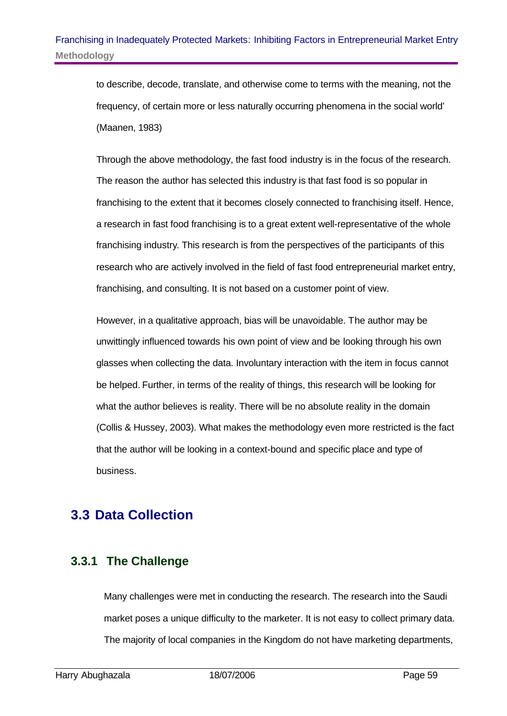to describe, decode, translate, and otherwise come to terms with the meaning, not the frequency, of certain more or less naturally occurring phenomena in the social world' (Maanen, 1983)

Through the above methodology, the fast food industry is in the focus of the research. The reason the author has selected this industry is that fast food is so popular in franchising to the extent that it becomes closely connected to franchising itself. Hence, a research in fast food franchising is to a great extent well-representative of the whole franchising industry. This research is from the perspectives of the participants of this research who are actively involved in the field of fast food entrepreneurial market entry, franchising, and consulting. It is not based on a customer point of view.

However, in a qualitative approach, bias will be unavoidable. The author may be unwittingly influenced towards his own point of view and be looking through his own glasses when collecting the data. Involuntary interaction with the item in focus cannot be helped. Further, in terms of the reality of things, this research will be looking for what the author believes is reality. There will be no absolute reality in the domain (Collis & Hussey, 2003). What makes the methodology even more restricted is the fact that the author will be looking in a context-bound and specific place and type of business.

# **3.3 Data Collection**

## **3.3.1 The Challenge**

Many challenges were met in conducting the research. The research into the Saudi market poses a unique difficulty to the marketer. It is not easy to collect primary data. The majority of local companies in the Kingdom do not have marketing departments,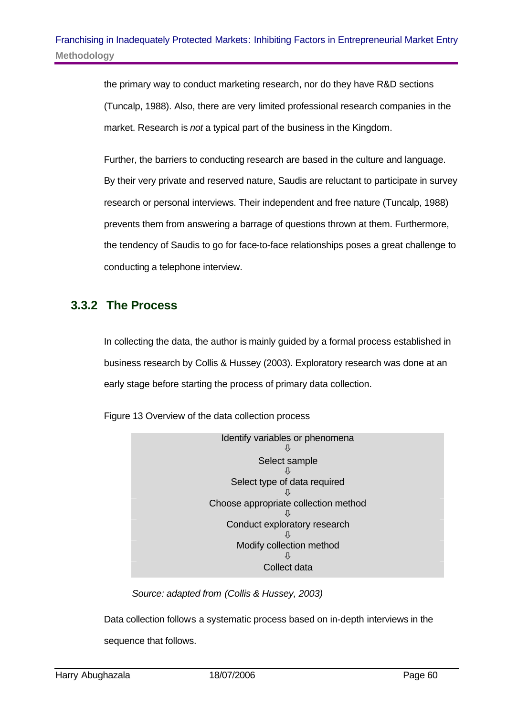the primary way to conduct marketing research, nor do they have R&D sections (Tuncalp, 1988). Also, there are very limited professional research companies in the market. Research is *not* a typical part of the business in the Kingdom.

Further, the barriers to conducting research are based in the culture and language. By their very private and reserved nature, Saudis are reluctant to participate in survey research or personal interviews. Their independent and free nature (Tuncalp, 1988) prevents them from answering a barrage of questions thrown at them. Furthermore, the tendency of Saudis to go for face-to-face relationships poses a great challenge to conducting a telephone interview.

## **3.3.2 The Process**

In collecting the data, the author is mainly guided by a formal process established in business research by Collis & Hussey (2003). Exploratory research was done at an early stage before starting the process of primary data collection.

Figure 13 Overview of the data collection process



*Source: adapted from (Collis & Hussey, 2003)*

Data collection follows a systematic process based on in-depth interviews in the sequence that follows.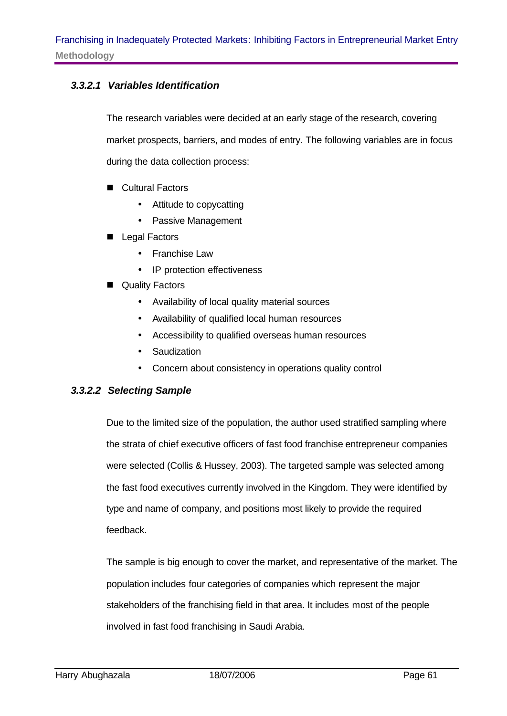#### *3.3.2.1 Variables Identification*

The research variables were decided at an early stage of the research, covering market prospects, barriers, and modes of entry. The following variables are in focus during the data collection process:

- Cultural Factors
	- Attitude to copycatting
	- Passive Management
- Legal Factors
	- Franchise Law
	- IP protection effectiveness
- Quality Factors
	- Availability of local quality material sources
	- Availability of qualified local human resources
	- Accessibility to qualified overseas human resources
	- Saudization
	- Concern about consistency in operations quality control

#### *3.3.2.2 Selecting Sample*

Due to the limited size of the population, the author used stratified sampling where the strata of chief executive officers of fast food franchise entrepreneur companies were selected (Collis & Hussey, 2003). The targeted sample was selected among the fast food executives currently involved in the Kingdom. They were identified by type and name of company, and positions most likely to provide the required feedback.

The sample is big enough to cover the market, and representative of the market. The population includes four categories of companies which represent the major stakeholders of the franchising field in that area. It includes most of the people involved in fast food franchising in Saudi Arabia.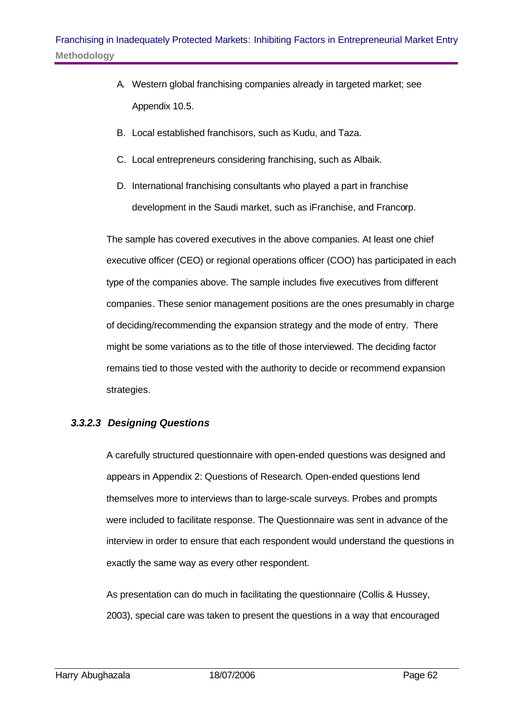- A. Western global franchising companies already in targeted market; see Appendix 10.5.
- B. Local established franchisors, such as Kudu, and Taza.
- C. Local entrepreneurs considering franchising, such as Albaik.
- D. International franchising consultants who played a part in franchise development in the Saudi market, such as iFranchise, and Francorp.

The sample has covered executives in the above companies. At least one chief executive officer (CEO) or regional operations officer (COO) has participated in each type of the companies above. The sample includes five executives from different companies. These senior management positions are the ones presumably in charge of deciding/recommending the expansion strategy and the mode of entry. There might be some variations as to the title of those interviewed. The deciding factor remains tied to those vested with the authority to decide or recommend expansion strategies.

#### *3.3.2.3 Designing Questions*

A carefully structured questionnaire with open-ended questions was designed and appears in Appendix 2: Questions of Research. Open-ended questions lend themselves more to interviews than to large-scale surveys. Probes and prompts were included to facilitate response. The Questionnaire was sent in advance of the interview in order to ensure that each respondent would understand the questions in exactly the same way as every other respondent.

As presentation can do much in facilitating the questionnaire (Collis & Hussey, 2003), special care was taken to present the questions in a way that encouraged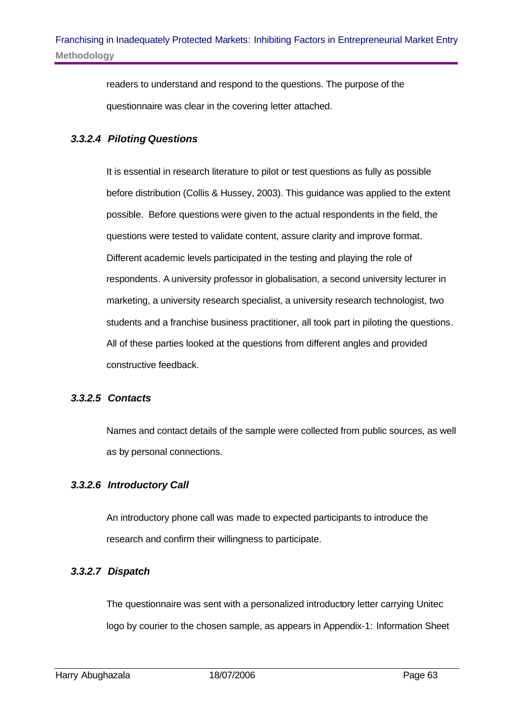readers to understand and respond to the questions. The purpose of the questionnaire was clear in the covering letter attached.

### *3.3.2.4 Piloting Questions*

It is essential in research literature to pilot or test questions as fully as possible before distribution (Collis & Hussey, 2003). This guidance was applied to the extent possible. Before questions were given to the actual respondents in the field, the questions were tested to validate content, assure clarity and improve format. Different academic levels participated in the testing and playing the role of respondents. A university professor in globalisation, a second university lecturer in marketing, a university research specialist, a university research technologist, two students and a franchise business practitioner, all took part in piloting the questions. All of these parties looked at the questions from different angles and provided constructive feedback.

### *3.3.2.5 Contacts*

Names and contact details of the sample were collected from public sources, as well as by personal connections.

### *3.3.2.6 Introductory Call*

An introductory phone call was made to expected participants to introduce the research and confirm their willingness to participate.

### *3.3.2.7 Dispatch*

The questionnaire was sent with a personalized introductory letter carrying Unitec logo by courier to the chosen sample, as appears in Appendix-1: Information Sheet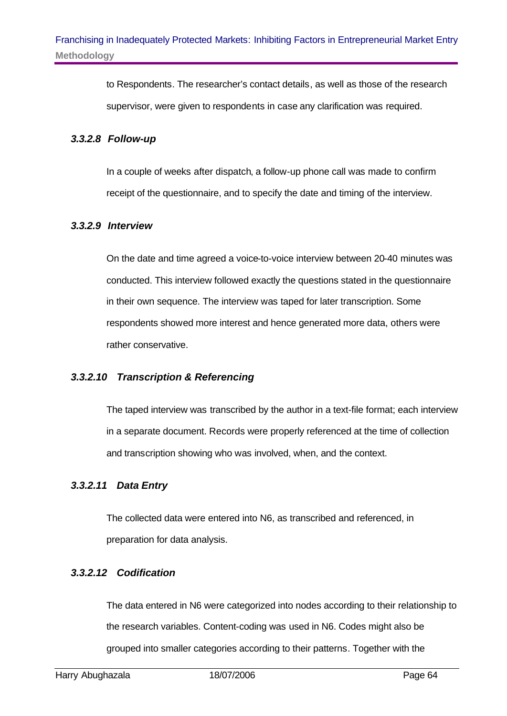to Respondents. The researcher's contact details, as well as those of the research supervisor, were given to respondents in case any clarification was required.

#### *3.3.2.8 Follow-up*

In a couple of weeks after dispatch, a follow-up phone call was made to confirm receipt of the questionnaire, and to specify the date and timing of the interview.

#### *3.3.2.9 Interview*

On the date and time agreed a voice-to-voice interview between 20-40 minutes was conducted. This interview followed exactly the questions stated in the questionnaire in their own sequence. The interview was taped for later transcription. Some respondents showed more interest and hence generated more data, others were rather conservative.

#### *3.3.2.10 Transcription & Referencing*

The taped interview was transcribed by the author in a text-file format; each interview in a separate document. Records were properly referenced at the time of collection and transcription showing who was involved, when, and the context.

#### *3.3.2.11 Data Entry*

The collected data were entered into N6, as transcribed and referenced, in preparation for data analysis.

#### *3.3.2.12 Codification*

The data entered in N6 were categorized into nodes according to their relationship to the research variables. Content-coding was used in N6. Codes might also be grouped into smaller categories according to their patterns. Together with the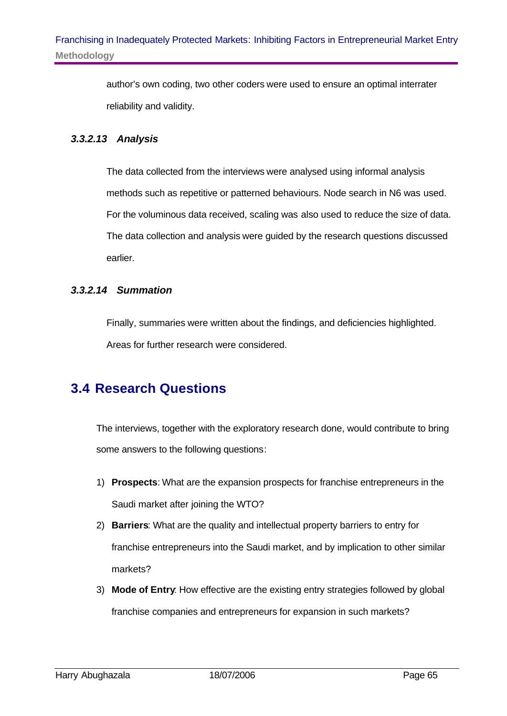author's own coding, two other coders were used to ensure an optimal interrater reliability and validity.

#### *3.3.2.13 Analysis*

The data collected from the interviews were analysed using informal analysis methods such as repetitive or patterned behaviours. Node search in N6 was used. For the voluminous data received, scaling was also used to reduce the size of data. The data collection and analysis were guided by the research questions discussed earlier.

#### *3.3.2.14 Summation*

Finally, summaries were written about the findings, and deficiencies highlighted. Areas for further research were considered.

# **3.4 Research Questions**

The interviews, together with the exploratory research done, would contribute to bring some answers to the following questions:

- 1) **Prospects**: What are the expansion prospects for franchise entrepreneurs in the Saudi market after joining the WTO?
- 2) **Barriers**: What are the quality and intellectual property barriers to entry for franchise entrepreneurs into the Saudi market, and by implication to other similar markets?
- 3) **Mode of Entry**: How effective are the existing entry strategies followed by global franchise companies and entrepreneurs for expansion in such markets?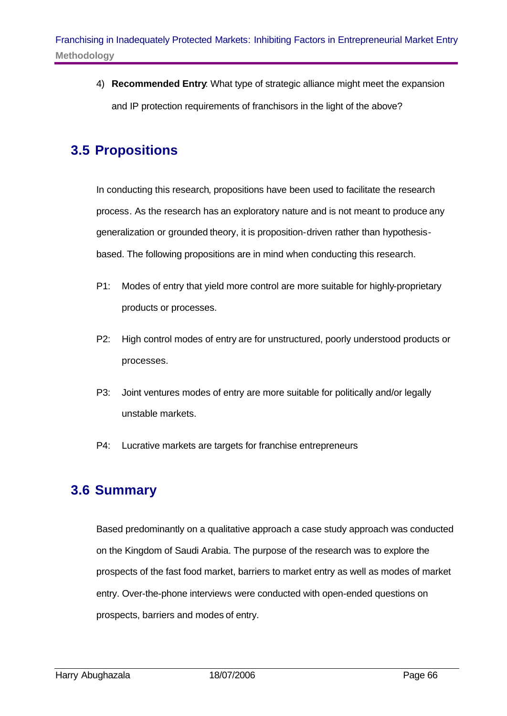4) **Recommended Entry**: What type of strategic alliance might meet the expansion and IP protection requirements of franchisors in the light of the above?

# **3.5 Propositions**

In conducting this research, propositions have been used to facilitate the research process. As the research has an exploratory nature and is not meant to produce any generalization or grounded theory, it is proposition-driven rather than hypothesisbased. The following propositions are in mind when conducting this research.

- P1: Modes of entry that yield more control are more suitable for highly-proprietary products or processes.
- P2: High control modes of entry are for unstructured, poorly understood products or processes.
- P3: Joint ventures modes of entry are more suitable for politically and/or legally unstable markets.
- P4: Lucrative markets are targets for franchise entrepreneurs

### **3.6 Summary**

Based predominantly on a qualitative approach a case study approach was conducted on the Kingdom of Saudi Arabia. The purpose of the research was to explore the prospects of the fast food market, barriers to market entry as well as modes of market entry. Over-the-phone interviews were conducted with open-ended questions on prospects, barriers and modes of entry.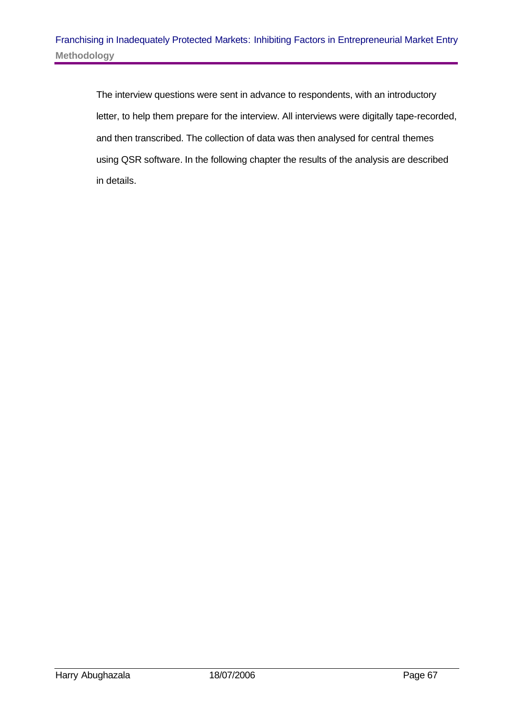The interview questions were sent in advance to respondents, with an introductory letter, to help them prepare for the interview. All interviews were digitally tape-recorded, and then transcribed. The collection of data was then analysed for central themes using QSR software. In the following chapter the results of the analysis are described in details.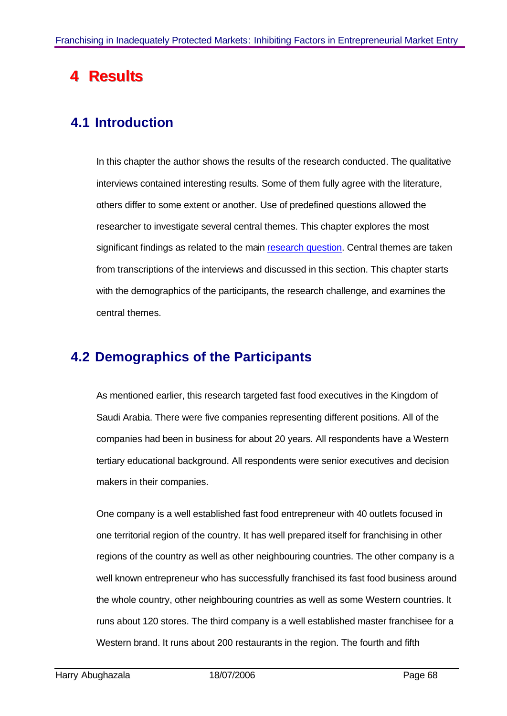# **4 Resullts**

# **4.1 Introduction**

In this chapter the author shows the results of the research conducted. The qualitative interviews contained interesting results. Some of them fully agree with the literature, others differ to some extent or another. Use of predefined questions allowed the researcher to investigate several central themes. This chapter explores the most significant findings as related to the main research question. Central themes are taken from transcriptions of the interviews and discussed in this section. This chapter starts with the demographics of the participants, the research challenge, and examines the central themes.

# **4.2 Demographics of the Participants**

As mentioned earlier, this research targeted fast food executives in the Kingdom of Saudi Arabia. There were five companies representing different positions. All of the companies had been in business for about 20 years. All respondents have a Western tertiary educational background. All respondents were senior executives and decision makers in their companies.

One company is a well established fast food entrepreneur with 40 outlets focused in one territorial region of the country. It has well prepared itself for franchising in other regions of the country as well as other neighbouring countries. The other company is a well known entrepreneur who has successfully franchised its fast food business around the whole country, other neighbouring countries as well as some Western countries. It runs about 120 stores. The third company is a well established master franchisee for a Western brand. It runs about 200 restaurants in the region. The fourth and fifth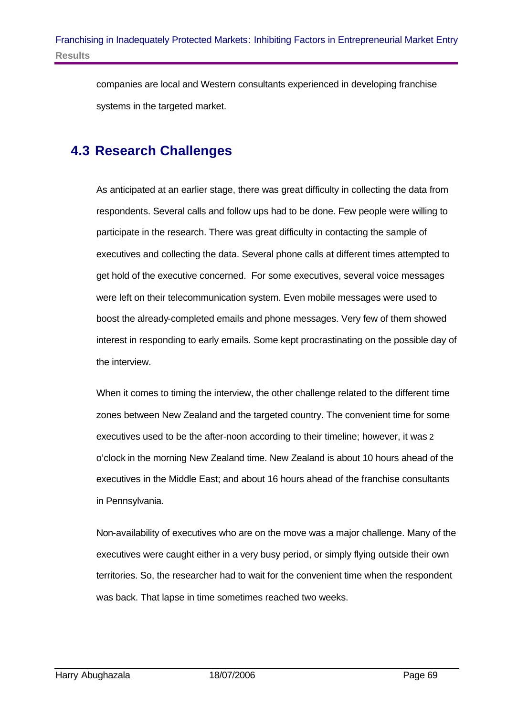companies are local and Western consultants experienced in developing franchise systems in the targeted market.

# **4.3 Research Challenges**

As anticipated at an earlier stage, there was great difficulty in collecting the data from respondents. Several calls and follow ups had to be done. Few people were willing to participate in the research. There was great difficulty in contacting the sample of executives and collecting the data. Several phone calls at different times attempted to get hold of the executive concerned. For some executives, several voice messages were left on their telecommunication system. Even mobile messages were used to boost the already-completed emails and phone messages. Very few of them showed interest in responding to early emails. Some kept procrastinating on the possible day of the interview.

When it comes to timing the interview, the other challenge related to the different time zones between New Zealand and the targeted country. The convenient time for some executives used to be the after-noon according to their timeline; however, it was 2 o'clock in the morning New Zealand time. New Zealand is about 10 hours ahead of the executives in the Middle East; and about 16 hours ahead of the franchise consultants in Pennsylvania.

Non-availability of executives who are on the move was a major challenge. Many of the executives were caught either in a very busy period, or simply flying outside their own territories. So, the researcher had to wait for the convenient time when the respondent was back. That lapse in time sometimes reached two weeks.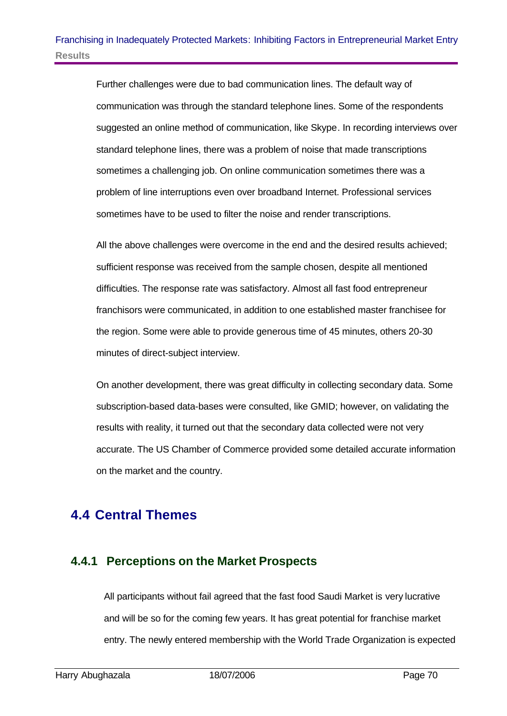Further challenges were due to bad communication lines. The default way of communication was through the standard telephone lines. Some of the respondents suggested an online method of communication, like Skype. In recording interviews over standard telephone lines, there was a problem of noise that made transcriptions sometimes a challenging job. On online communication sometimes there was a problem of line interruptions even over broadband Internet. Professional services sometimes have to be used to filter the noise and render transcriptions.

All the above challenges were overcome in the end and the desired results achieved; sufficient response was received from the sample chosen, despite all mentioned difficulties. The response rate was satisfactory. Almost all fast food entrepreneur franchisors were communicated, in addition to one established master franchisee for the region. Some were able to provide generous time of 45 minutes, others 20-30 minutes of direct-subject interview.

On another development, there was great difficulty in collecting secondary data. Some subscription-based data-bases were consulted, like GMID; however, on validating the results with reality, it turned out that the secondary data collected were not very accurate. The US Chamber of Commerce provided some detailed accurate information on the market and the country.

# **4.4 Central Themes**

### **4.4.1 Perceptions on the Market Prospects**

All participants without fail agreed that the fast food Saudi Market is very lucrative and will be so for the coming few years. It has great potential for franchise market entry. The newly entered membership with the World Trade Organization is expected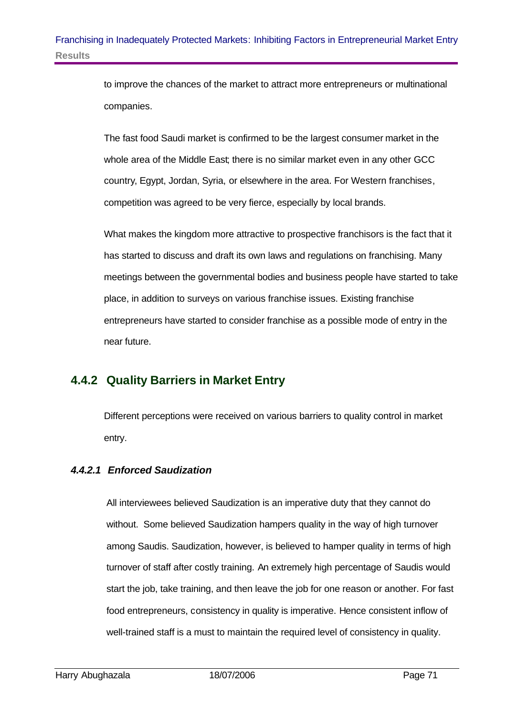to improve the chances of the market to attract more entrepreneurs or multinational companies.

The fast food Saudi market is confirmed to be the largest consumer market in the whole area of the Middle East; there is no similar market even in any other GCC country, Egypt, Jordan, Syria, or elsewhere in the area. For Western franchises, competition was agreed to be very fierce, especially by local brands.

What makes the kingdom more attractive to prospective franchisors is the fact that it has started to discuss and draft its own laws and regulations on franchising. Many meetings between the governmental bodies and business people have started to take place, in addition to surveys on various franchise issues. Existing franchise entrepreneurs have started to consider franchise as a possible mode of entry in the near future.

### **4.4.2 Quality Barriers in Market Entry**

Different perceptions were received on various barriers to quality control in market entry.

### *4.4.2.1 Enforced Saudization*

All interviewees believed Saudization is an imperative duty that they cannot do without. Some believed Saudization hampers quality in the way of high turnover among Saudis. Saudization, however, is believed to hamper quality in terms of high turnover of staff after costly training. An extremely high percentage of Saudis would start the job, take training, and then leave the job for one reason or another. For fast food entrepreneurs, consistency in quality is imperative. Hence consistent inflow of well-trained staff is a must to maintain the required level of consistency in quality.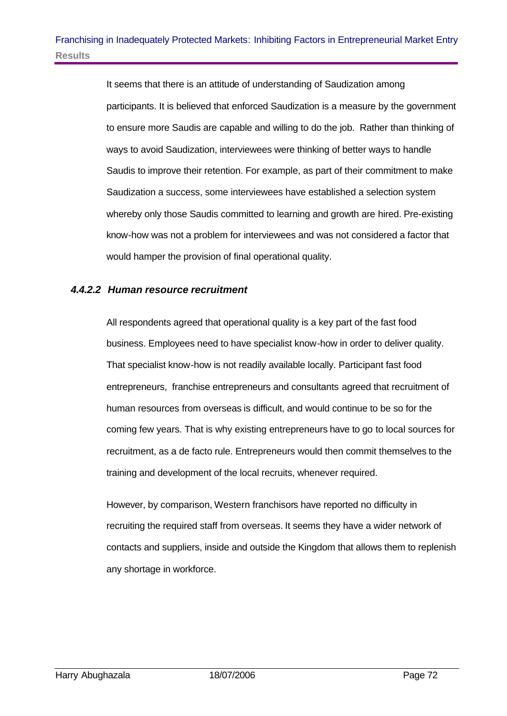It seems that there is an attitude of understanding of Saudization among participants. It is believed that enforced Saudization is a measure by the government to ensure more Saudis are capable and willing to do the job. Rather than thinking of ways to avoid Saudization, interviewees were thinking of better ways to handle Saudis to improve their retention. For example, as part of their commitment to make Saudization a success, some interviewees have established a selection system whereby only those Saudis committed to learning and growth are hired. Pre-existing know-how was not a problem for interviewees and was not considered a factor that would hamper the provision of final operational quality.

### *4.4.2.2 Human resource recruitment*

All respondents agreed that operational quality is a key part of the fast food business. Employees need to have specialist know-how in order to deliver quality. That specialist know-how is not readily available locally. Participant fast food entrepreneurs, franchise entrepreneurs and consultants agreed that recruitment of human resources from overseas is difficult, and would continue to be so for the coming few years. That is why existing entrepreneurs have to go to local sources for recruitment, as a de facto rule. Entrepreneurs would then commit themselves to the training and development of the local recruits, whenever required.

However, by comparison, Western franchisors have reported no difficulty in recruiting the required staff from overseas. It seems they have a wider network of contacts and suppliers, inside and outside the Kingdom that allows them to replenish any shortage in workforce.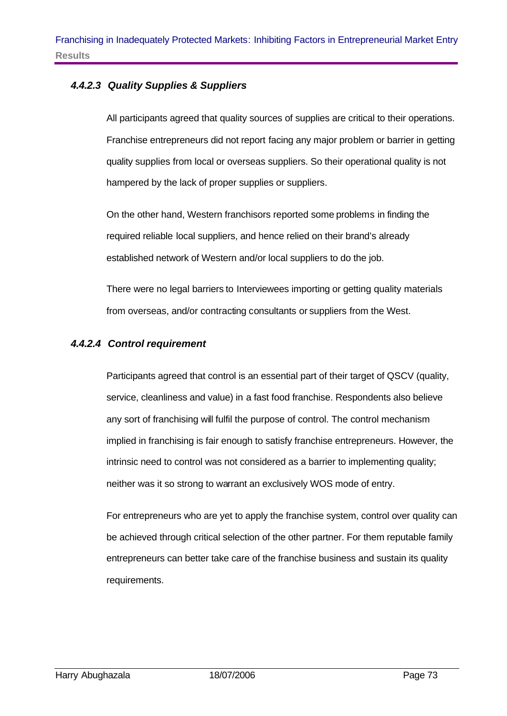### *4.4.2.3 Quality Supplies & Suppliers*

All participants agreed that quality sources of supplies are critical to their operations. Franchise entrepreneurs did not report facing any major problem or barrier in getting quality supplies from local or overseas suppliers. So their operational quality is not hampered by the lack of proper supplies or suppliers.

On the other hand, Western franchisors reported some problems in finding the required reliable local suppliers, and hence relied on their brand's already established network of Western and/or local suppliers to do the job.

There were no legal barriers to Interviewees importing or getting quality materials from overseas, and/or contracting consultants or suppliers from the West.

#### *4.4.2.4 Control requirement*

Participants agreed that control is an essential part of their target of QSCV (quality, service, cleanliness and value) in a fast food franchise. Respondents also believe any sort of franchising will fulfil the purpose of control. The control mechanism implied in franchising is fair enough to satisfy franchise entrepreneurs. However, the intrinsic need to control was not considered as a barrier to implementing quality; neither was it so strong to warrant an exclusively WOS mode of entry.

For entrepreneurs who are yet to apply the franchise system, control over quality can be achieved through critical selection of the other partner. For them reputable family entrepreneurs can better take care of the franchise business and sustain its quality requirements.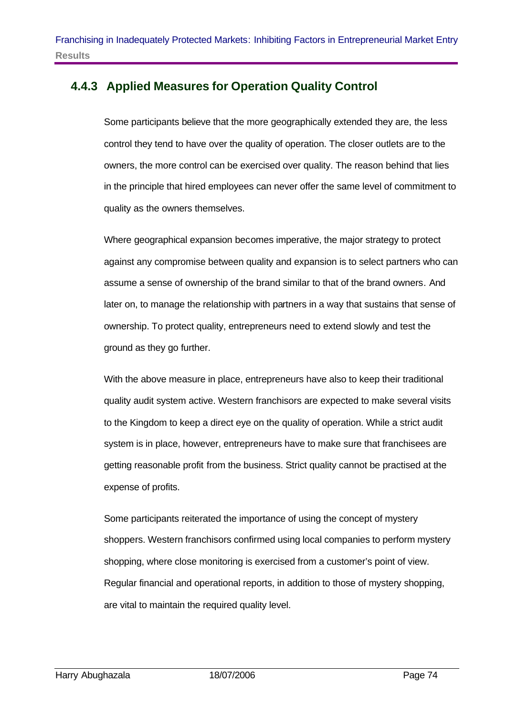### **4.4.3 Applied Measures for Operation Quality Control**

Some participants believe that the more geographically extended they are, the less control they tend to have over the quality of operation. The closer outlets are to the owners, the more control can be exercised over quality. The reason behind that lies in the principle that hired employees can never offer the same level of commitment to quality as the owners themselves.

Where geographical expansion becomes imperative, the major strategy to protect against any compromise between quality and expansion is to select partners who can assume a sense of ownership of the brand similar to that of the brand owners. And later on, to manage the relationship with partners in a way that sustains that sense of ownership. To protect quality, entrepreneurs need to extend slowly and test the ground as they go further.

With the above measure in place, entrepreneurs have also to keep their traditional quality audit system active. Western franchisors are expected to make several visits to the Kingdom to keep a direct eye on the quality of operation. While a strict audit system is in place, however, entrepreneurs have to make sure that franchisees are getting reasonable profit from the business. Strict quality cannot be practised at the expense of profits.

Some participants reiterated the importance of using the concept of mystery shoppers. Western franchisors confirmed using local companies to perform mystery shopping, where close monitoring is exercised from a customer's point of view. Regular financial and operational reports, in addition to those of mystery shopping, are vital to maintain the required quality level.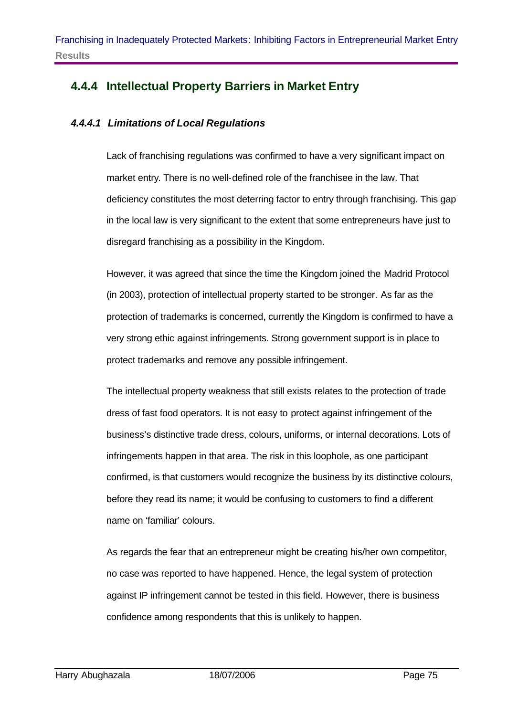# **4.4.4 Intellectual Property Barriers in Market Entry**

### *4.4.4.1 Limitations of Local Regulations*

Lack of franchising regulations was confirmed to have a very significant impact on market entry. There is no well-defined role of the franchisee in the law. That deficiency constitutes the most deterring factor to entry through franchising. This gap in the local law is very significant to the extent that some entrepreneurs have just to disregard franchising as a possibility in the Kingdom.

However, it was agreed that since the time the Kingdom joined the Madrid Protocol (in 2003), protection of intellectual property started to be stronger. As far as the protection of trademarks is concerned, currently the Kingdom is confirmed to have a very strong ethic against infringements. Strong government support is in place to protect trademarks and remove any possible infringement.

The intellectual property weakness that still exists relates to the protection of trade dress of fast food operators. It is not easy to protect against infringement of the business's distinctive trade dress, colours, uniforms, or internal decorations. Lots of infringements happen in that area. The risk in this loophole, as one participant confirmed, is that customers would recognize the business by its distinctive colours, before they read its name; it would be confusing to customers to find a different name on 'familiar' colours.

As regards the fear that an entrepreneur might be creating his/her own competitor, no case was reported to have happened. Hence, the legal system of protection against IP infringement cannot be tested in this field. However, there is business confidence among respondents that this is unlikely to happen.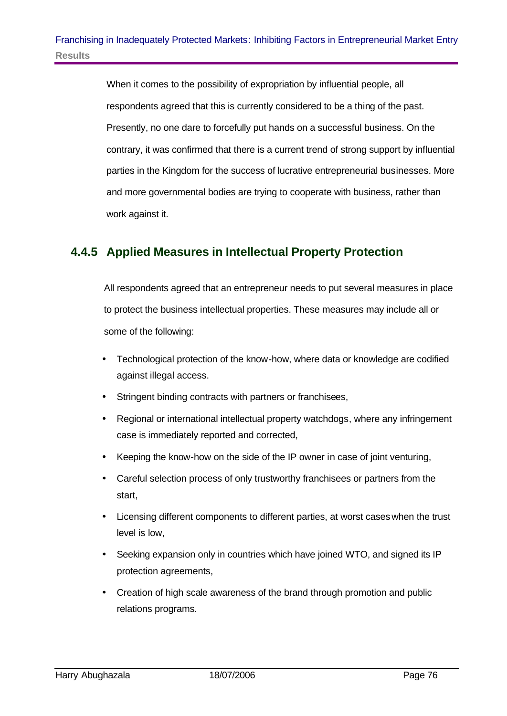When it comes to the possibility of expropriation by influential people, all respondents agreed that this is currently considered to be a thing of the past. Presently, no one dare to forcefully put hands on a successful business. On the contrary, it was confirmed that there is a current trend of strong support by influential parties in the Kingdom for the success of lucrative entrepreneurial businesses. More and more governmental bodies are trying to cooperate with business, rather than work against it.

### **4.4.5 Applied Measures in Intellectual Property Protection**

All respondents agreed that an entrepreneur needs to put several measures in place to protect the business intellectual properties. These measures may include all or some of the following:

- Technological protection of the know-how, where data or knowledge are codified against illegal access.
- Stringent binding contracts with partners or franchisees,
- Regional or international intellectual property watchdogs, where any infringement case is immediately reported and corrected,
- Keeping the know-how on the side of the IP owner in case of joint venturing,
- Careful selection process of only trustworthy franchisees or partners from the start,
- Licensing different components to different parties, at worst cases when the trust level is low,
- Seeking expansion only in countries which have joined WTO, and signed its IP protection agreements,
- Creation of high scale awareness of the brand through promotion and public relations programs.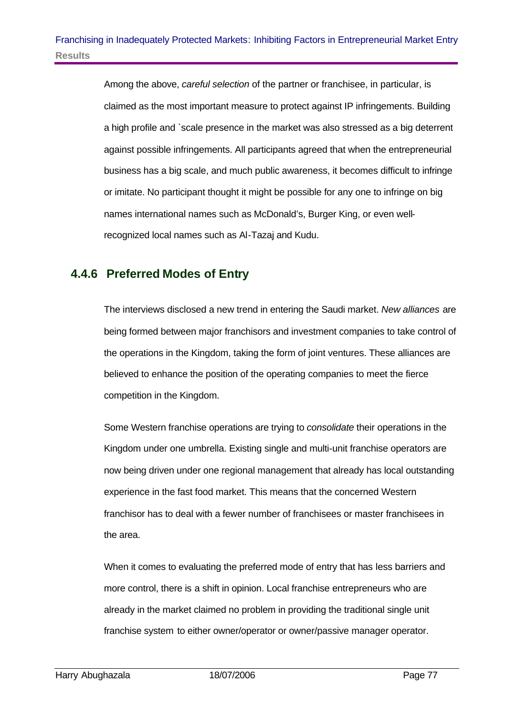Among the above, *careful selection* of the partner or franchisee, in particular, is claimed as the most important measure to protect against IP infringements. Building a high profile and `scale presence in the market was also stressed as a big deterrent against possible infringements. All participants agreed that when the entrepreneurial business has a big scale, and much public awareness, it becomes difficult to infringe or imitate. No participant thought it might be possible for any one to infringe on big names international names such as McDonald's, Burger King, or even wellrecognized local names such as Al-Tazaj and Kudu.

### **4.4.6 Preferred Modes of Entry**

The interviews disclosed a new trend in entering the Saudi market. *New alliances* are being formed between major franchisors and investment companies to take control of the operations in the Kingdom, taking the form of joint ventures. These alliances are believed to enhance the position of the operating companies to meet the fierce competition in the Kingdom.

Some Western franchise operations are trying to *consolidate* their operations in the Kingdom under one umbrella. Existing single and multi-unit franchise operators are now being driven under one regional management that already has local outstanding experience in the fast food market. This means that the concerned Western franchisor has to deal with a fewer number of franchisees or master franchisees in the area.

When it comes to evaluating the preferred mode of entry that has less barriers and more control, there is a shift in opinion. Local franchise entrepreneurs who are already in the market claimed no problem in providing the traditional single unit franchise system to either owner/operator or owner/passive manager operator.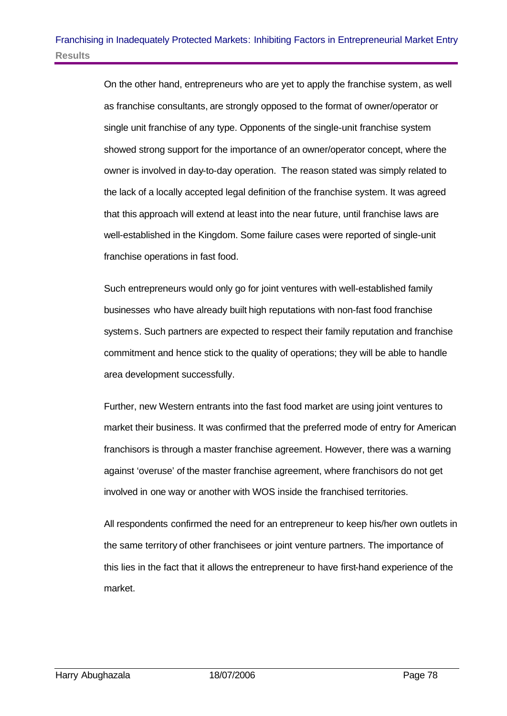On the other hand, entrepreneurs who are yet to apply the franchise system, as well as franchise consultants, are strongly opposed to the format of owner/operator or single unit franchise of any type. Opponents of the single-unit franchise system showed strong support for the importance of an owner/operator concept, where the owner is involved in day-to-day operation. The reason stated was simply related to the lack of a locally accepted legal definition of the franchise system. It was agreed that this approach will extend at least into the near future, until franchise laws are well-established in the Kingdom. Some failure cases were reported of single-unit franchise operations in fast food.

Such entrepreneurs would only go for joint ventures with well-established family businesses who have already built high reputations with non-fast food franchise systems. Such partners are expected to respect their family reputation and franchise commitment and hence stick to the quality of operations; they will be able to handle area development successfully.

Further, new Western entrants into the fast food market are using joint ventures to market their business. It was confirmed that the preferred mode of entry for American franchisors is through a master franchise agreement. However, there was a warning against 'overuse' of the master franchise agreement, where franchisors do not get involved in one way or another with WOS inside the franchised territories.

All respondents confirmed the need for an entrepreneur to keep his/her own outlets in the same territory of other franchisees or joint venture partners. The importance of this lies in the fact that it allows the entrepreneur to have first-hand experience of the market.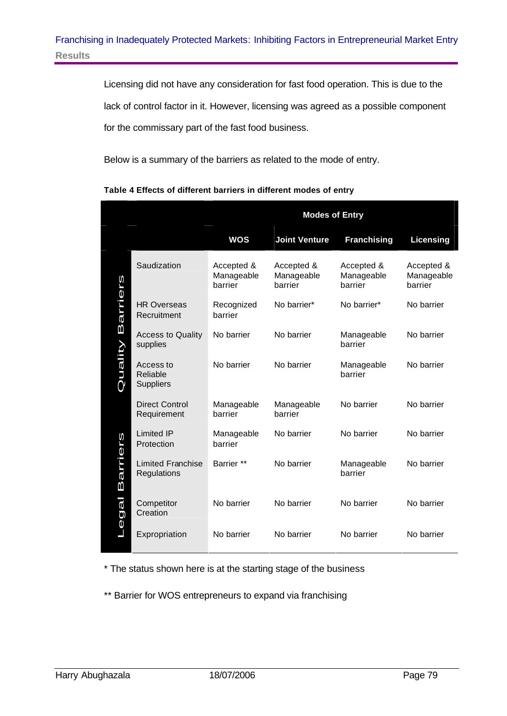Licensing did not have any consideration for fast food operation. This is due to the lack of control factor in it. However, licensing was agreed as a possible component for the commissary part of the fast food business.

Below is a summary of the barriers as related to the mode of entry.

|                            |                                           | <b>Modes of Entry</b>               |                                     |                                     |                                     |
|----------------------------|-------------------------------------------|-------------------------------------|-------------------------------------|-------------------------------------|-------------------------------------|
|                            |                                           | <b>WOS</b>                          | <b>Joint Venture</b>                | <b>Franchising</b>                  | Licensing                           |
|                            | Saudization                               | Accepted &<br>Manageable<br>barrier | Accepted &<br>Manageable<br>barrier | Accepted &<br>Manageable<br>barrier | Accepted &<br>Manageable<br>barrier |
| <b>Barriers</b><br>Quality | <b>HR Overseas</b><br>Recruitment         | Recognized<br>barrier               | No barrier*                         | No barrier*                         | No barrier                          |
|                            | <b>Access to Quality</b><br>supplies      | No barrier                          | No barrier                          | Manageable<br>barrier               | No barrier                          |
|                            | Access to<br>Reliable<br><b>Suppliers</b> | No barrier                          | No barrier                          | Manageable<br>barrier               | No barrier                          |
|                            | <b>Direct Control</b><br>Requirement      | Manageable<br>barrier               | Manageable<br>barrier               | No barrier                          | No barrier                          |
|                            | <b>Limited IP</b><br>Protection           | Manageable<br>barrier               | No barrier                          | No barrier                          | No barrier                          |
| <b>Barriers</b><br>Legal   | <b>Limited Franchise</b><br>Regulations   | Barrier **                          | No barrier                          | Manageable<br>barrier               | No barrier                          |
|                            | Competitor<br>Creation                    | No barrier                          | No barrier                          | No barrier                          | No barrier                          |
|                            | Expropriation                             | No barrier                          | No barrier                          | No barrier                          | No barrier                          |

#### **Table 4 Effects of different barriers in different modes of entry**

\* The status shown here is at the starting stage of the business

\*\* Barrier for WOS entrepreneurs to expand via franchising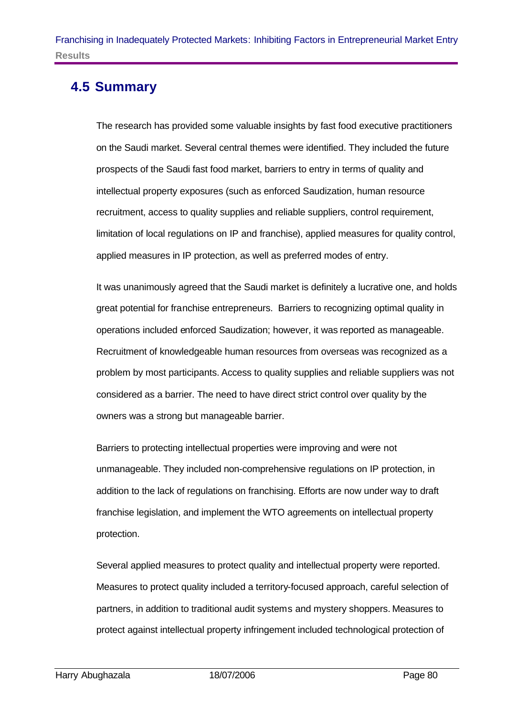# **4.5 Summary**

The research has provided some valuable insights by fast food executive practitioners on the Saudi market. Several central themes were identified. They included the future prospects of the Saudi fast food market, barriers to entry in terms of quality and intellectual property exposures (such as enforced Saudization, human resource recruitment, access to quality supplies and reliable suppliers, control requirement, limitation of local regulations on IP and franchise), applied measures for quality control, applied measures in IP protection, as well as preferred modes of entry.

It was unanimously agreed that the Saudi market is definitely a lucrative one, and holds great potential for franchise entrepreneurs. Barriers to recognizing optimal quality in operations included enforced Saudization; however, it was reported as manageable. Recruitment of knowledgeable human resources from overseas was recognized as a problem by most participants. Access to quality supplies and reliable suppliers was not considered as a barrier. The need to have direct strict control over quality by the owners was a strong but manageable barrier.

Barriers to protecting intellectual properties were improving and were not unmanageable. They included non-comprehensive regulations on IP protection, in addition to the lack of regulations on franchising. Efforts are now under way to draft franchise legislation, and implement the WTO agreements on intellectual property protection.

Several applied measures to protect quality and intellectual property were reported. Measures to protect quality included a territory-focused approach, careful selection of partners, in addition to traditional audit systems and mystery shoppers. Measures to protect against intellectual property infringement included technological protection of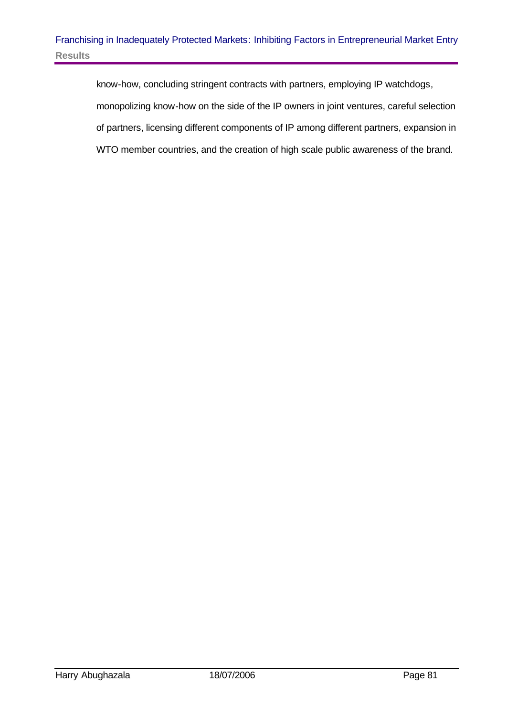know-how, concluding stringent contracts with partners, employing IP watchdogs, monopolizing know-how on the side of the IP owners in joint ventures, careful selection of partners, licensing different components of IP among different partners, expansion in WTO member countries, and the creation of high scale public awareness of the brand.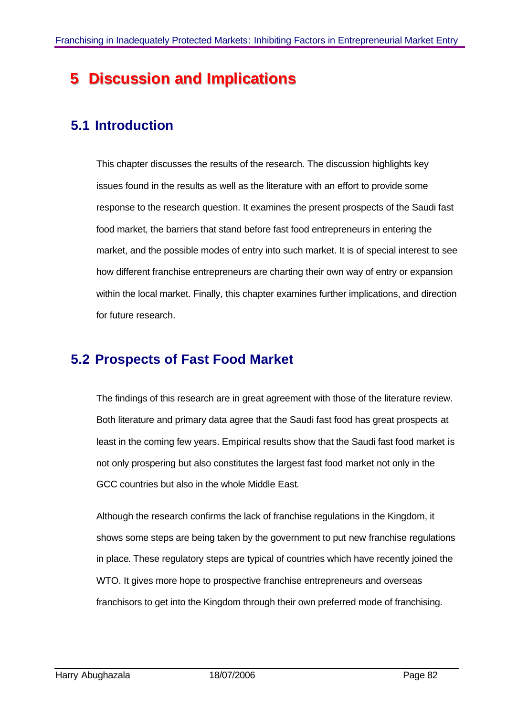# **5** Discussion and Implications

# **5.1 Introduction**

This chapter discusses the results of the research. The discussion highlights key issues found in the results as well as the literature with an effort to provide some response to the research question. It examines the present prospects of the Saudi fast food market, the barriers that stand before fast food entrepreneurs in entering the market, and the possible modes of entry into such market. It is of special interest to see how different franchise entrepreneurs are charting their own way of entry or expansion within the local market. Finally, this chapter examines further implications, and direction for future research.

# **5.2 Prospects of Fast Food Market**

The findings of this research are in great agreement with those of the literature review. Both literature and primary data agree that the Saudi fast food has great prospects at least in the coming few years. Empirical results show that the Saudi fast food market is not only prospering but also constitutes the largest fast food market not only in the GCC countries but also in the whole Middle East.

Although the research confirms the lack of franchise regulations in the Kingdom, it shows some steps are being taken by the government to put new franchise regulations in place. These regulatory steps are typical of countries which have recently joined the WTO. It gives more hope to prospective franchise entrepreneurs and overseas franchisors to get into the Kingdom through their own preferred mode of franchising.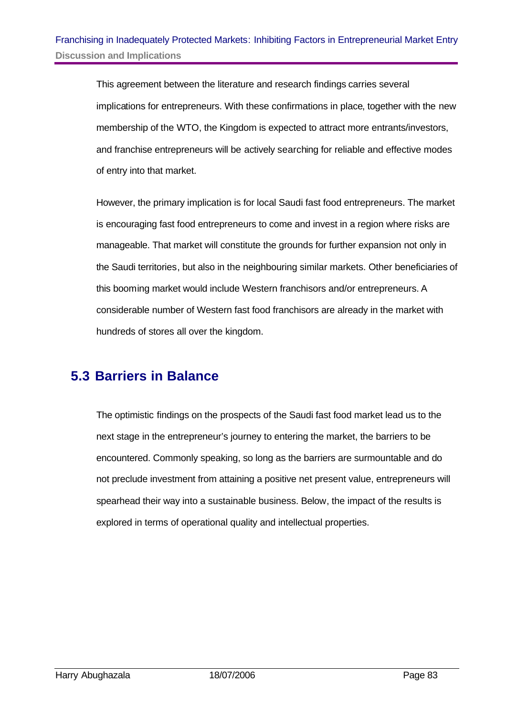This agreement between the literature and research findings carries several implications for entrepreneurs. With these confirmations in place, together with the new membership of the WTO, the Kingdom is expected to attract more entrants/investors, and franchise entrepreneurs will be actively searching for reliable and effective modes of entry into that market.

However, the primary implication is for local Saudi fast food entrepreneurs. The market is encouraging fast food entrepreneurs to come and invest in a region where risks are manageable. That market will constitute the grounds for further expansion not only in the Saudi territories, but also in the neighbouring similar markets. Other beneficiaries of this booming market would include Western franchisors and/or entrepreneurs. A considerable number of Western fast food franchisors are already in the market with hundreds of stores all over the kingdom.

### **5.3 Barriers in Balance**

The optimistic findings on the prospects of the Saudi fast food market lead us to the next stage in the entrepreneur's journey to entering the market, the barriers to be encountered. Commonly speaking, so long as the barriers are surmountable and do not preclude investment from attaining a positive net present value, entrepreneurs will spearhead their way into a sustainable business. Below, the impact of the results is explored in terms of operational quality and intellectual properties.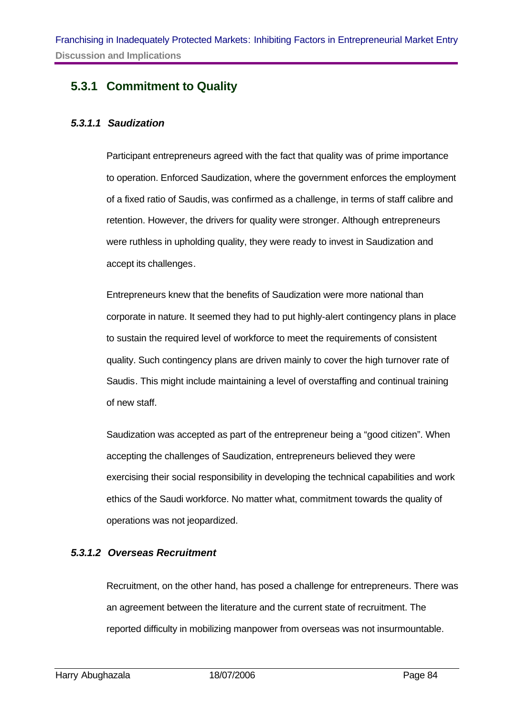### **5.3.1 Commitment to Quality**

### *5.3.1.1 Saudization*

Participant entrepreneurs agreed with the fact that quality was of prime importance to operation. Enforced Saudization, where the government enforces the employment of a fixed ratio of Saudis, was confirmed as a challenge, in terms of staff calibre and retention. However, the drivers for quality were stronger. Although entrepreneurs were ruthless in upholding quality, they were ready to invest in Saudization and accept its challenges.

Entrepreneurs knew that the benefits of Saudization were more national than corporate in nature. It seemed they had to put highly-alert contingency plans in place to sustain the required level of workforce to meet the requirements of consistent quality. Such contingency plans are driven mainly to cover the high turnover rate of Saudis. This might include maintaining a level of overstaffing and continual training of new staff.

Saudization was accepted as part of the entrepreneur being a "good citizen". When accepting the challenges of Saudization, entrepreneurs believed they were exercising their social responsibility in developing the technical capabilities and work ethics of the Saudi workforce. No matter what, commitment towards the quality of operations was not jeopardized.

#### *5.3.1.2 Overseas Recruitment*

Recruitment, on the other hand, has posed a challenge for entrepreneurs. There was an agreement between the literature and the current state of recruitment. The reported difficulty in mobilizing manpower from overseas was not insurmountable.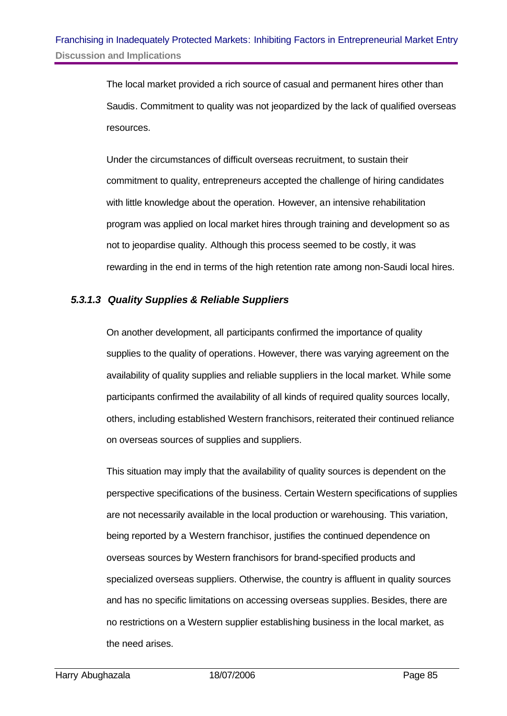The local market provided a rich source of casual and permanent hires other than Saudis. Commitment to quality was not jeopardized by the lack of qualified overseas resources.

Under the circumstances of difficult overseas recruitment, to sustain their commitment to quality, entrepreneurs accepted the challenge of hiring candidates with little knowledge about the operation. However, an intensive rehabilitation program was applied on local market hires through training and development so as not to jeopardise quality. Although this process seemed to be costly, it was rewarding in the end in terms of the high retention rate among non-Saudi local hires.

### *5.3.1.3 Quality Supplies & Reliable Suppliers*

On another development, all participants confirmed the importance of quality supplies to the quality of operations. However, there was varying agreement on the availability of quality supplies and reliable suppliers in the local market. While some participants confirmed the availability of all kinds of required quality sources locally, others, including established Western franchisors, reiterated their continued reliance on overseas sources of supplies and suppliers.

This situation may imply that the availability of quality sources is dependent on the perspective specifications of the business. Certain Western specifications of supplies are not necessarily available in the local production or warehousing. This variation, being reported by a Western franchisor, justifies the continued dependence on overseas sources by Western franchisors for brand-specified products and specialized overseas suppliers. Otherwise, the country is affluent in quality sources and has no specific limitations on accessing overseas supplies. Besides, there are no restrictions on a Western supplier establishing business in the local market, as the need arises.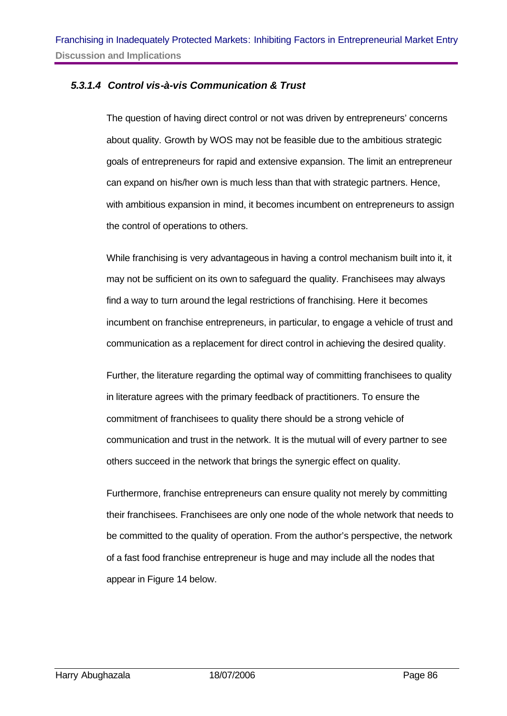### *5.3.1.4 Control vis-à-vis Communication & Trust*

The question of having direct control or not was driven by entrepreneurs' concerns about quality. Growth by WOS may not be feasible due to the ambitious strategic goals of entrepreneurs for rapid and extensive expansion. The limit an entrepreneur can expand on his/her own is much less than that with strategic partners. Hence, with ambitious expansion in mind, it becomes incumbent on entrepreneurs to assign the control of operations to others.

While franchising is very advantageous in having a control mechanism built into it, it may not be sufficient on its own to safeguard the quality. Franchisees may always find a way to turn around the legal restrictions of franchising. Here it becomes incumbent on franchise entrepreneurs, in particular, to engage a vehicle of trust and communication as a replacement for direct control in achieving the desired quality.

Further, the literature regarding the optimal way of committing franchisees to quality in literature agrees with the primary feedback of practitioners. To ensure the commitment of franchisees to quality there should be a strong vehicle of communication and trust in the network. It is the mutual will of every partner to see others succeed in the network that brings the synergic effect on quality.

Furthermore, franchise entrepreneurs can ensure quality not merely by committing their franchisees. Franchisees are only one node of the whole network that needs to be committed to the quality of operation. From the author's perspective, the network of a fast food franchise entrepreneur is huge and may include all the nodes that appear in Figure 14 below.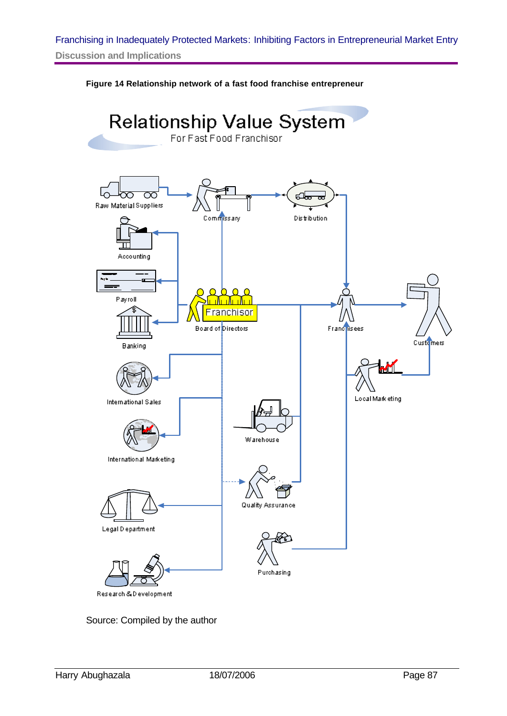### Franchising in Inadequately Protected Markets: Inhibiting Factors in Entrepreneurial Market Entry **Discussion and Implications**

**Figure 14 Relationship network of a fast food franchise entrepreneur**



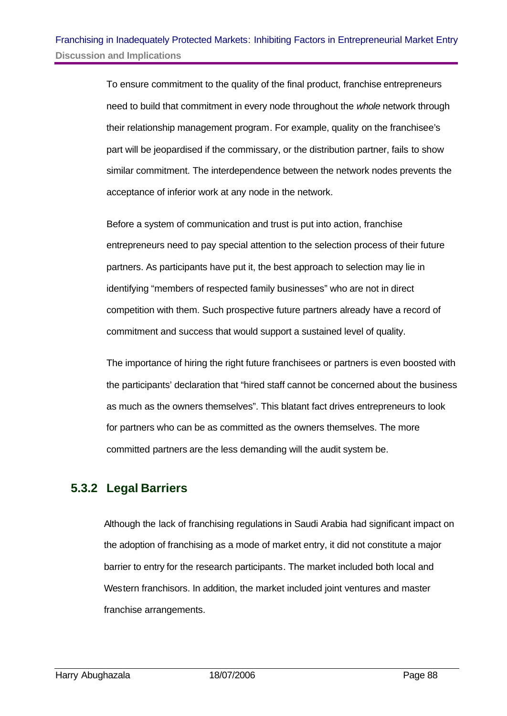To ensure commitment to the quality of the final product, franchise entrepreneurs need to build that commitment in every node throughout the *whole* network through their relationship management program. For example, quality on the franchisee's part will be jeopardised if the commissary, or the distribution partner, fails to show similar commitment. The interdependence between the network nodes prevents the acceptance of inferior work at any node in the network.

Before a system of communication and trust is put into action, franchise entrepreneurs need to pay special attention to the selection process of their future partners. As participants have put it, the best approach to selection may lie in identifying "members of respected family businesses" who are not in direct competition with them. Such prospective future partners already have a record of commitment and success that would support a sustained level of quality.

The importance of hiring the right future franchisees or partners is even boosted with the participants' declaration that "hired staff cannot be concerned about the business as much as the owners themselves". This blatant fact drives entrepreneurs to look for partners who can be as committed as the owners themselves. The more committed partners are the less demanding will the audit system be.

### **5.3.2 Legal Barriers**

Although the lack of franchising regulations in Saudi Arabia had significant impact on the adoption of franchising as a mode of market entry, it did not constitute a major barrier to entry for the research participants. The market included both local and Western franchisors. In addition, the market included joint ventures and master franchise arrangements.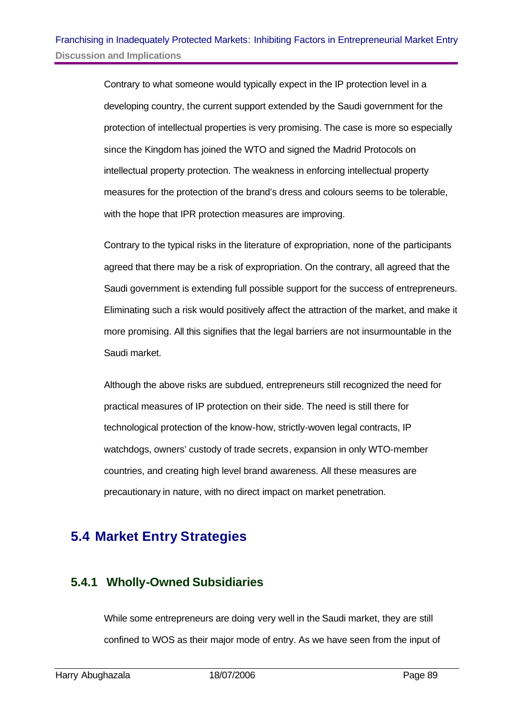Contrary to what someone would typically expect in the IP protection level in a developing country, the current support extended by the Saudi government for the protection of intellectual properties is very promising. The case is more so especially since the Kingdom has joined the WTO and signed the Madrid Protocols on intellectual property protection. The weakness in enforcing intellectual property measures for the protection of the brand's dress and colours seems to be tolerable, with the hope that IPR protection measures are improving.

Contrary to the typical risks in the literature of expropriation, none of the participants agreed that there may be a risk of expropriation. On the contrary, all agreed that the Saudi government is extending full possible support for the success of entrepreneurs. Eliminating such a risk would positively affect the attraction of the market, and make it more promising. All this signifies that the legal barriers are not insurmountable in the Saudi market.

Although the above risks are subdued, entrepreneurs still recognized the need for practical measures of IP protection on their side. The need is still there for technological protection of the know-how, strictly-woven legal contracts, IP watchdogs, owners' custody of trade secrets, expansion in only WTO-member countries, and creating high level brand awareness. All these measures are precautionary in nature, with no direct impact on market penetration.

# **5.4 Market Entry Strategies**

### **5.4.1 Wholly-Owned Subsidiaries**

While some entrepreneurs are doing very well in the Saudi market, they are still confined to WOS as their major mode of entry. As we have seen from the input of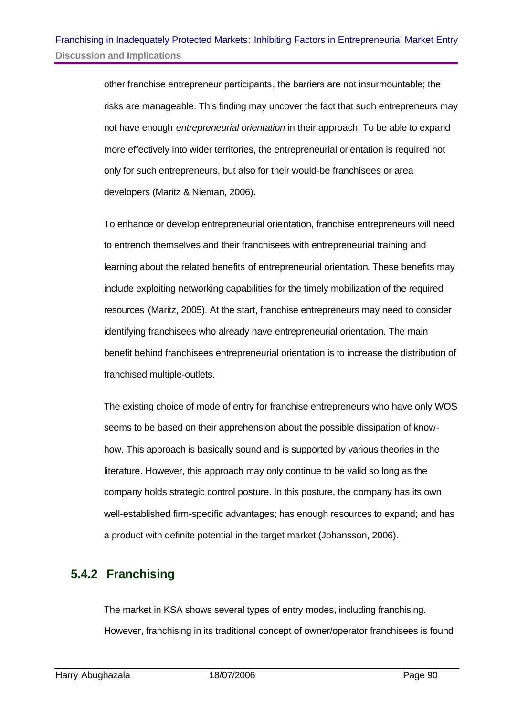other franchise entrepreneur participants, the barriers are not insurmountable; the risks are manageable. This finding may uncover the fact that such entrepreneurs may not have enough *entrepreneurial orientation* in their approach. To be able to expand more effectively into wider territories, the entrepreneurial orientation is required not only for such entrepreneurs, but also for their would-be franchisees or area developers (Maritz & Nieman, 2006).

To enhance or develop entrepreneurial orientation, franchise entrepreneurs will need to entrench themselves and their franchisees with entrepreneurial training and learning about the related benefits of entrepreneurial orientation. These benefits may include exploiting networking capabilities for the timely mobilization of the required resources (Maritz, 2005). At the start, franchise entrepreneurs may need to consider identifying franchisees who already have entrepreneurial orientation. The main benefit behind franchisees entrepreneurial orientation is to increase the distribution of franchised multiple-outlets.

The existing choice of mode of entry for franchise entrepreneurs who have only WOS seems to be based on their apprehension about the possible dissipation of knowhow. This approach is basically sound and is supported by various theories in the literature. However, this approach may only continue to be valid so long as the company holds strategic control posture. In this posture, the company has its own well-established firm-specific advantages; has enough resources to expand; and has a product with definite potential in the target market (Johansson, 2006).

### **5.4.2 Franchising**

The market in KSA shows several types of entry modes, including franchising. However, franchising in its traditional concept of owner/operator franchisees is found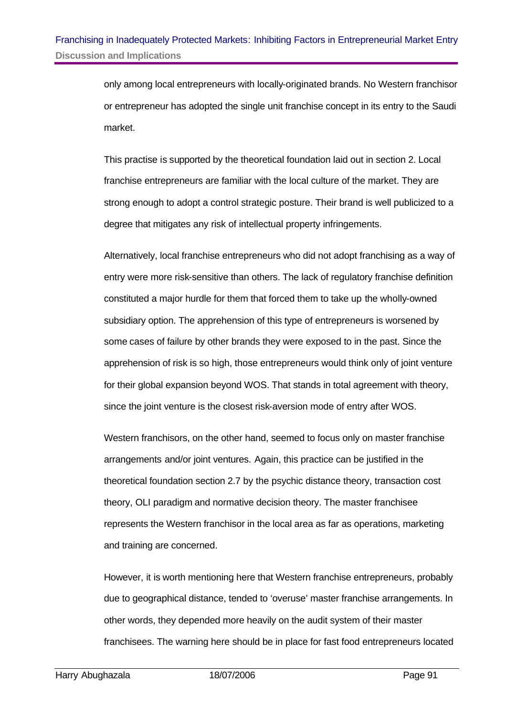only among local entrepreneurs with locally-originated brands. No Western franchisor or entrepreneur has adopted the single unit franchise concept in its entry to the Saudi market.

This practise is supported by the theoretical foundation laid out in section 2. Local franchise entrepreneurs are familiar with the local culture of the market. They are strong enough to adopt a control strategic posture. Their brand is well publicized to a degree that mitigates any risk of intellectual property infringements.

Alternatively, local franchise entrepreneurs who did not adopt franchising as a way of entry were more risk-sensitive than others. The lack of regulatory franchise definition constituted a major hurdle for them that forced them to take up the wholly-owned subsidiary option. The apprehension of this type of entrepreneurs is worsened by some cases of failure by other brands they were exposed to in the past. Since the apprehension of risk is so high, those entrepreneurs would think only of joint venture for their global expansion beyond WOS. That stands in total agreement with theory, since the joint venture is the closest risk-aversion mode of entry after WOS.

Western franchisors, on the other hand, seemed to focus only on master franchise arrangements and/or joint ventures. Again, this practice can be justified in the theoretical foundation section 2.7 by the psychic distance theory, transaction cost theory, OLI paradigm and normative decision theory. The master franchisee represents the Western franchisor in the local area as far as operations, marketing and training are concerned.

However, it is worth mentioning here that Western franchise entrepreneurs, probably due to geographical distance, tended to 'overuse' master franchise arrangements. In other words, they depended more heavily on the audit system of their master franchisees. The warning here should be in place for fast food entrepreneurs located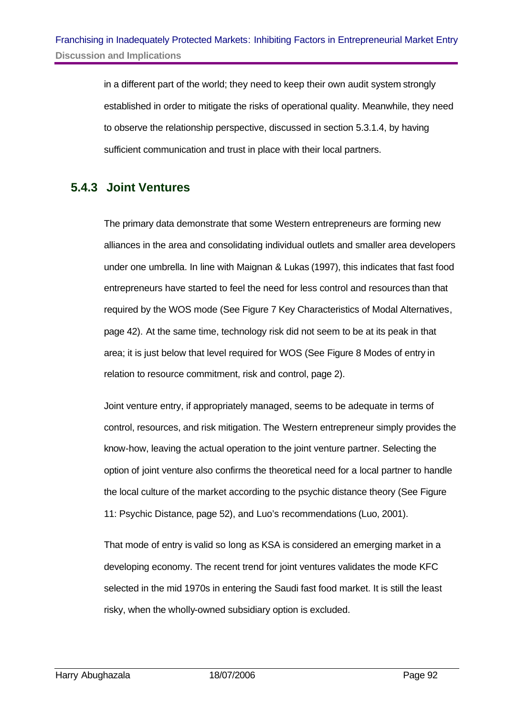in a different part of the world; they need to keep their own audit system strongly established in order to mitigate the risks of operational quality. Meanwhile, they need to observe the relationship perspective, discussed in section 5.3.1.4, by having sufficient communication and trust in place with their local partners.

### **5.4.3 Joint Ventures**

The primary data demonstrate that some Western entrepreneurs are forming new alliances in the area and consolidating individual outlets and smaller area developers under one umbrella. In line with Maignan & Lukas (1997), this indicates that fast food entrepreneurs have started to feel the need for less control and resources than that required by the WOS mode (See Figure 7 Key Characteristics of Modal Alternatives, page 42). At the same time, technology risk did not seem to be at its peak in that area; it is just below that level required for WOS (See Figure 8 Modes of entry in relation to resource commitment, risk and control, page 2).

Joint venture entry, if appropriately managed, seems to be adequate in terms of control, resources, and risk mitigation. The Western entrepreneur simply provides the know-how, leaving the actual operation to the joint venture partner. Selecting the option of joint venture also confirms the theoretical need for a local partner to handle the local culture of the market according to the psychic distance theory (See Figure 11: Psychic Distance, page 52), and Luo's recommendations (Luo, 2001).

That mode of entry is valid so long as KSA is considered an emerging market in a developing economy. The recent trend for joint ventures validates the mode KFC selected in the mid 1970s in entering the Saudi fast food market. It is still the least risky, when the wholly-owned subsidiary option is excluded.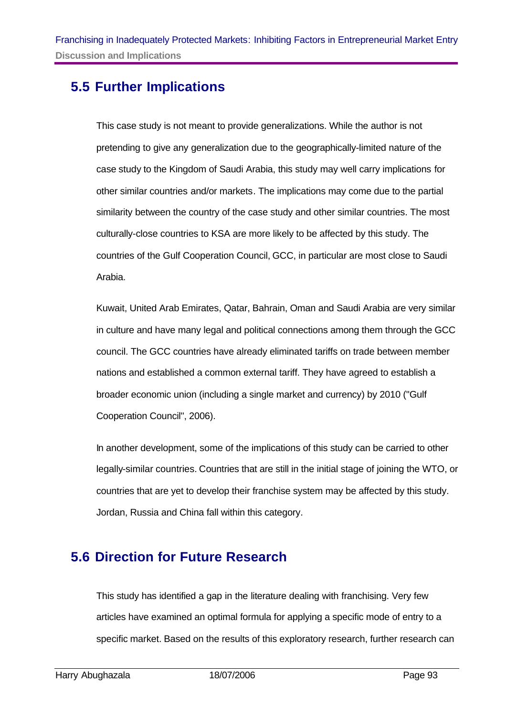# **5.5 Further Implications**

This case study is not meant to provide generalizations. While the author is not pretending to give any generalization due to the geographically-limited nature of the case study to the Kingdom of Saudi Arabia, this study may well carry implications for other similar countries and/or markets. The implications may come due to the partial similarity between the country of the case study and other similar countries. The most culturally-close countries to KSA are more likely to be affected by this study. The countries of the Gulf Cooperation Council, GCC, in particular are most close to Saudi Arabia.

Kuwait, United Arab Emirates, Qatar, Bahrain, Oman and Saudi Arabia are very similar in culture and have many legal and political connections among them through the GCC council. The GCC countries have already eliminated tariffs on trade between member nations and established a common external tariff. They have agreed to establish a broader economic union (including a single market and currency) by 2010 ("Gulf Cooperation Council", 2006).

In another development, some of the implications of this study can be carried to other legally-similar countries. Countries that are still in the initial stage of joining the WTO, or countries that are yet to develop their franchise system may be affected by this study. Jordan, Russia and China fall within this category.

# **5.6 Direction for Future Research**

This study has identified a gap in the literature dealing with franchising. Very few articles have examined an optimal formula for applying a specific mode of entry to a specific market. Based on the results of this exploratory research, further research can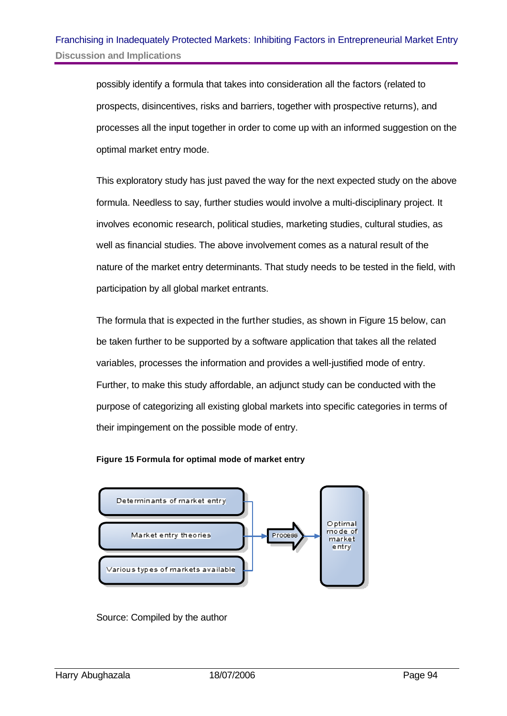possibly identify a formula that takes into consideration all the factors (related to prospects, disincentives, risks and barriers, together with prospective returns), and processes all the input together in order to come up with an informed suggestion on the optimal market entry mode.

This exploratory study has just paved the way for the next expected study on the above formula. Needless to say, further studies would involve a multi-disciplinary project. It involves economic research, political studies, marketing studies, cultural studies, as well as financial studies. The above involvement comes as a natural result of the nature of the market entry determinants. That study needs to be tested in the field, with participation by all global market entrants.

The formula that is expected in the further studies, as shown in Figure 15 below, can be taken further to be supported by a software application that takes all the related variables, processes the information and provides a well-justified mode of entry. Further, to make this study affordable, an adjunct study can be conducted with the purpose of categorizing all existing global markets into specific categories in terms of their impingement on the possible mode of entry.





Source: Compiled by the author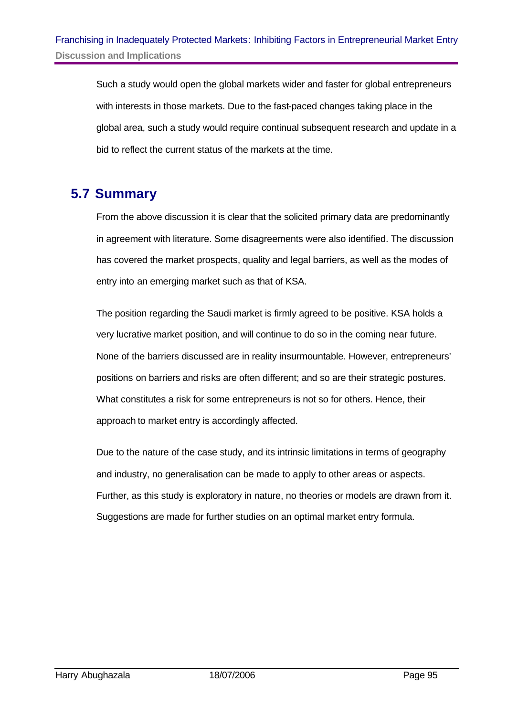Such a study would open the global markets wider and faster for global entrepreneurs with interests in those markets. Due to the fast-paced changes taking place in the global area, such a study would require continual subsequent research and update in a bid to reflect the current status of the markets at the time.

# **5.7 Summary**

From the above discussion it is clear that the solicited primary data are predominantly in agreement with literature. Some disagreements were also identified. The discussion has covered the market prospects, quality and legal barriers, as well as the modes of entry into an emerging market such as that of KSA.

The position regarding the Saudi market is firmly agreed to be positive. KSA holds a very lucrative market position, and will continue to do so in the coming near future. None of the barriers discussed are in reality insurmountable. However, entrepreneurs' positions on barriers and risks are often different; and so are their strategic postures. What constitutes a risk for some entrepreneurs is not so for others. Hence, their approach to market entry is accordingly affected.

Due to the nature of the case study, and its intrinsic limitations in terms of geography and industry, no generalisation can be made to apply to other areas or aspects. Further, as this study is exploratory in nature, no theories or models are drawn from it. Suggestions are made for further studies on an optimal market entry formula.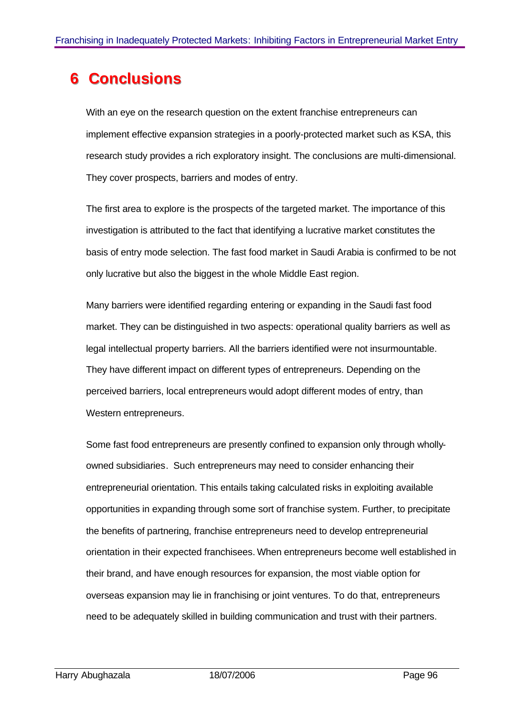# **6 Conclusions**

With an eye on the research question on the extent franchise entrepreneurs can implement effective expansion strategies in a poorly-protected market such as KSA, this research study provides a rich exploratory insight. The conclusions are multi-dimensional. They cover prospects, barriers and modes of entry.

The first area to explore is the prospects of the targeted market. The importance of this investigation is attributed to the fact that identifying a lucrative market constitutes the basis of entry mode selection. The fast food market in Saudi Arabia is confirmed to be not only lucrative but also the biggest in the whole Middle East region.

Many barriers were identified regarding entering or expanding in the Saudi fast food market. They can be distinguished in two aspects: operational quality barriers as well as legal intellectual property barriers. All the barriers identified were not insurmountable. They have different impact on different types of entrepreneurs. Depending on the perceived barriers, local entrepreneurs would adopt different modes of entry, than Western entrepreneurs.

Some fast food entrepreneurs are presently confined to expansion only through whollyowned subsidiaries. Such entrepreneurs may need to consider enhancing their entrepreneurial orientation. This entails taking calculated risks in exploiting available opportunities in expanding through some sort of franchise system. Further, to precipitate the benefits of partnering, franchise entrepreneurs need to develop entrepreneurial orientation in their expected franchisees. When entrepreneurs become well established in their brand, and have enough resources for expansion, the most viable option for overseas expansion may lie in franchising or joint ventures. To do that, entrepreneurs need to be adequately skilled in building communication and trust with their partners.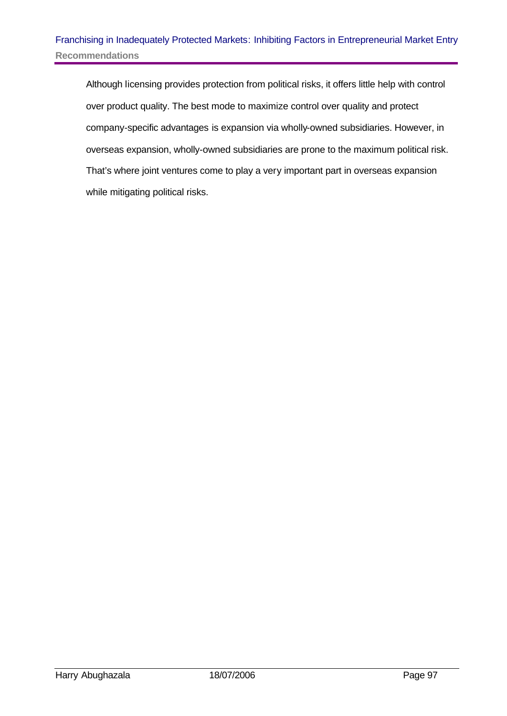Although licensing provides protection from political risks, it offers little help with control over product quality. The best mode to maximize control over quality and protect company-specific advantages is expansion via wholly-owned subsidiaries. However, in overseas expansion, wholly-owned subsidiaries are prone to the maximum political risk. That's where joint ventures come to play a very important part in overseas expansion while mitigating political risks.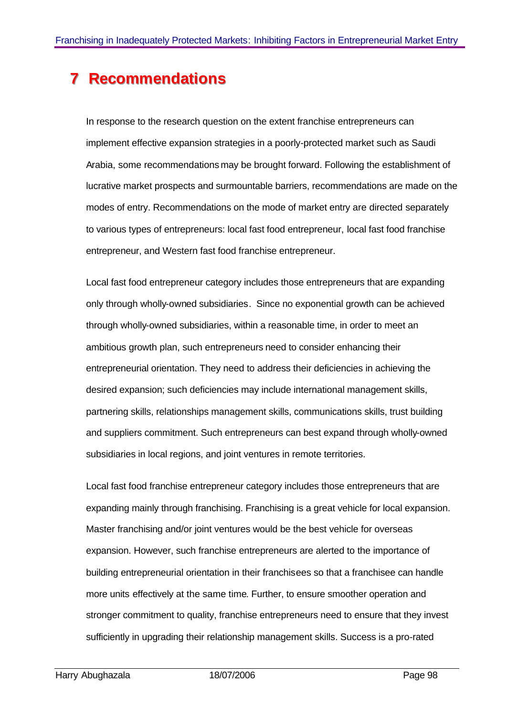# **Recommendations**

In response to the research question on the extent franchise entrepreneurs can implement effective expansion strategies in a poorly-protected market such as Saudi Arabia, some recommendations may be brought forward. Following the establishment of lucrative market prospects and surmountable barriers, recommendations are made on the modes of entry. Recommendations on the mode of market entry are directed separately to various types of entrepreneurs: local fast food entrepreneur, local fast food franchise entrepreneur, and Western fast food franchise entrepreneur.

Local fast food entrepreneur category includes those entrepreneurs that are expanding only through wholly-owned subsidiaries. Since no exponential growth can be achieved through wholly-owned subsidiaries, within a reasonable time, in order to meet an ambitious growth plan, such entrepreneurs need to consider enhancing their entrepreneurial orientation. They need to address their deficiencies in achieving the desired expansion; such deficiencies may include international management skills, partnering skills, relationships management skills, communications skills, trust building and suppliers commitment. Such entrepreneurs can best expand through wholly-owned subsidiaries in local regions, and joint ventures in remote territories.

Local fast food franchise entrepreneur category includes those entrepreneurs that are expanding mainly through franchising. Franchising is a great vehicle for local expansion. Master franchising and/or joint ventures would be the best vehicle for overseas expansion. However, such franchise entrepreneurs are alerted to the importance of building entrepreneurial orientation in their franchisees so that a franchisee can handle more units effectively at the same time. Further, to ensure smoother operation and stronger commitment to quality, franchise entrepreneurs need to ensure that they invest sufficiently in upgrading their relationship management skills. Success is a pro-rated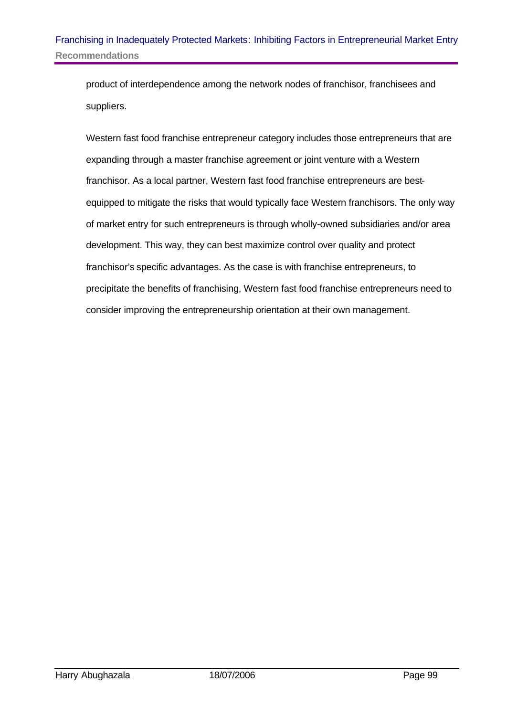product of interdependence among the network nodes of franchisor, franchisees and suppliers.

Western fast food franchise entrepreneur category includes those entrepreneurs that are expanding through a master franchise agreement or joint venture with a Western franchisor. As a local partner, Western fast food franchise entrepreneurs are bestequipped to mitigate the risks that would typically face Western franchisors. The only way of market entry for such entrepreneurs is through wholly-owned subsidiaries and/or area development. This way, they can best maximize control over quality and protect franchisor's specific advantages. As the case is with franchise entrepreneurs, to precipitate the benefits of franchising, Western fast food franchise entrepreneurs need to consider improving the entrepreneurship orientation at their own management.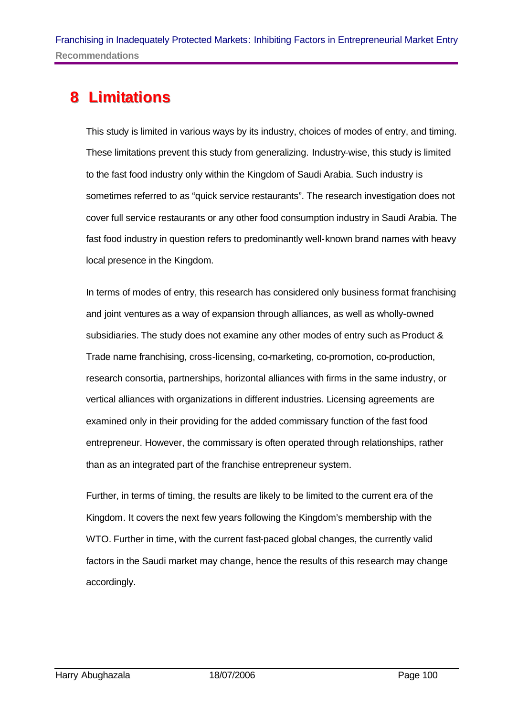# **8 Liimiitatiions**

This study is limited in various ways by its industry, choices of modes of entry, and timing. These limitations prevent this study from generalizing. Industry-wise, this study is limited to the fast food industry only within the Kingdom of Saudi Arabia. Such industry is sometimes referred to as "quick service restaurants". The research investigation does not cover full service restaurants or any other food consumption industry in Saudi Arabia. The fast food industry in question refers to predominantly well-known brand names with heavy local presence in the Kingdom.

In terms of modes of entry, this research has considered only business format franchising and joint ventures as a way of expansion through alliances, as well as wholly-owned subsidiaries. The study does not examine any other modes of entry such as Product & Trade name franchising, cross-licensing, co-marketing, co-promotion, co-production, research consortia, partnerships, horizontal alliances with firms in the same industry, or vertical alliances with organizations in different industries. Licensing agreements are examined only in their providing for the added commissary function of the fast food entrepreneur. However, the commissary is often operated through relationships, rather than as an integrated part of the franchise entrepreneur system.

Further, in terms of timing, the results are likely to be limited to the current era of the Kingdom. It covers the next few years following the Kingdom's membership with the WTO. Further in time, with the current fast-paced global changes, the currently valid factors in the Saudi market may change, hence the results of this research may change accordingly.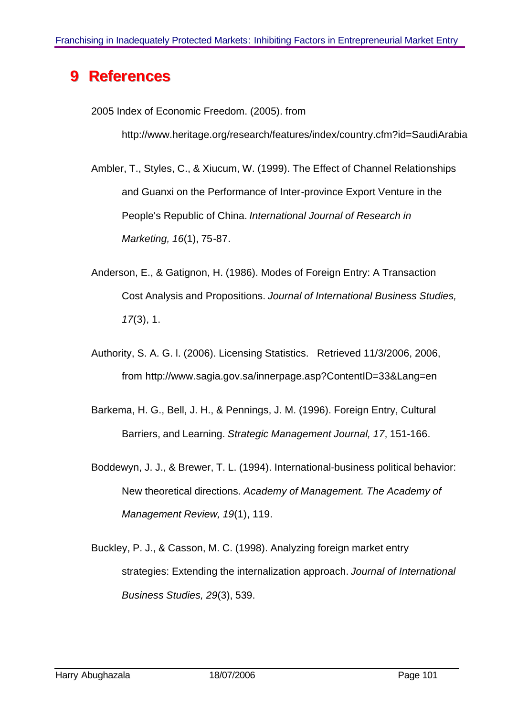# **9 References**

2005 Index of Economic Freedom. (2005). from

http://www.heritage.org/research/features/index/country.cfm?id=SaudiArabia

Ambler, T., Styles, C., & Xiucum, W. (1999). The Effect of Channel Relationships and Guanxi on the Performance of Inter-province Export Venture in the People's Republic of China. *International Journal of Research in Marketing, 16*(1), 75-87.

- Anderson, E., & Gatignon, H. (1986). Modes of Foreign Entry: A Transaction Cost Analysis and Propositions. *Journal of International Business Studies, 17*(3), 1.
- Authority, S. A. G. l. (2006). Licensing Statistics. Retrieved 11/3/2006, 2006, from http://www.sagia.gov.sa/innerpage.asp?ContentID=33&Lang=en
- Barkema, H. G., Bell, J. H., & Pennings, J. M. (1996). Foreign Entry, Cultural Barriers, and Learning. *Strategic Management Journal, 17*, 151-166.
- Boddewyn, J. J., & Brewer, T. L. (1994). International-business political behavior: New theoretical directions. *Academy of Management. The Academy of Management Review, 19*(1), 119.
- Buckley, P. J., & Casson, M. C. (1998). Analyzing foreign market entry strategies: Extending the internalization approach. *Journal of International Business Studies, 29*(3), 539.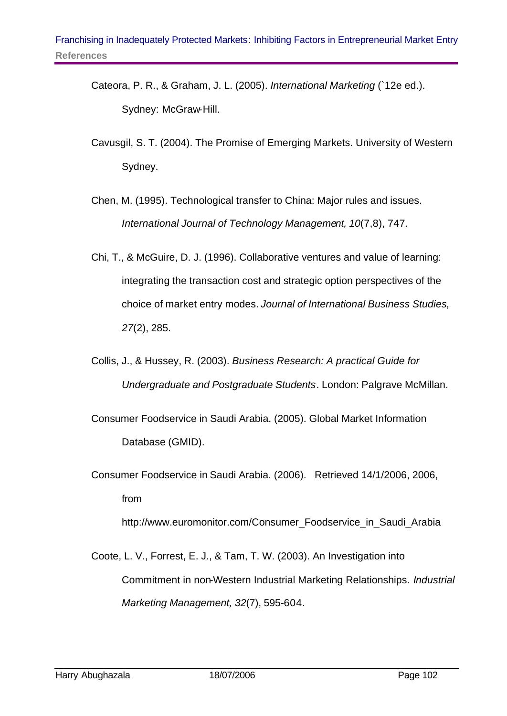- Cateora, P. R., & Graham, J. L. (2005). *International Marketing* (`12e ed.). Sydney: McGraw-Hill.
- Cavusgil, S. T. (2004). The Promise of Emerging Markets. University of Western Sydney.
- Chen, M. (1995). Technological transfer to China: Major rules and issues. *International Journal of Technology Management, 10*(7,8), 747.
- Chi, T., & McGuire, D. J. (1996). Collaborative ventures and value of learning: integrating the transaction cost and strategic option perspectives of the choice of market entry modes. *Journal of International Business Studies, 27*(2), 285.
- Collis, J., & Hussey, R. (2003). *Business Research: A practical Guide for Undergraduate and Postgraduate Students*. London: Palgrave McMillan.
- Consumer Foodservice in Saudi Arabia. (2005). Global Market Information Database (GMID).
- Consumer Foodservice in Saudi Arabia. (2006). Retrieved 14/1/2006, 2006, from

http://www.euromonitor.com/Consumer\_Foodservice\_in\_Saudi\_Arabia

Coote, L. V., Forrest, E. J., & Tam, T. W. (2003). An Investigation into Commitment in non-Western Industrial Marketing Relationships. *Industrial Marketing Management, 32*(7), 595-604.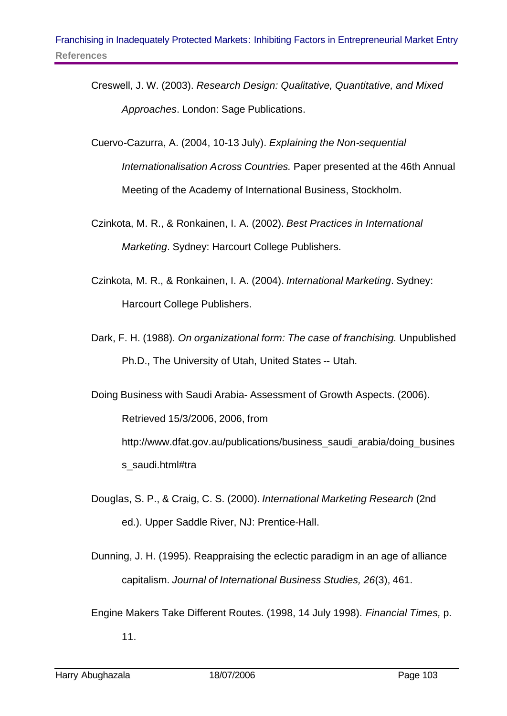- Creswell, J. W. (2003). *Research Design: Qualitative, Quantitative, and Mixed Approaches*. London: Sage Publications.
- Cuervo-Cazurra, A. (2004, 10-13 July). *Explaining the Non-sequential Internationalisation Across Countries.* Paper presented at the 46th Annual Meeting of the Academy of International Business, Stockholm.
- Czinkota, M. R., & Ronkainen, I. A. (2002). *Best Practices in International Marketing*. Sydney: Harcourt College Publishers.
- Czinkota, M. R., & Ronkainen, I. A. (2004). *International Marketing*. Sydney: Harcourt College Publishers.
- Dark, F. H. (1988). *On organizational form: The case of franchising.* Unpublished Ph.D., The University of Utah, United States -- Utah.

Doing Business with Saudi Arabia- Assessment of Growth Aspects. (2006). Retrieved 15/3/2006, 2006, from http://www.dfat.gov.au/publications/business\_saudi\_arabia/doing\_busines s\_saudi.html#tra

- Douglas, S. P., & Craig, C. S. (2000). *International Marketing Research* (2nd ed.). Upper Saddle River, NJ: Prentice-Hall.
- Dunning, J. H. (1995). Reappraising the eclectic paradigm in an age of alliance capitalism. *Journal of International Business Studies, 26*(3), 461.
- Engine Makers Take Different Routes. (1998, 14 July 1998). *Financial Times,* p. 11.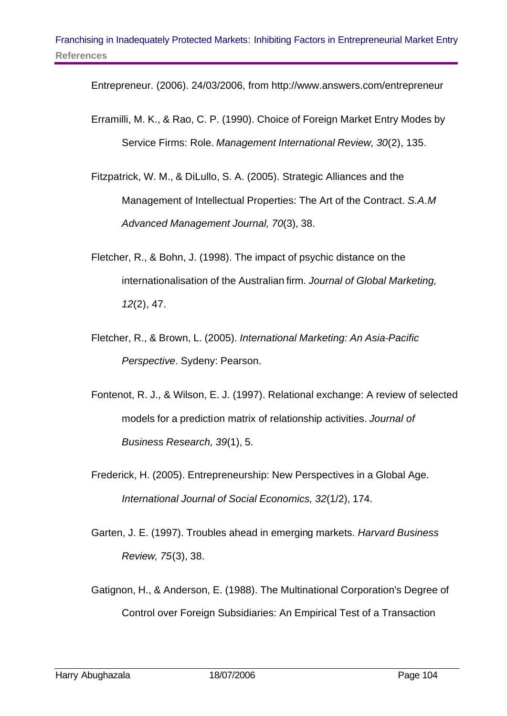Entrepreneur. (2006). 24/03/2006, from http://www.answers.com/entrepreneur

- Erramilli, M. K., & Rao, C. P. (1990). Choice of Foreign Market Entry Modes by Service Firms: Role. *Management International Review, 30*(2), 135.
- Fitzpatrick, W. M., & DiLullo, S. A. (2005). Strategic Alliances and the Management of Intellectual Properties: The Art of the Contract. *S.A.M Advanced Management Journal, 70*(3), 38.
- Fletcher, R., & Bohn, J. (1998). The impact of psychic distance on the internationalisation of the Australian firm. *Journal of Global Marketing, 12*(2), 47.
- Fletcher, R., & Brown, L. (2005). *International Marketing: An Asia-Pacific Perspective*. Sydeny: Pearson.
- Fontenot, R. J., & Wilson, E. J. (1997). Relational exchange: A review of selected models for a prediction matrix of relationship activities. *Journal of Business Research, 39*(1), 5.
- Frederick, H. (2005). Entrepreneurship: New Perspectives in a Global Age. *International Journal of Social Economics, 32*(1/2), 174.
- Garten, J. E. (1997). Troubles ahead in emerging markets. *Harvard Business Review, 75*(3), 38.
- Gatignon, H., & Anderson, E. (1988). The Multinational Corporation's Degree of Control over Foreign Subsidiaries: An Empirical Test of a Transaction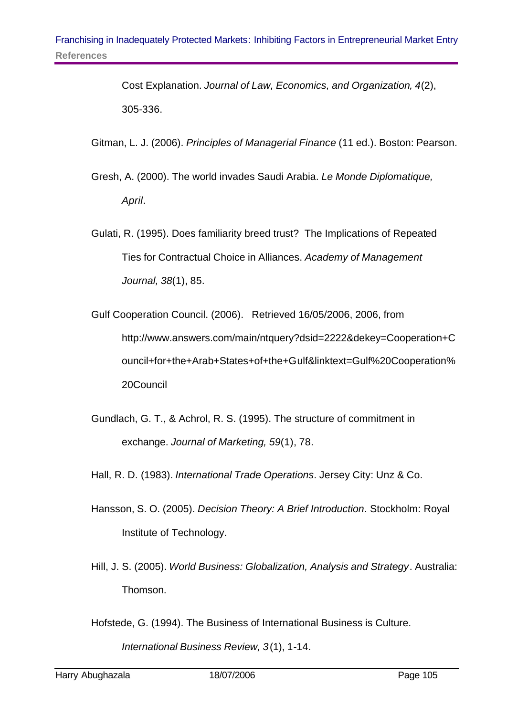Cost Explanation. *Journal of Law, Economics, and Organization, 4*(2), 305-336.

- Gitman, L. J. (2006). *Principles of Managerial Finance* (11 ed.). Boston: Pearson.
- Gresh, A. (2000). The world invades Saudi Arabia. *Le Monde Diplomatique, April*.
- Gulati, R. (1995). Does familiarity breed trust? The Implications of Repeated Ties for Contractual Choice in Alliances. *Academy of Management Journal, 38*(1), 85.
- Gulf Cooperation Council. (2006). Retrieved 16/05/2006, 2006, from http://www.answers.com/main/ntquery?dsid=2222&dekey=Cooperation+C ouncil+for+the+Arab+States+of+the+Gulf&linktext=Gulf%20Cooperation% 20Council
- Gundlach, G. T., & Achrol, R. S. (1995). The structure of commitment in exchange. *Journal of Marketing, 59*(1), 78.
- Hall, R. D. (1983). *International Trade Operations*. Jersey City: Unz & Co.
- Hansson, S. O. (2005). *Decision Theory: A Brief Introduction*. Stockholm: Royal Institute of Technology.
- Hill, J. S. (2005). *World Business: Globalization, Analysis and Strategy*. Australia: Thomson.

Hofstede, G. (1994). The Business of International Business is Culture.

*International Business Review, 3*(1), 1-14.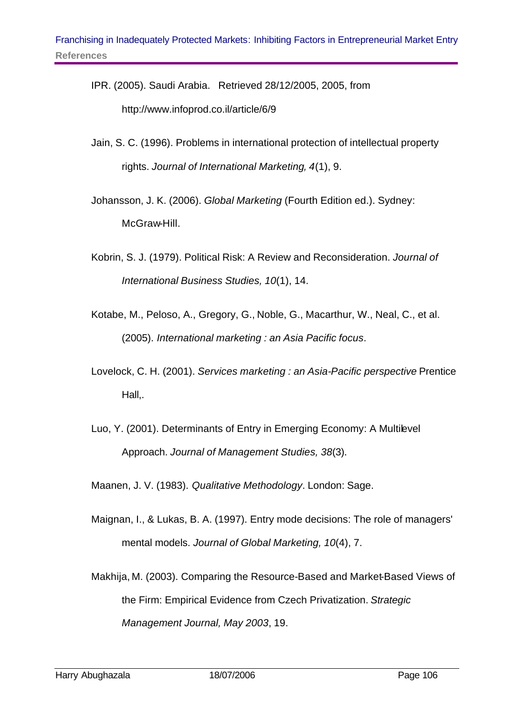- IPR. (2005). Saudi Arabia. Retrieved 28/12/2005, 2005, from http://www.infoprod.co.il/article/6/9
- Jain, S. C. (1996). Problems in international protection of intellectual property rights. *Journal of International Marketing, 4*(1), 9.
- Johansson, J. K. (2006). *Global Marketing* (Fourth Edition ed.). Sydney: McGraw-Hill.
- Kobrin, S. J. (1979). Political Risk: A Review and Reconsideration. *Journal of International Business Studies, 10*(1), 14.
- Kotabe, M., Peloso, A., Gregory, G., Noble, G., Macarthur, W., Neal, C., et al. (2005). *International marketing : an Asia Pacific focus*.
- Lovelock, C. H. (2001). *Services marketing : an Asia-Pacific perspective* Prentice Hall,.
- Luo, Y. (2001). Determinants of Entry in Emerging Economy: A Multilevel Approach. *Journal of Management Studies, 38*(3).
- Maanen, J. V. (1983). *Qualitative Methodology*. London: Sage.
- Maignan, I., & Lukas, B. A. (1997). Entry mode decisions: The role of managers' mental models. *Journal of Global Marketing, 10*(4), 7.
- Makhija, M. (2003). Comparing the Resource-Based and Market-Based Views of the Firm: Empirical Evidence from Czech Privatization. *Strategic Management Journal, May 2003*, 19.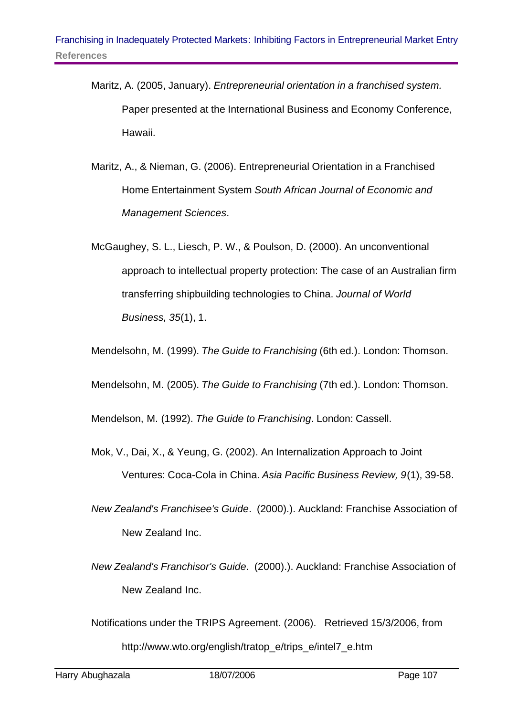- Maritz, A. (2005, January). *Entrepreneurial orientation in a franchised system.* Paper presented at the International Business and Economy Conference, Hawaii.
- Maritz, A., & Nieman, G. (2006). Entrepreneurial Orientation in a Franchised Home Entertainment System *South African Journal of Economic and Management Sciences*.
- McGaughey, S. L., Liesch, P. W., & Poulson, D. (2000). An unconventional approach to intellectual property protection: The case of an Australian firm transferring shipbuilding technologies to China. *Journal of World Business, 35*(1), 1.

Mendelsohn, M. (1999). *The Guide to Franchising* (6th ed.). London: Thomson.

Mendelsohn, M. (2005). *The Guide to Franchising* (7th ed.). London: Thomson.

Mendelson, M. (1992). *The Guide to Franchising*. London: Cassell.

- Mok, V., Dai, X., & Yeung, G. (2002). An Internalization Approach to Joint Ventures: Coca-Cola in China. *Asia Pacific Business Review, 9*(1), 39-58.
- *New Zealand's Franchisee's Guide*. (2000).). Auckland: Franchise Association of New Zealand Inc.
- *New Zealand's Franchisor's Guide*. (2000).). Auckland: Franchise Association of New Zealand Inc.

Notifications under the TRIPS Agreement. (2006). Retrieved 15/3/2006, from http://www.wto.org/english/tratop\_e/trips\_e/intel7\_e.htm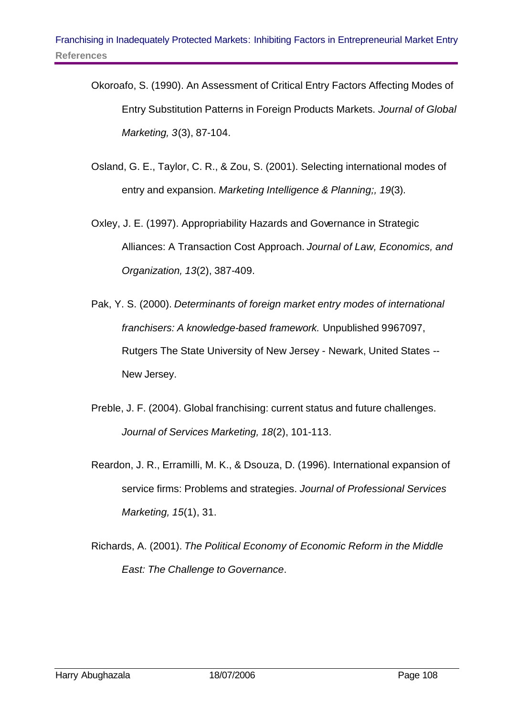- Okoroafo, S. (1990). An Assessment of Critical Entry Factors Affecting Modes of Entry Substitution Patterns in Foreign Products Markets. *Journal of Global Marketing, 3*(3), 87-104.
- Osland, G. E., Taylor, C. R., & Zou, S. (2001). Selecting international modes of entry and expansion. *Marketing Intelligence & Planning;, 19*(3).
- Oxley, J. E. (1997). Appropriability Hazards and Governance in Strategic Alliances: A Transaction Cost Approach. *Journal of Law, Economics, and Organization, 13*(2), 387-409.
- Pak, Y. S. (2000). *Determinants of foreign market entry modes of international franchisers: A knowledge-based framework.* Unpublished 9967097, Rutgers The State University of New Jersey - Newark, United States -- New Jersey.
- Preble, J. F. (2004). Global franchising: current status and future challenges. *Journal of Services Marketing, 18*(2), 101-113.
- Reardon, J. R., Erramilli, M. K., & Dsouza, D. (1996). International expansion of service firms: Problems and strategies. *Journal of Professional Services Marketing, 15*(1), 31.
- Richards, A. (2001). *The Political Economy of Economic Reform in the Middle East: The Challenge to Governance*.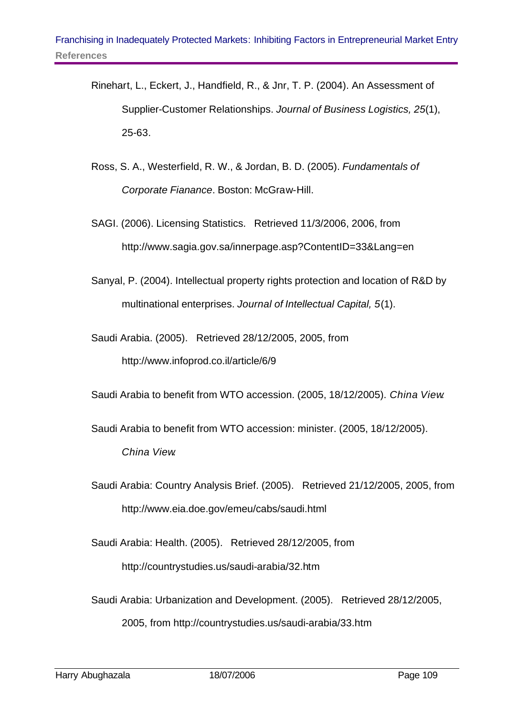- Rinehart, L., Eckert, J., Handfield, R., & Jnr, T. P. (2004). An Assessment of Supplier-Customer Relationships. *Journal of Business Logistics, 25*(1), 25-63.
- Ross, S. A., Westerfield, R. W., & Jordan, B. D. (2005). *Fundamentals of Corporate Fianance*. Boston: McGraw-Hill.
- SAGI. (2006). Licensing Statistics. Retrieved 11/3/2006, 2006, from http://www.sagia.gov.sa/innerpage.asp?ContentID=33&Lang=en
- Sanyal, P. (2004). Intellectual property rights protection and location of R&D by multinational enterprises. *Journal of Intellectual Capital, 5*(1).
- Saudi Arabia. (2005). Retrieved 28/12/2005, 2005, from http://www.infoprod.co.il/article/6/9

Saudi Arabia to benefit from WTO accession. (2005, 18/12/2005). *China View*.

Saudi Arabia to benefit from WTO accession: minister. (2005, 18/12/2005). *China View*.

Saudi Arabia: Country Analysis Brief. (2005). Retrieved 21/12/2005, 2005, from http://www.eia.doe.gov/emeu/cabs/saudi.html

Saudi Arabia: Health. (2005). Retrieved 28/12/2005, from http://countrystudies.us/saudi-arabia/32.htm

Saudi Arabia: Urbanization and Development. (2005). Retrieved 28/12/2005,

2005, from http://countrystudies.us/saudi-arabia/33.htm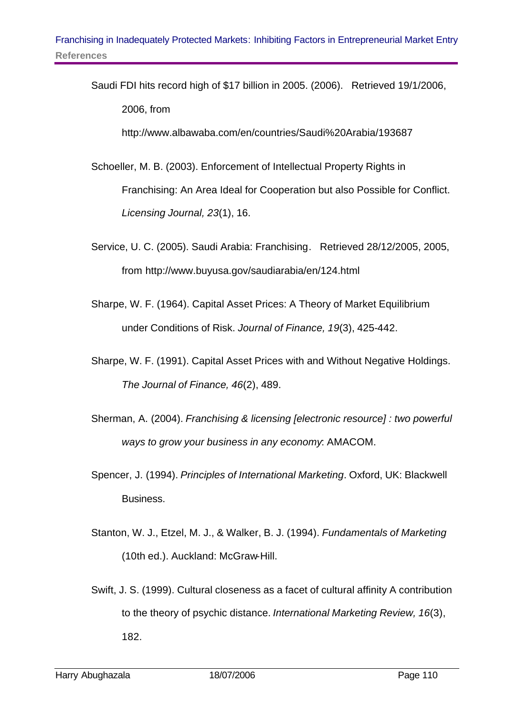Saudi FDI hits record high of \$17 billion in 2005. (2006). Retrieved 19/1/2006, 2006, from

http://www.albawaba.com/en/countries/Saudi%20Arabia/193687

- Schoeller, M. B. (2003). Enforcement of Intellectual Property Rights in Franchising: An Area Ideal for Cooperation but also Possible for Conflict. *Licensing Journal, 23*(1), 16.
- Service, U. C. (2005). Saudi Arabia: Franchising. Retrieved 28/12/2005, 2005, from http://www.buyusa.gov/saudiarabia/en/124.html
- Sharpe, W. F. (1964). Capital Asset Prices: A Theory of Market Equilibrium under Conditions of Risk. *Journal of Finance, 19*(3), 425-442.
- Sharpe, W. F. (1991). Capital Asset Prices with and Without Negative Holdings. *The Journal of Finance, 46*(2), 489.
- Sherman, A. (2004). *Franchising & licensing [electronic resource] : two powerful ways to grow your business in any economy*: AMACOM.
- Spencer, J. (1994). *Principles of International Marketing*. Oxford, UK: Blackwell Business.
- Stanton, W. J., Etzel, M. J., & Walker, B. J. (1994). *Fundamentals of Marketing* (10th ed.). Auckland: McGraw-Hill.
- Swift, J. S. (1999). Cultural closeness as a facet of cultural affinity A contribution to the theory of psychic distance. *International Marketing Review, 16*(3), 182.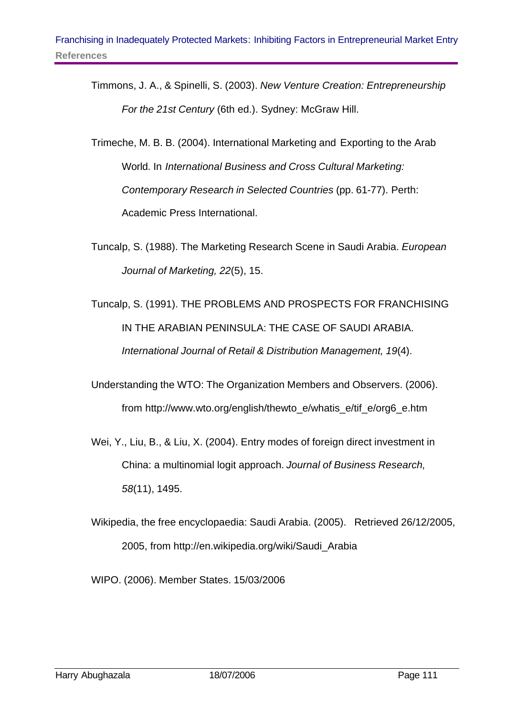- Timmons, J. A., & Spinelli, S. (2003). *New Venture Creation: Entrepreneurship For the 21st Century* (6th ed.). Sydney: McGraw Hill.
- Trimeche, M. B. B. (2004). International Marketing and Exporting to the Arab World. In *International Business and Cross Cultural Marketing: Contemporary Research in Selected Countries* (pp. 61-77). Perth: Academic Press International.
- Tuncalp, S. (1988). The Marketing Research Scene in Saudi Arabia. *European Journal of Marketing, 22*(5), 15.
- Tuncalp, S. (1991). THE PROBLEMS AND PROSPECTS FOR FRANCHISING IN THE ARABIAN PENINSULA: THE CASE OF SAUDI ARABIA. *International Journal of Retail & Distribution Management, 19*(4).
- Understanding the WTO: The Organization Members and Observers. (2006). from http://www.wto.org/english/thewto\_e/whatis\_e/tif\_e/org6\_e.htm
- Wei, Y., Liu, B., & Liu, X. (2004). Entry modes of foreign direct investment in China: a multinomial logit approach. *Journal of Business Research, 58*(11), 1495.
- Wikipedia, the free encyclopaedia: Saudi Arabia. (2005). Retrieved 26/12/2005, 2005, from http://en.wikipedia.org/wiki/Saudi\_Arabia

WIPO. (2006). Member States. 15/03/2006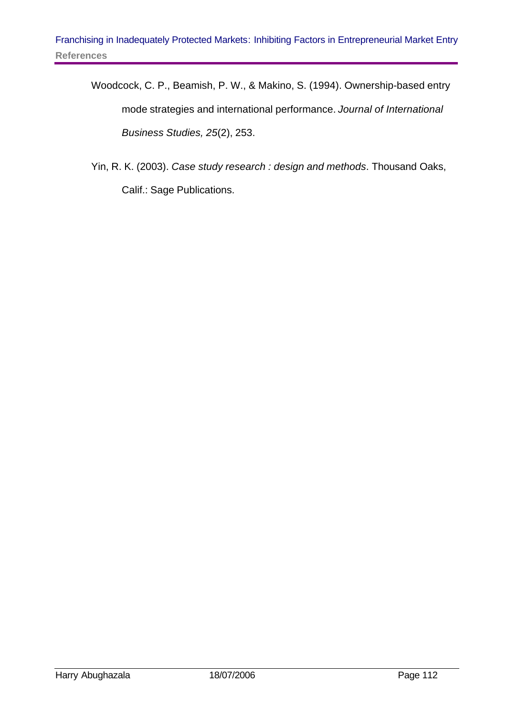- Woodcock, C. P., Beamish, P. W., & Makino, S. (1994). Ownership-based entry mode strategies and international performance. *Journal of International Business Studies, 25*(2), 253.
- Yin, R. K. (2003). *Case study research : design and methods*. Thousand Oaks, Calif.: Sage Publications.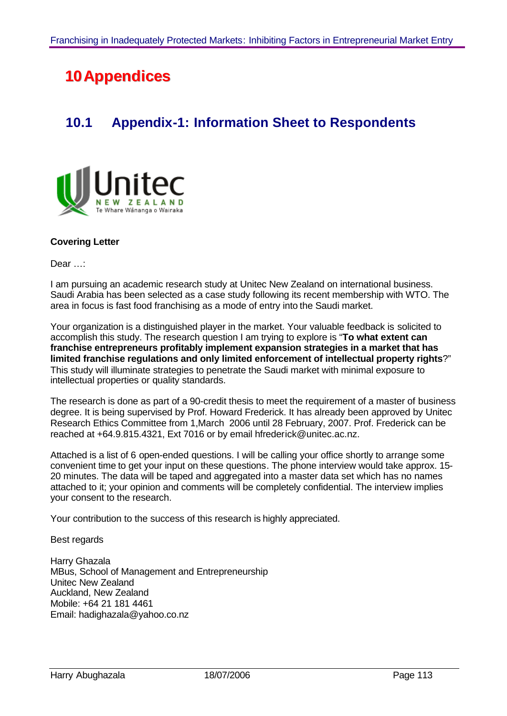# **10** Appendices

## **10.1 Appendix-1: Information Sheet to Respondents**



#### **Covering Letter**

Dear …:

I am pursuing an academic research study at Unitec New Zealand on international business. Saudi Arabia has been selected as a case study following its recent membership with WTO. The area in focus is fast food franchising as a mode of entry into the Saudi market.

Your organization is a distinguished player in the market. Your valuable feedback is solicited to accomplish this study. The research question I am trying to explore is "**To what extent can franchise entrepreneurs profitably implement expansion strategies in a market that has limited franchise regulations and only limited enforcement of intellectual property rights**?" This study will illuminate strategies to penetrate the Saudi market with minimal exposure to intellectual properties or quality standards.

The research is done as part of a 90-credit thesis to meet the requirement of a master of business degree. It is being supervised by Prof. Howard Frederick. It has already been approved by Unitec Research Ethics Committee from 1,March 2006 until 28 February, 2007. Prof. Frederick can be reached at +64.9.815.4321, Ext 7016 or by email hfrederick@unitec.ac.nz.

Attached is a list of 6 open-ended questions. I will be calling your office shortly to arrange some convenient time to get your input on these questions. The phone interview would take approx. 15- 20 minutes. The data will be taped and aggregated into a master data set which has no names attached to it; your opinion and comments will be completely confidential. The interview implies your consent to the research.

Your contribution to the success of this research is highly appreciated.

Best regards

Harry Ghazala MBus, School of Management and Entrepreneurship Unitec New Zealand Auckland, New Zealand Mobile: +64 21 181 4461 Email: hadighazala@yahoo.co.nz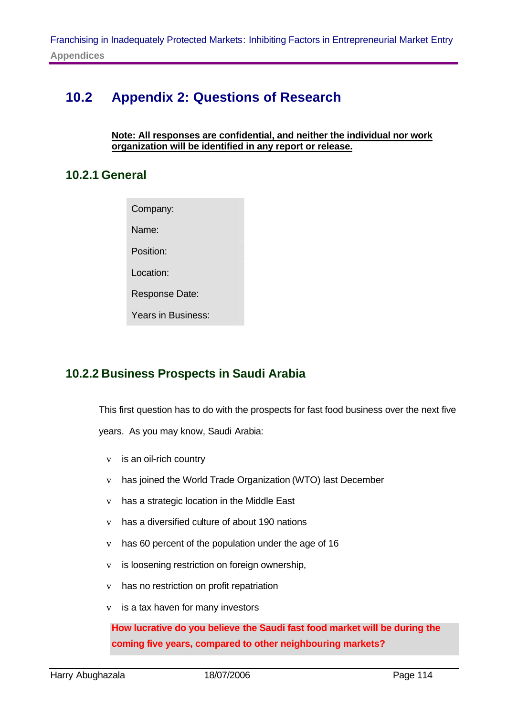## **10.2 Appendix 2: Questions of Research**

#### **Note: All responses are confidential, and neither the individual nor work organization will be identified in any report or release.**

#### **10.2.1 General**

Company:

Name:

Position:

Location:

Response Date:

Years in Business:

#### **10.2.2 Business Prospects in Saudi Arabia**

This first question has to do with the prospects for fast food business over the next five

years. As you may know, Saudi Arabia:

- v is an oil-rich country
- v has joined the World Trade Organization (WTO) last December
- v has a strategic location in the Middle East
- v has a diversified culture of about 190 nations
- v has 60 percent of the population under the age of 16
- v is loosening restriction on foreign ownership,
- v has no restriction on profit repatriation
- v is a tax haven for many investors

**How lucrative do you believe the Saudi fast food market will be during the coming five years, compared to other neighbouring markets?**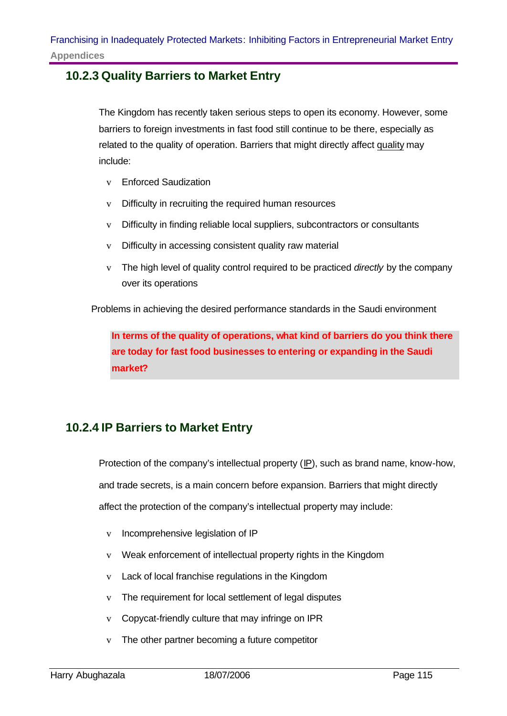#### **10.2.3 Quality Barriers to Market Entry**

The Kingdom has recently taken serious steps to open its economy. However, some barriers to foreign investments in fast food still continue to be there, especially as related to the quality of operation. Barriers that might directly affect quality may include:

- v Enforced Saudization
- v Difficulty in recruiting the required human resources
- v Difficulty in finding reliable local suppliers, subcontractors or consultants
- v Difficulty in accessing consistent quality raw material
- v The high level of quality control required to be practiced *directly* by the company over its operations

Problems in achieving the desired performance standards in the Saudi environment

**In terms of the quality of operations, what kind of barriers do you think there are today for fast food businesses to entering or expanding in the Saudi market?**

## **10.2.4 IP Barriers to Market Entry**

Protection of the company's intellectual property (IP), such as brand name, know-how, and trade secrets, is a main concern before expansion. Barriers that might directly affect the protection of the company's intellectual property may include:

- v Incomprehensive legislation of IP
- v Weak enforcement of intellectual property rights in the Kingdom
- v Lack of local franchise regulations in the Kingdom
- v The requirement for local settlement of legal disputes
- v Copycat-friendly culture that may infringe on IPR
- v The other partner becoming a future competitor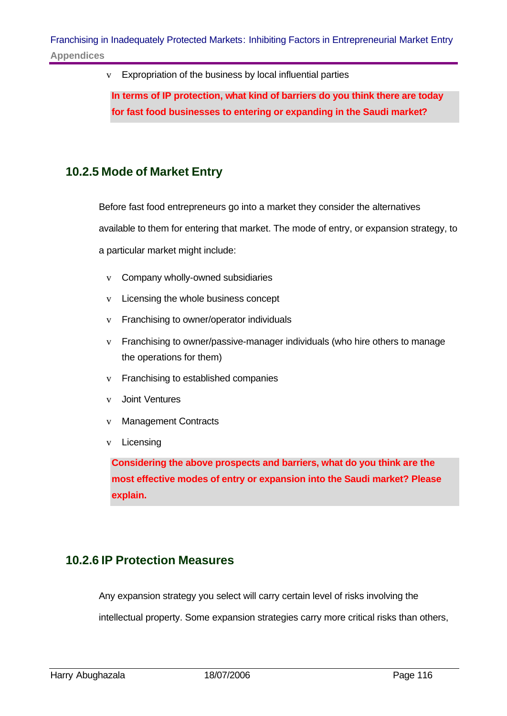v Expropriation of the business by local influential parties

**In terms of IP protection, what kind of barriers do you think there are today for fast food businesses to entering or expanding in the Saudi market?**

### **10.2.5 Mode of Market Entry**

Before fast food entrepreneurs go into a market they consider the alternatives available to them for entering that market. The mode of entry, or expansion strategy, to a particular market might include:

- v Company wholly-owned subsidiaries
- v Licensing the whole business concept
- v Franchising to owner/operator individuals
- v Franchising to owner/passive-manager individuals (who hire others to manage the operations for them)
- v Franchising to established companies
- v Joint Ventures
- v Management Contracts
- v Licensing

**Considering the above prospects and barriers, what do you think are the most effective modes of entry or expansion into the Saudi market? Please explain.**

#### **10.2.6 IP Protection Measures**

Any expansion strategy you select will carry certain level of risks involving the

intellectual property. Some expansion strategies carry more critical risks than others,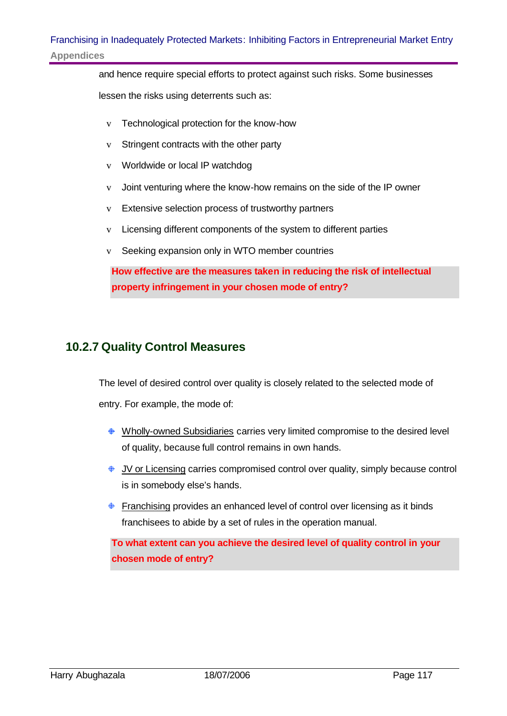and hence require special efforts to protect against such risks. Some businesses

lessen the risks using deterrents such as:

- v Technological protection for the know-how
- v Stringent contracts with the other party
- v Worldwide or local IP watchdog
- v Joint venturing where the know-how remains on the side of the IP owner
- v Extensive selection process of trustworthy partners
- v Licensing different components of the system to different parties
- v Seeking expansion only in WTO member countries

**How effective are the measures taken in reducing the risk of intellectual property infringement in your chosen mode of entry?** 

#### **10.2.7 Quality Control Measures**

The level of desired control over quality is closely related to the selected mode of entry. For example, the mode of:

- ♦ Wholly-owned Subsidiaries carries very limited compromise to the desired level of quality, because full control remains in own hands.
- JV or Licensing carries compromised control over quality, simply because control is in somebody else's hands.
- **Franchising provides an enhanced level of control over licensing as it binds** franchisees to abide by a set of rules in the operation manual.

**To what extent can you achieve the desired level of quality control in your chosen mode of entry?**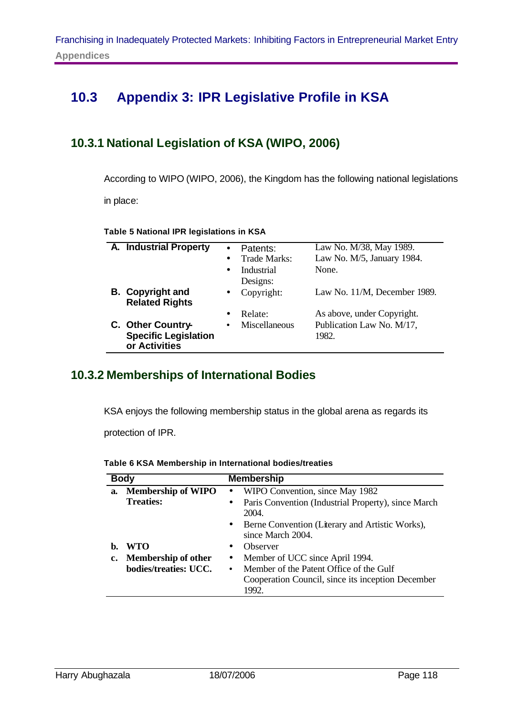## **10.3 Appendix 3: IPR Legislative Profile in KSA**

### **10.3.1 National Legislation of KSA (WIPO, 2006)**

According to WIPO (WIPO, 2006), the Kingdom has the following national legislations in place:

**Table 5 National IPR legislations in KSA**

| A. Industrial Property                           | Patents:                   | Law No. M/38, May 1989.      |
|--------------------------------------------------|----------------------------|------------------------------|
|                                                  | <b>Trade Marks:</b>        | Law No. M/5, January 1984.   |
|                                                  | Industrial<br>$\bullet$    | None.                        |
|                                                  | Designs:                   |                              |
| <b>B.</b> Copyright and<br><b>Related Rights</b> | Copyright:<br>$\bullet$    | Law No. 11/M, December 1989. |
|                                                  | Relate:                    | As above, under Copyright.   |
| C. Other Country-                                | Miscellaneous<br>$\bullet$ | Publication Law No. M/17,    |
| <b>Specific Legislation</b><br>or Activities     |                            | 1982.                        |

#### **10.3.2 Memberships of International Bodies**

KSA enjoys the following membership status in the global arena as regards its

protection of IPR.

|    | <b>Body</b>               | <b>Membership</b>                                                         |  |
|----|---------------------------|---------------------------------------------------------------------------|--|
| a. | <b>Membership of WIPO</b> | • WIPO Convention, since May 1982                                         |  |
|    | <b>Treaties:</b>          | Paris Convention (Industrial Property), since March<br>$\bullet$<br>2004. |  |
|    |                           | • Berne Convention (Literary and Artistic Works),<br>since March 2004.    |  |
| b. | <b>WTO</b>                | Observer                                                                  |  |
|    | c. Membership of other    | Member of UCC since April 1994.<br>$\bullet$                              |  |
|    | bodies/treaties: UCC.     | Member of the Patent Office of the Gulf                                   |  |
|    |                           | Cooperation Council, since its inception December<br>1992.                |  |

**Table 6 KSA Membership in International bodies/treaties**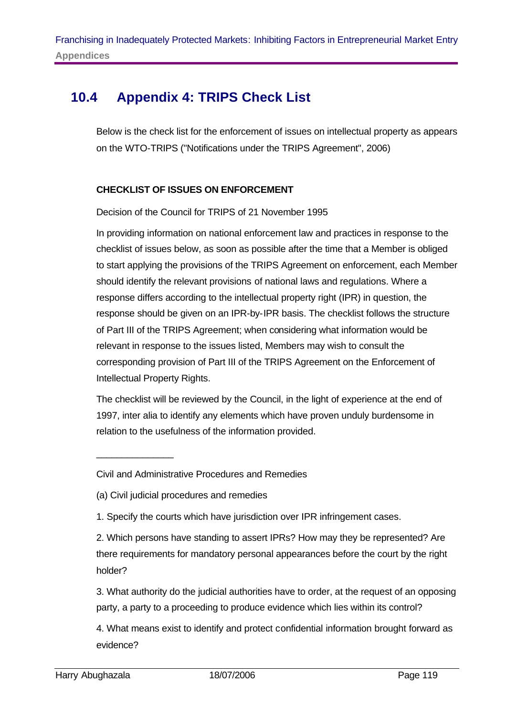## **10.4 Appendix 4: TRIPS Check List**

Below is the check list for the enforcement of issues on intellectual property as appears on the WTO-TRIPS ("Notifications under the TRIPS Agreement", 2006)

#### **CHECKLIST OF ISSUES ON ENFORCEMENT**

Decision of the Council for TRIPS of 21 November 1995

In providing information on national enforcement law and practices in response to the checklist of issues below, as soon as possible after the time that a Member is obliged to start applying the provisions of the TRIPS Agreement on enforcement, each Member should identify the relevant provisions of national laws and regulations. Where a response differs according to the intellectual property right (IPR) in question, the response should be given on an IPR-by-IPR basis. The checklist follows the structure of Part III of the TRIPS Agreement; when considering what information would be relevant in response to the issues listed, Members may wish to consult the corresponding provision of Part III of the TRIPS Agreement on the Enforcement of Intellectual Property Rights.

The checklist will be reviewed by the Council, in the light of experience at the end of 1997, inter alia to identify any elements which have proven unduly burdensome in relation to the usefulness of the information provided.

\_\_\_\_\_\_\_\_\_\_\_\_\_\_\_

Civil and Administrative Procedures and Remedies

<sup>(</sup>a) Civil judicial procedures and remedies

<sup>1.</sup> Specify the courts which have jurisdiction over IPR infringement cases.

<sup>2.</sup> Which persons have standing to assert IPRs? How may they be represented? Are there requirements for mandatory personal appearances before the court by the right holder?

<sup>3.</sup> What authority do the judicial authorities have to order, at the request of an opposing party, a party to a proceeding to produce evidence which lies within its control?

<sup>4.</sup> What means exist to identify and protect confidential information brought forward as evidence?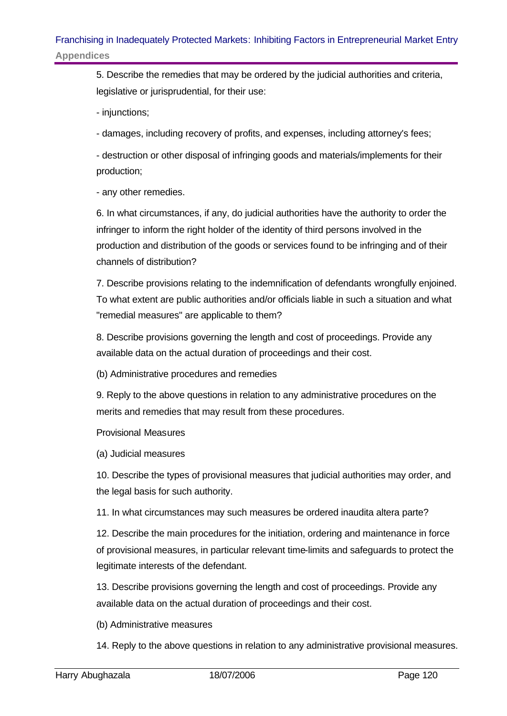5. Describe the remedies that may be ordered by the judicial authorities and criteria, legislative or jurisprudential, for their use:

- injunctions;

- damages, including recovery of profits, and expenses, including attorney's fees;

- destruction or other disposal of infringing goods and materials/implements for their production;

- any other remedies.

6. In what circumstances, if any, do judicial authorities have the authority to order the infringer to inform the right holder of the identity of third persons involved in the production and distribution of the goods or services found to be infringing and of their channels of distribution?

7. Describe provisions relating to the indemnification of defendants wrongfully enjoined. To what extent are public authorities and/or officials liable in such a situation and what "remedial measures" are applicable to them?

8. Describe provisions governing the length and cost of proceedings. Provide any available data on the actual duration of proceedings and their cost.

(b) Administrative procedures and remedies

9. Reply to the above questions in relation to any administrative procedures on the merits and remedies that may result from these procedures.

Provisional Measures

(a) Judicial measures

10. Describe the types of provisional measures that judicial authorities may order, and the legal basis for such authority.

11. In what circumstances may such measures be ordered inaudita altera parte?

12. Describe the main procedures for the initiation, ordering and maintenance in force of provisional measures, in particular relevant time-limits and safeguards to protect the legitimate interests of the defendant.

13. Describe provisions governing the length and cost of proceedings. Provide any available data on the actual duration of proceedings and their cost.

(b) Administrative measures

14. Reply to the above questions in relation to any administrative provisional measures.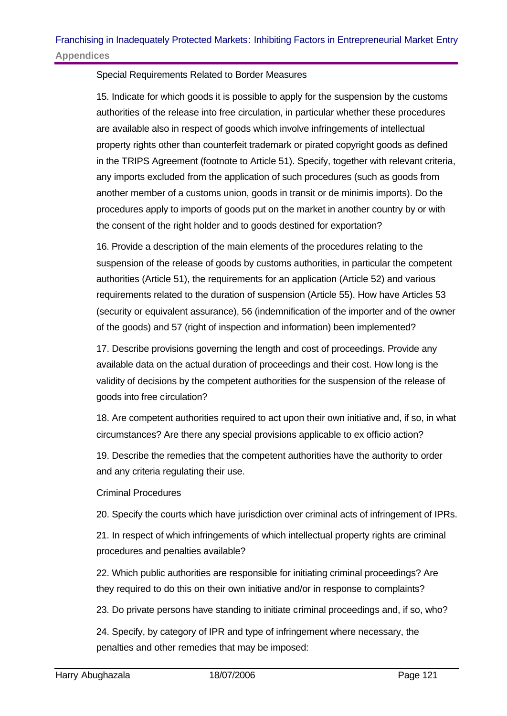Special Requirements Related to Border Measures

15. Indicate for which goods it is possible to apply for the suspension by the customs authorities of the release into free circulation, in particular whether these procedures are available also in respect of goods which involve infringements of intellectual property rights other than counterfeit trademark or pirated copyright goods as defined in the TRIPS Agreement (footnote to Article 51). Specify, together with relevant criteria, any imports excluded from the application of such procedures (such as goods from another member of a customs union, goods in transit or de minimis imports). Do the procedures apply to imports of goods put on the market in another country by or with the consent of the right holder and to goods destined for exportation?

16. Provide a description of the main elements of the procedures relating to the suspension of the release of goods by customs authorities, in particular the competent authorities (Article 51), the requirements for an application (Article 52) and various requirements related to the duration of suspension (Article 55). How have Articles 53 (security or equivalent assurance), 56 (indemnification of the importer and of the owner of the goods) and 57 (right of inspection and information) been implemented?

17. Describe provisions governing the length and cost of proceedings. Provide any available data on the actual duration of proceedings and their cost. How long is the validity of decisions by the competent authorities for the suspension of the release of goods into free circulation?

18. Are competent authorities required to act upon their own initiative and, if so, in what circumstances? Are there any special provisions applicable to ex officio action?

19. Describe the remedies that the competent authorities have the authority to order and any criteria regulating their use.

Criminal Procedures

20. Specify the courts which have jurisdiction over criminal acts of infringement of IPRs.

21. In respect of which infringements of which intellectual property rights are criminal procedures and penalties available?

22. Which public authorities are responsible for initiating criminal proceedings? Are they required to do this on their own initiative and/or in response to complaints?

23. Do private persons have standing to initiate criminal proceedings and, if so, who?

24. Specify, by category of IPR and type of infringement where necessary, the penalties and other remedies that may be imposed: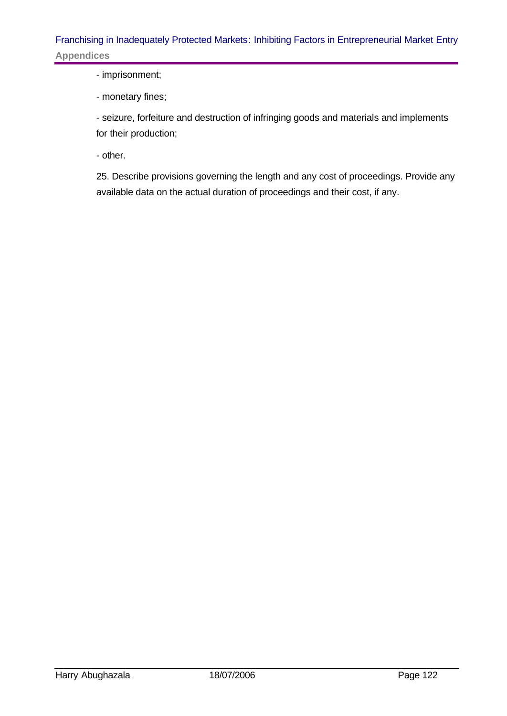- imprisonment;

- monetary fines;

- seizure, forfeiture and destruction of infringing goods and materials and implements for their production;

- other.

25. Describe provisions governing the length and any cost of proceedings. Provide any available data on the actual duration of proceedings and their cost, if any.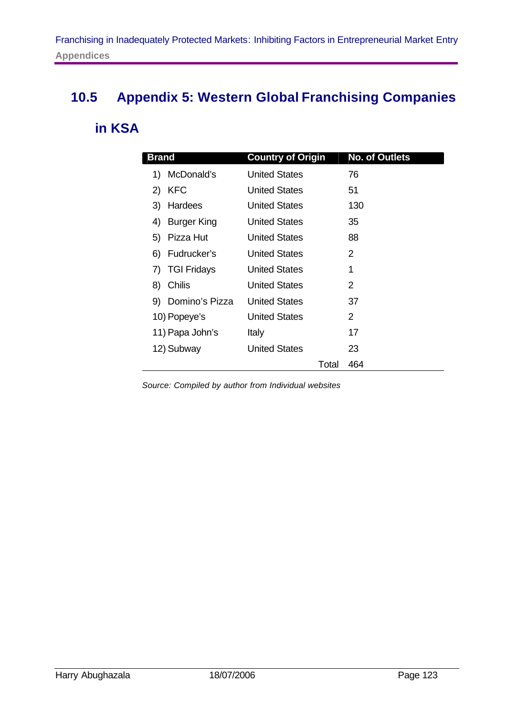## **10.5 Appendix 5: Western Global Franchising Companies**

## **in KSA**

| <b>Brand</b>             | <b>Country of Origin</b> | <b>No. of Outlets</b> |
|--------------------------|--------------------------|-----------------------|
| McDonald's<br>1)         | <b>United States</b>     | 76                    |
| <b>KFC</b><br>2)         | United States            | 51                    |
| Hardees<br>3)            | <b>United States</b>     | 130                   |
| <b>Burger King</b><br>4) | <b>United States</b>     | 35                    |
| Pizza Hut<br>5)          | <b>United States</b>     | 88                    |
| Fudrucker's<br>6)        | <b>United States</b>     | 2                     |
| <b>TGI Fridays</b><br>7) | United States            | 1                     |
| Chilis<br>8)             | <b>United States</b>     | 2                     |
| Domino's Pizza<br>9)     | <b>United States</b>     | 37                    |
| 10) Popeye's             | <b>United States</b>     | 2                     |
| 11) Papa John's          | Italy                    | 17                    |
| 12) Subway               | <b>United States</b>     | 23                    |
|                          |                          | 464<br>Total          |

*Source: Compiled by author from Individual websites*